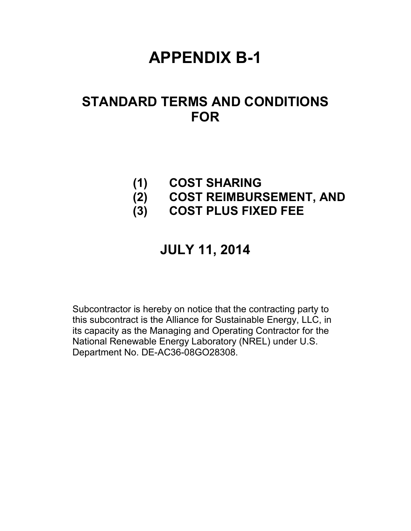# **APPENDIX B-1**

## **STANDARD TERMS AND CONDITIONS FOR**

### **(1) COST SHARING**

- **(2) COST REIMBURSEMENT, AND**
- **(3) COST PLUS FIXED FEE**

### **JULY 11, 2014**

Subcontractor is hereby on notice that the contracting party to this subcontract is the Alliance for Sustainable Energy, LLC, in its capacity as the Managing and Operating Contractor for the National Renewable Energy Laboratory (NREL) under U.S. Department No. DE-AC36-08GO28308.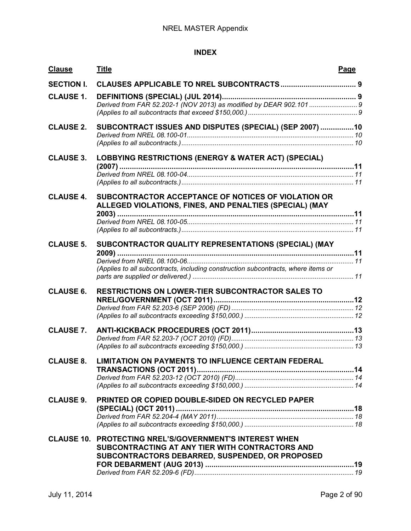#### **INDEX**

| <b>Clause</b>     | <b>Title</b>                                                                                                                                                         | Page |
|-------------------|----------------------------------------------------------------------------------------------------------------------------------------------------------------------|------|
| <b>SECTION I.</b> |                                                                                                                                                                      |      |
| <b>CLAUSE 1.</b>  |                                                                                                                                                                      |      |
| <b>CLAUSE 2.</b>  | SUBCONTRACT ISSUES AND DISPUTES (SPECIAL) (SEP 2007) 10                                                                                                              |      |
| <b>CLAUSE 3.</b>  | LOBBYING RESTRICTIONS (ENERGY & WATER ACT) (SPECIAL)                                                                                                                 |      |
| <b>CLAUSE 4.</b>  | SUBCONTRACTOR ACCEPTANCE OF NOTICES OF VIOLATION OR<br>ALLEGED VIOLATIONS, FINES, AND PENALTIES (SPECIAL) (MAY                                                       |      |
| <b>CLAUSE 5.</b>  | SUBCONTRACTOR QUALITY REPRESENTATIONS (SPECIAL) (MAY<br>(Applies to all subcontracts, including construction subcontracts, where items or                            |      |
| <b>CLAUSE 6.</b>  | <b>RESTRICTIONS ON LOWER-TIER SUBCONTRACTOR SALES TO</b>                                                                                                             |      |
| <b>CLAUSE 7.</b>  |                                                                                                                                                                      |      |
| <b>CLAUSE 8.</b>  | <b>LIMITATION ON PAYMENTS TO INFLUENCE CERTAIN FEDERAL</b>                                                                                                           |      |
| <b>CLAUSE 9.</b>  | PRINTED OR COPIED DOUBLE-SIDED ON RECYCLED PAPER                                                                                                                     |      |
|                   | <b>CLAUSE 10. PROTECTING NREL'S/GOVERNMENT'S INTEREST WHEN</b><br>SUBCONTRACTING AT ANY TIER WITH CONTRACTORS AND<br>SUBCONTRACTORS DEBARRED, SUSPENDED, OR PROPOSED |      |
|                   |                                                                                                                                                                      |      |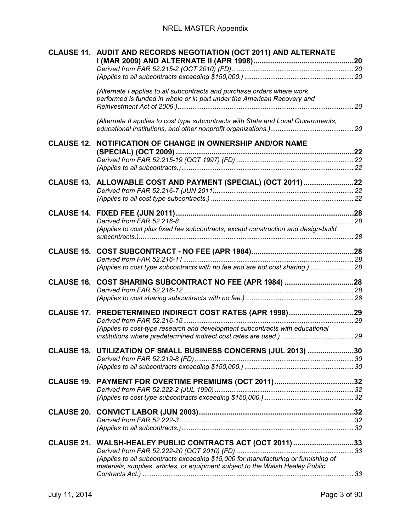|  | CLAUSE 11. AUDIT AND RECORDS NEGOTIATION (OCT 2011) AND ALTERNATE                                                                                                    |  |
|--|----------------------------------------------------------------------------------------------------------------------------------------------------------------------|--|
|  |                                                                                                                                                                      |  |
|  | (Alternate I applies to all subcontracts and purchase orders where work<br>performed is funded in whole or in part under the American Recovery and                   |  |
|  |                                                                                                                                                                      |  |
|  | (Alternate II applies to cost type subcontracts with State and Local Governments,                                                                                    |  |
|  | <b>CLAUSE 12. NOTIFICATION OF CHANGE IN OWNERSHIP AND/OR NAME</b>                                                                                                    |  |
|  |                                                                                                                                                                      |  |
|  | CLAUSE 13. ALLOWABLE COST AND PAYMENT (SPECIAL) (OCT 2011) 22                                                                                                        |  |
|  |                                                                                                                                                                      |  |
|  |                                                                                                                                                                      |  |
|  | (Applies to cost plus fixed fee subcontracts, except construction and design-build                                                                                   |  |
|  |                                                                                                                                                                      |  |
|  | (Applies to cost type subcontracts with no fee and are not cost sharing.) 28                                                                                         |  |
|  | CLAUSE 16. COST SHARING SUBCONTRACT NO FEE (APR 1984) 28                                                                                                             |  |
|  |                                                                                                                                                                      |  |
|  | CLAUSE 17. PREDETERMINED INDIRECT COST RATES (APR 1998)29                                                                                                            |  |
|  | (Applies to cost-type research and development subcontracts with educational                                                                                         |  |
|  | CLAUSE 18. UTILIZATION OF SMALL BUSINESS CONCERNS (JUL 2013) 30                                                                                                      |  |
|  |                                                                                                                                                                      |  |
|  |                                                                                                                                                                      |  |
|  |                                                                                                                                                                      |  |
|  |                                                                                                                                                                      |  |
|  |                                                                                                                                                                      |  |
|  | CLAUSE 21. WALSH-HEALEY PUBLIC CONTRACTS ACT (OCT 2011) 33                                                                                                           |  |
|  | (Applies to all subcontracts exceeding \$15,000 for manufacturing or furnishing of<br>materials, supplies, articles, or equipment subject to the Walsh Healey Public |  |
|  |                                                                                                                                                                      |  |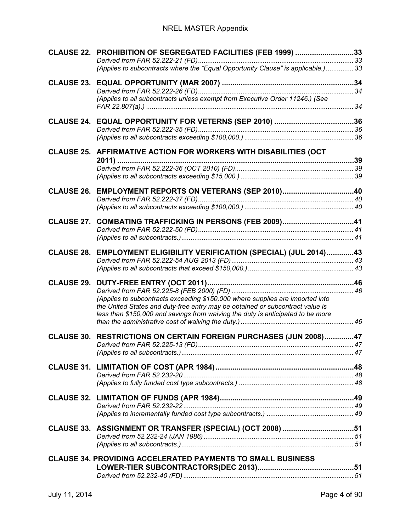#### NREL MASTER Appendix

|                   | CLAUSE 22. PROHIBITION OF SEGREGATED FACILITIES (FEB 1999) 33                                                                                                    |  |
|-------------------|------------------------------------------------------------------------------------------------------------------------------------------------------------------|--|
|                   | (Applies to subcontracts where the "Equal Opportunity Clause" is applicable.)  33                                                                                |  |
|                   |                                                                                                                                                                  |  |
|                   | (Applies to all subcontracts unless exempt from Executive Order 11246.) (See                                                                                     |  |
|                   |                                                                                                                                                                  |  |
|                   |                                                                                                                                                                  |  |
|                   | CLAUSE 25. AFFIRMATIVE ACTION FOR WORKERS WITH DISABILITIES (OCT                                                                                                 |  |
|                   |                                                                                                                                                                  |  |
|                   |                                                                                                                                                                  |  |
|                   | CLAUSE 26. EMPLOYMENT REPORTS ON VETERANS (SEP 2010)40                                                                                                           |  |
|                   |                                                                                                                                                                  |  |
|                   |                                                                                                                                                                  |  |
| <b>CLAUSE 27.</b> |                                                                                                                                                                  |  |
|                   |                                                                                                                                                                  |  |
|                   |                                                                                                                                                                  |  |
| <b>CLAUSE 28.</b> | EMPLOYMENT ELIGIBILITY VERIFICATION (SPECIAL) (JUL 2014)43                                                                                                       |  |
|                   |                                                                                                                                                                  |  |
| <b>CLAUSE 29.</b> |                                                                                                                                                                  |  |
|                   |                                                                                                                                                                  |  |
|                   | (Applies to subcontracts exceeding \$150,000 where supplies are imported into                                                                                    |  |
|                   | the United States and duty-free entry may be obtained or subcontract value is<br>less than \$150,000 and savings from waiving the duty is anticipated to be more |  |
|                   |                                                                                                                                                                  |  |
|                   | CLAUSE 30. RESTRICTIONS ON CERTAIN FOREIGN PURCHASES (JUN 2008)47                                                                                                |  |
|                   |                                                                                                                                                                  |  |
|                   |                                                                                                                                                                  |  |
|                   |                                                                                                                                                                  |  |
|                   |                                                                                                                                                                  |  |
|                   |                                                                                                                                                                  |  |
|                   |                                                                                                                                                                  |  |
|                   |                                                                                                                                                                  |  |
|                   |                                                                                                                                                                  |  |
|                   | CLAUSE 33. ASSIGNMENT OR TRANSFER (SPECIAL) (OCT 2008) 51                                                                                                        |  |
|                   |                                                                                                                                                                  |  |
|                   | <b>CLAUSE 34. PROVIDING ACCELERATED PAYMENTS TO SMALL BUSINESS</b>                                                                                               |  |
|                   |                                                                                                                                                                  |  |
|                   |                                                                                                                                                                  |  |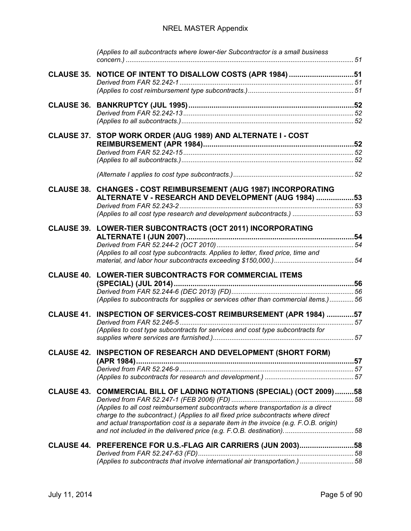#### NREL MASTER Appendix

|  | (Applies to all subcontracts where lower-tier Subcontractor is a small business       |  |
|--|---------------------------------------------------------------------------------------|--|
|  | CLAUSE 35. NOTICE OF INTENT TO DISALLOW COSTS (APR 1984) 51                           |  |
|  |                                                                                       |  |
|  |                                                                                       |  |
|  |                                                                                       |  |
|  | CLAUSE 37. STOP WORK ORDER (AUG 1989) AND ALTERNATE I - COST                          |  |
|  |                                                                                       |  |
|  |                                                                                       |  |
|  |                                                                                       |  |
|  | CLAUSE 38. CHANGES - COST REIMBURSEMENT (AUG 1987) INCORPORATING                      |  |
|  | ALTERNATE V - RESEARCH AND DEVELOPMENT (AUG 1984) 53                                  |  |
|  | (Applies to all cost type research and development subcontracts.)  53                 |  |
|  |                                                                                       |  |
|  | CLAUSE 39. LOWER-TIER SUBCONTRACTS (OCT 2011) INCORPORATING                           |  |
|  |                                                                                       |  |
|  | (Applies to all cost type subcontracts. Applies to letter, fixed price, time and      |  |
|  |                                                                                       |  |
|  | <b>CLAUSE 40. LOWER-TIER SUBCONTRACTS FOR COMMERCIAL ITEMS</b>                        |  |
|  |                                                                                       |  |
|  | (Applies to subcontracts for supplies or services other than commercial items.)  56   |  |
|  | CLAUSE 41. INSPECTION OF SERVICES-COST REIMBURSEMENT (APR 1984) 57                    |  |
|  | (Applies to cost type subcontracts for services and cost type subcontracts for        |  |
|  |                                                                                       |  |
|  | CLAUSE 42. INSPECTION OF RESEARCH AND DEVELOPMENT (SHORT FORM)                        |  |
|  |                                                                                       |  |
|  |                                                                                       |  |
|  |                                                                                       |  |
|  | CLAUSE 43. COMMERCIAL BILL OF LADING NOTATIONS (SPECIAL) (OCT 2009)58                 |  |
|  | (Applies to all cost reimbursement subcontracts where transportation is a direct      |  |
|  | charge to the subcontract.) (Applies to all fixed price subcontracts where direct     |  |
|  | and actual transportation cost is a separate item in the invoice (e.g. F.O.B. origin) |  |
|  | CLAUSE 44. PREFERENCE FOR U.S.-FLAG AIR CARRIERS (JUN 2003)58                         |  |
|  |                                                                                       |  |
|  | (Applies to subcontracts that involve international air transportation.) 58           |  |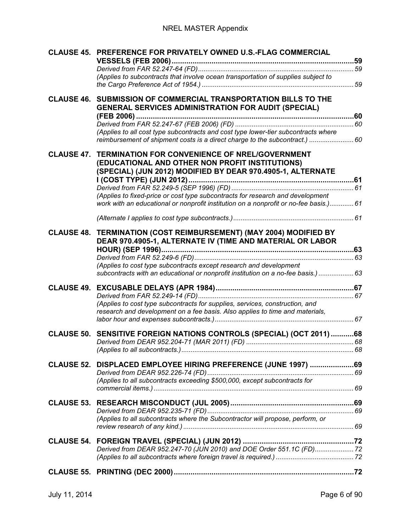|                   | (Applies to fixed-price or cost type subcontracts for research and development<br>work with an educational or nonprofit institution on a nonprofit or no-fee basis.) 61                                                                                                                    |  |
|-------------------|--------------------------------------------------------------------------------------------------------------------------------------------------------------------------------------------------------------------------------------------------------------------------------------------|--|
|                   |                                                                                                                                                                                                                                                                                            |  |
|                   | CLAUSE 48. TERMINATION (COST REIMBURSEMENT) (MAY 2004) MODIFIED BY<br>DEAR 970.4905-1, ALTERNATE IV (TIME AND MATERIAL OR LABOR<br>(Applies to cost type subcontracts except research and development<br>subcontracts with an educational or nonprofit institution on a no-fee basis.)  63 |  |
|                   | (Applies to cost type subcontracts for supplies, services, construction, and<br>research and development on a fee basis. Also applies to time and materials,                                                                                                                               |  |
|                   | CLAUSE 50. SENSITIVE FOREIGN NATIONS CONTROLS (SPECIAL) (OCT 2011) 68                                                                                                                                                                                                                      |  |
| <b>CLAUSE 52.</b> | DISPLACED EMPLOYEE HIRING PREFERENCE (JUNE 1997) 69<br>(Applies to all subcontracts exceeding \$500,000, except subcontracts for                                                                                                                                                           |  |
|                   | (Applies to all subcontracts where the Subcontractor will propose, perform, or                                                                                                                                                                                                             |  |
|                   | Derived from DEAR 952.247-70 (JUN 2010) and DOE Order 551.1C (FD) 72                                                                                                                                                                                                                       |  |
|                   |                                                                                                                                                                                                                                                                                            |  |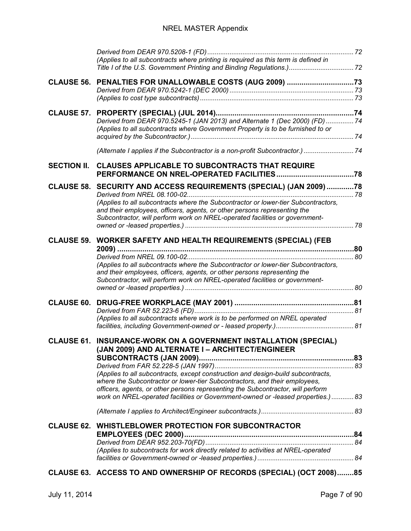|                    | (Applies to all subcontracts where printing is required as this term is defined in                                                                                                                                                                                                                   |  |
|--------------------|------------------------------------------------------------------------------------------------------------------------------------------------------------------------------------------------------------------------------------------------------------------------------------------------------|--|
|                    | CLAUSE 56. PENALTIES FOR UNALLOWABLE COSTS (AUG 2009) 73                                                                                                                                                                                                                                             |  |
|                    | Derived from DEAR 970.5245-1 (JAN 2013) and Alternate 1 (Dec 2000) (FD)  74<br>(Applies to all subcontracts where Government Property is to be furnished to or                                                                                                                                       |  |
|                    | (Alternate I applies if the Subcontractor is a non-profit Subcontractor.)  74                                                                                                                                                                                                                        |  |
| <b>SECTION II.</b> | <b>CLAUSES APPLICABLE TO SUBCONTRACTS THAT REQUIRE</b>                                                                                                                                                                                                                                               |  |
|                    | CLAUSE 58. SECURITY AND ACCESS REQUIREMENTS (SPECIAL) (JAN 2009)78                                                                                                                                                                                                                                   |  |
|                    | (Applies to all subcontracts where the Subcontractor or lower-tier Subcontractors,<br>and their employees, officers, agents, or other persons representing the<br>Subcontractor, will perform work on NREL-operated facilities or government-                                                        |  |
|                    | CLAUSE 59. WORKER SAFETY AND HEALTH REQUIREMENTS (SPECIAL) (FEB                                                                                                                                                                                                                                      |  |
|                    | (Applies to all subcontracts where the Subcontractor or lower-tier Subcontractors,<br>and their employees, officers, agents, or other persons representing the<br>Subcontractor, will perform work on NREL-operated facilities or government-                                                        |  |
|                    |                                                                                                                                                                                                                                                                                                      |  |
|                    | (Applies to all subcontracts where work is to be performed on NREL operated                                                                                                                                                                                                                          |  |
|                    | <b>CLAUSE 61. INSURANCE-WORK ON A GOVERNMENT INSTALLATION (SPECIAL)</b>                                                                                                                                                                                                                              |  |
|                    | (JAN 2009) AND ALTERNATE I – ARCHITECT/ENGINEER<br>(Applies to all subcontracts, except construction and design-build subcontracts,<br>where the Subcontractor or lower-tier Subcontractors, and their employees,<br>officers, agents, or other persons representing the Subcontractor, will perform |  |
|                    | work on NREL-operated facilities or Government-owned or -leased properties.)  83                                                                                                                                                                                                                     |  |
|                    |                                                                                                                                                                                                                                                                                                      |  |
|                    | <b>CLAUSE 62. WHISTLEBLOWER PROTECTION FOR SUBCONTRACTOR</b>                                                                                                                                                                                                                                         |  |
|                    | (Applies to subcontracts for work directly related to activities at NREL-operated                                                                                                                                                                                                                    |  |
|                    | CLAUSE 63. ACCESS TO AND OWNERSHIP OF RECORDS (SPECIAL) (OCT 2008)85                                                                                                                                                                                                                                 |  |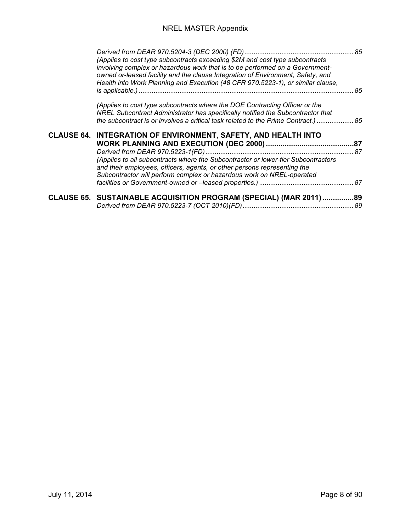| (Applies to cost type subcontracts exceeding \$2M and cost type subcontracts<br>involving complex or hazardous work that is to be performed on a Government-<br>owned or-leased facility and the clause Integration of Environment, Safety, and<br>Health into Work Planning and Execution (48 CFR 970.5223-1), or similar clause, |  |
|------------------------------------------------------------------------------------------------------------------------------------------------------------------------------------------------------------------------------------------------------------------------------------------------------------------------------------|--|
| (Applies to cost type subcontracts where the DOE Contracting Officer or the<br>NREL Subcontract Administrator has specifically notified the Subcontractor that<br>the subcontract is or involves a critical task related to the Prime Contract.)  85                                                                               |  |
| CLAUSE 64. INTEGRATION OF ENVIRONMENT, SAFETY, AND HEALTH INTO<br>(Applies to all subcontracts where the Subcontractor or lower-tier Subcontractors<br>and their employees, officers, agents, or other persons representing the<br>Subcontractor will perform complex or hazardous work on NREL-operated                           |  |
| CLAUSE 65. SUSTAINABLE ACQUISITION PROGRAM (SPECIAL) (MAR 2011) 89                                                                                                                                                                                                                                                                 |  |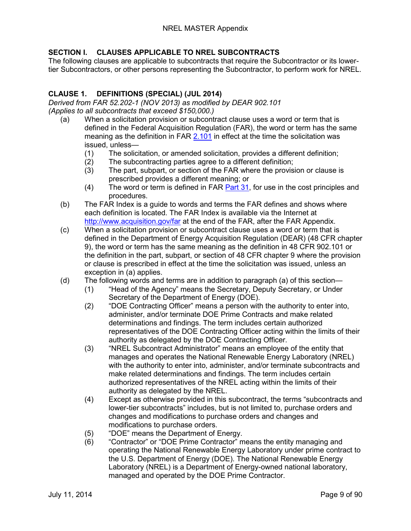#### <span id="page-8-0"></span>**SECTION I. CLAUSES APPLICABLE TO NREL SUBCONTRACTS**

The following clauses are applicable to subcontracts that require the Subcontractor or its lowertier Subcontractors, or other persons representing the Subcontractor, to perform work for NREL.

#### <span id="page-8-1"></span>**CLAUSE 1. DEFINITIONS (SPECIAL) (JUL 2014)**

<span id="page-8-3"></span><span id="page-8-2"></span>*Derived from FAR 52.202-1 (NOV 2013) as modified by DEAR 902.101 (Applies to all subcontracts that exceed \$150,000.)*

- (a) When a solicitation provision or subcontract clause uses a word or term that is defined in the Federal Acquisition Regulation (FAR), the word or term has the same meaning as the definition in FAR [2.101](https://www.acquisition.gov/far/current/html/Subpart%202_1.html#wp1145508) in effect at the time the solicitation was issued, unless—
	- (1) The solicitation, or amended solicitation, provides a different definition;
	- (2) The subcontracting parties agree to a different definition;
	- (3) The part, subpart, or section of the FAR where the provision or clause is prescribed provides a different meaning; or
	- (4) The word or term is defined in FAR [Part 31,](https://www.acquisition.gov/far/current/html/FARTOCP31.html#wp253693) for use in the cost principles and procedures.
- (b) The FAR Index is a guide to words and terms the FAR defines and shows where each definition is located. The FAR Index is available via the Internet at <http://www.acquisition.gov/far> at the end of the FAR, after the FAR Appendix.
- (c) When a solicitation provision or subcontract clause uses a word or term that is defined in the Department of Energy Acquisition Regulation (DEAR) (48 CFR chapter 9), the word or term has the same meaning as the definition in 48 CFR 902.101 or the definition in the part, subpart, or section of 48 CFR chapter 9 where the provision or clause is prescribed in effect at the time the solicitation was issued, unless an exception in (a) applies.
- (d) The following words and terms are in addition to paragraph (a) of this section—
	- (1) "Head of the Agency" means the Secretary, Deputy Secretary, or Under Secretary of the Department of Energy (DOE).
	- (2) "DOE Contracting Officer" means a person with the authority to enter into, administer, and/or terminate DOE Prime Contracts and make related determinations and findings. The term includes certain authorized representatives of the DOE Contracting Officer acting within the limits of their authority as delegated by the DOE Contracting Officer.
	- (3) "NREL Subcontract Administrator" means an employee of the entity that manages and operates the National Renewable Energy Laboratory (NREL) with the authority to enter into, administer, and/or terminate subcontracts and make related determinations and findings. The term includes certain authorized representatives of the NREL acting within the limits of their authority as delegated by the NREL.
	- (4) Except as otherwise provided in this subcontract, the terms "subcontracts and lower-tier subcontracts" includes, but is not limited to, purchase orders and changes and modifications to purchase orders and changes and modifications to purchase orders.
	- (5) "DOE" means the Department of Energy.
	- (6) "Contractor" or "DOE Prime Contractor" means the entity managing and operating the National Renewable Energy Laboratory under prime contract to the U.S. Department of Energy (DOE). The National Renewable Energy Laboratory (NREL) is a Department of Energy-owned national laboratory, managed and operated by the DOE Prime Contractor.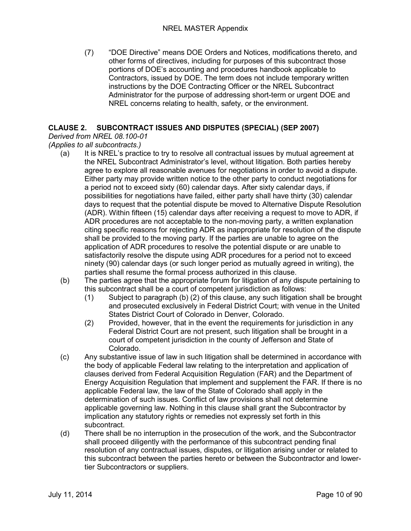(7) "DOE Directive" means DOE Orders and Notices, modifications thereto, and other forms of directives, including for purposes of this subcontract those portions of DOE's accounting and procedures handbook applicable to Contractors, issued by DOE. The term does not include temporary written instructions by the DOE Contracting Officer or the NREL Subcontract Administrator for the purpose of addressing short-term or urgent DOE and NREL concerns relating to health, safety, or the environment.

#### <span id="page-9-0"></span>**CLAUSE 2. SUBCONTRACT ISSUES AND DISPUTES (SPECIAL) (SEP 2007)**

#### <span id="page-9-1"></span>*Derived from NREL 08.100-01*

- <span id="page-9-2"></span>*(Applies to all subcontracts.)*
	- (a) It is NREL's practice to try to resolve all contractual issues by mutual agreement at the NREL Subcontract Administrator's level, without litigation. Both parties hereby agree to explore all reasonable avenues for negotiations in order to avoid a dispute. Either party may provide written notice to the other party to conduct negotiations for a period not to exceed sixty (60) calendar days. After sixty calendar days, if possibilities for negotiations have failed, either party shall have thirty (30) calendar days to request that the potential dispute be moved to Alternative Dispute Resolution (ADR). Within fifteen (15) calendar days after receiving a request to move to ADR, if ADR procedures are not acceptable to the non-moving party, a written explanation citing specific reasons for rejecting ADR as inappropriate for resolution of the dispute shall be provided to the moving party. If the parties are unable to agree on the application of ADR procedures to resolve the potential dispute or are unable to satisfactorily resolve the dispute using ADR procedures for a period not to exceed ninety (90) calendar days (or such longer period as mutually agreed in writing), the parties shall resume the formal process authorized in this clause.
	- (b) The parties agree that the appropriate forum for litigation of any dispute pertaining to this subcontract shall be a court of competent jurisdiction as follows:
		- (1) Subject to paragraph (b) (2) of this clause, any such litigation shall be brought and prosecuted exclusively in Federal District Court; with venue in the United States District Court of Colorado in Denver, Colorado.
		- (2) Provided, however, that in the event the requirements for jurisdiction in any Federal District Court are not present, such litigation shall be brought in a court of competent jurisdiction in the county of Jefferson and State of Colorado.
	- (c) Any substantive issue of law in such litigation shall be determined in accordance with the body of applicable Federal law relating to the interpretation and application of clauses derived from Federal Acquisition Regulation (FAR) and the Department of Energy Acquisition Regulation that implement and supplement the FAR. If there is no applicable Federal law, the law of the State of Colorado shall apply in the determination of such issues. Conflict of law provisions shall not determine applicable governing law. Nothing in this clause shall grant the Subcontractor by implication any statutory rights or remedies not expressly set forth in this subcontract.
	- (d) There shall be no interruption in the prosecution of the work, and the Subcontractor shall proceed diligently with the performance of this subcontract pending final resolution of any contractual issues, disputes, or litigation arising under or related to this subcontract between the parties hereto or between the Subcontractor and lowertier Subcontractors or suppliers.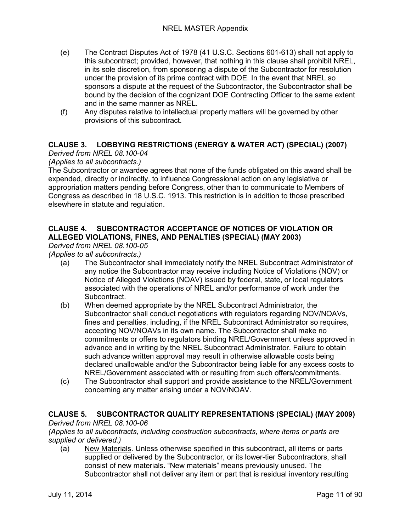- (e) The Contract Disputes Act of 1978 (41 U.S.C. Sections 601-613) shall not apply to this subcontract; provided, however, that nothing in this clause shall prohibit NREL, in its sole discretion, from sponsoring a dispute of the Subcontractor for resolution under the provision of its prime contract with DOE. In the event that NREL so sponsors a dispute at the request of the Subcontractor, the Subcontractor shall be bound by the decision of the cognizant DOE Contracting Officer to the same extent and in the same manner as NREL.
- (f) Any disputes relative to intellectual property matters will be governed by other provisions of this subcontract.

#### <span id="page-10-0"></span>**CLAUSE 3. LOBBYING RESTRICTIONS (ENERGY & WATER ACT) (SPECIAL) (2007)**

#### <span id="page-10-1"></span>*Derived from NREL 08.100-04*

#### <span id="page-10-2"></span>*(Applies to all subcontracts.)*

The Subcontractor or awardee agrees that none of the funds obligated on this award shall be expended, directly or indirectly, to influence Congressional action on any legislative or appropriation matters pending before Congress, other than to communicate to Members of Congress as described in 18 U.S.C. 1913. This restriction is in addition to those prescribed elsewhere in statute and regulation.

#### <span id="page-10-3"></span>**CLAUSE 4. SUBCONTRACTOR ACCEPTANCE OF NOTICES OF VIOLATION OR ALLEGED VIOLATIONS, FINES, AND PENALTIES (SPECIAL) (MAY 2003)**

#### <span id="page-10-4"></span>*Derived from NREL 08.100-05*

<span id="page-10-5"></span>*(Applies to all subcontracts.)*

- (a) The Subcontractor shall immediately notify the NREL Subcontract Administrator of any notice the Subcontractor may receive including Notice of Violations (NOV) or Notice of Alleged Violations (NOAV) issued by federal, state, or local regulators associated with the operations of NREL and/or performance of work under the Subcontract.
- (b) When deemed appropriate by the NREL Subcontract Administrator, the Subcontractor shall conduct negotiations with regulators regarding NOV/NOAVs, fines and penalties, including, if the NREL Subcontract Administrator so requires, accepting NOV/NOAVs in its own name. The Subcontractor shall make no commitments or offers to regulators binding NREL/Government unless approved in advance and in writing by the NREL Subcontract Administrator. Failure to obtain such advance written approval may result in otherwise allowable costs being declared unallowable and/or the Subcontractor being liable for any excess costs to NREL/Government associated with or resulting from such offers/commitments.
- (c) The Subcontractor shall support and provide assistance to the NREL/Government concerning any matter arising under a NOV/NOAV.

#### <span id="page-10-6"></span>**CLAUSE 5. SUBCONTRACTOR QUALITY REPRESENTATIONS (SPECIAL) (MAY 2009)**

#### <span id="page-10-7"></span>*Derived from NREL 08.100-06*

<span id="page-10-8"></span>*(Applies to all subcontracts, including construction subcontracts, where items or parts are supplied or delivered.)*

(a) New Materials. Unless otherwise specified in this subcontract, all items or parts supplied or delivered by the Subcontractor, or its lower-tier Subcontractors, shall consist of new materials. "New materials" means previously unused. The Subcontractor shall not deliver any item or part that is residual inventory resulting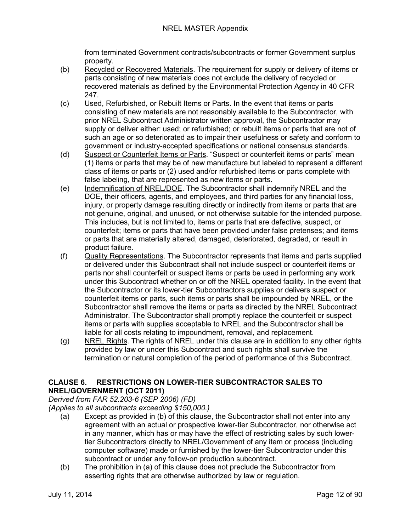from terminated Government contracts/subcontracts or former Government surplus property.

- (b) Recycled or Recovered Materials. The requirement for supply or delivery of items or parts consisting of new materials does not exclude the delivery of recycled or recovered materials as defined by the Environmental Protection Agency in 40 CFR 247.
- (c) Used, Refurbished, or Rebuilt Items or Parts. In the event that items or parts consisting of new materials are not reasonably available to the Subcontractor, with prior NREL Subcontract Administrator written approval, the Subcontractor may supply or deliver either: used; or refurbished; or rebuilt items or parts that are not of such an age or so deteriorated as to impair their usefulness or safety and conform to government or industry-accepted specifications or national consensus standards.
- (d) Suspect or Counterfeit Items or Parts. "Suspect or counterfeit items or parts" mean (1) items or parts that may be of new manufacture but labeled to represent a different class of items or parts or (2) used and/or refurbished items or parts complete with false labeling, that are represented as new items or parts.
- (e) Indemnification of NREL/DOE. The Subcontractor shall indemnify NREL and the DOE, their officers, agents, and employees, and third parties for any financial loss, injury, or property damage resulting directly or indirectly from items or parts that are not genuine, original, and unused, or not otherwise suitable for the intended purpose. This includes, but is not limited to, items or parts that are defective, suspect, or counterfeit; items or parts that have been provided under false pretenses; and items or parts that are materially altered, damaged, deteriorated, degraded, or result in product failure.
- (f) Quality Representations. The Subcontractor represents that items and parts supplied or delivered under this Subcontract shall not include suspect or counterfeit items or parts nor shall counterfeit or suspect items or parts be used in performing any work under this Subcontract whether on or off the NREL operated facility. In the event that the Subcontractor or its lower-tier Subcontractors supplies or delivers suspect or counterfeit items or parts, such items or parts shall be impounded by NREL, or the Subcontractor shall remove the items or parts as directed by the NREL Subcontract Administrator. The Subcontractor shall promptly replace the counterfeit or suspect items or parts with supplies acceptable to NREL and the Subcontractor shall be liable for all costs relating to impoundment, removal, and replacement.
- (g) NREL Rights. The rights of NREL under this clause are in addition to any other rights provided by law or under this Subcontract and such rights shall survive the termination or natural completion of the period of performance of this Subcontract.

#### <span id="page-11-0"></span>**CLAUSE 6. RESTRICTIONS ON LOWER-TIER SUBCONTRACTOR SALES TO NREL/GOVERNMENT (OCT 2011)**

<span id="page-11-1"></span>*Derived from FAR 52.203-6 (SEP 2006) (FD)*

- <span id="page-11-2"></span>*(Applies to all subcontracts exceeding \$150,000.)*
	- (a) Except as provided in (b) of this clause, the Subcontractor shall not enter into any agreement with an actual or prospective lower-tier Subcontractor, nor otherwise act in any manner, which has or may have the effect of restricting sales by such lowertier Subcontractors directly to NREL/Government of any item or process (including computer software) made or furnished by the lower-tier Subcontractor under this subcontract or under any follow-on production subcontract.
	- (b) The prohibition in (a) of this clause does not preclude the Subcontractor from asserting rights that are otherwise authorized by law or regulation.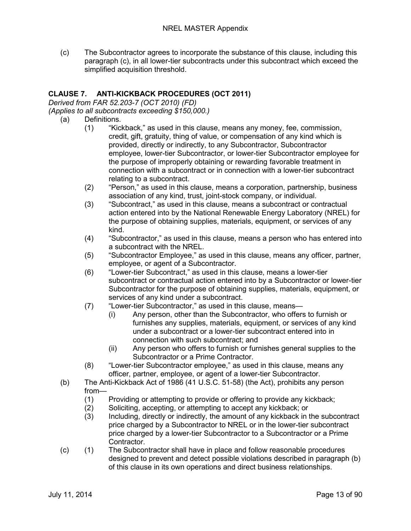(c) The Subcontractor agrees to incorporate the substance of this clause, including this paragraph (c), in all lower-tier subcontracts under this subcontract which exceed the simplified acquisition threshold.

#### <span id="page-12-0"></span>**CLAUSE 7. ANTI-KICKBACK PROCEDURES (OCT 2011)**

<span id="page-12-1"></span>*Derived from FAR 52.203-7 (OCT 2010) (FD)*

<span id="page-12-2"></span>*(Applies to all subcontracts exceeding \$150,000.)*

- (a) Definitions.
	- (1) "Kickback," as used in this clause, means any money, fee, commission, credit, gift, gratuity, thing of value, or compensation of any kind which is provided, directly or indirectly, to any Subcontractor, Subcontractor employee, lower-tier Subcontractor, or lower-tier Subcontractor employee for the purpose of improperly obtaining or rewarding favorable treatment in connection with a subcontract or in connection with a lower-tier subcontract relating to a subcontract.
	- (2) "Person," as used in this clause, means a corporation, partnership, business association of any kind, trust, joint-stock company, or individual.
	- (3) "Subcontract," as used in this clause, means a subcontract or contractual action entered into by the National Renewable Energy Laboratory (NREL) for the purpose of obtaining supplies, materials, equipment, or services of any kind.
	- (4) "Subcontractor," as used in this clause, means a person who has entered into a subcontract with the NREL.
	- (5) "Subcontractor Employee," as used in this clause, means any officer, partner, employee, or agent of a Subcontractor.
	- (6) "Lower-tier Subcontract," as used in this clause, means a lower-tier subcontract or contractual action entered into by a Subcontractor or lower-tier Subcontractor for the purpose of obtaining supplies, materials, equipment, or services of any kind under a subcontract.
	- (7) "Lower-tier Subcontractor," as used in this clause, means—
		- (i) Any person, other than the Subcontractor, who offers to furnish or furnishes any supplies, materials, equipment, or services of any kind under a subcontract or a lower-tier subcontract entered into in connection with such subcontract; and
		- (ii) Any person who offers to furnish or furnishes general supplies to the Subcontractor or a Prime Contractor.
	- (8) "Lower-tier Subcontractor employee," as used in this clause, means any officer, partner, employee, or agent of a lower-tier Subcontractor.
- (b) The Anti-Kickback Act of 1986 (41 U.S.C. 51-58) (the Act), prohibits any person from—
	- (1) Providing or attempting to provide or offering to provide any kickback;
	- (2) Soliciting, accepting, or attempting to accept any kickback; or
	- (3) Including, directly or indirectly, the amount of any kickback in the subcontract price charged by a Subcontractor to NREL or in the lower-tier subcontract price charged by a lower-tier Subcontractor to a Subcontractor or a Prime Contractor.
- (c) (1) The Subcontractor shall have in place and follow reasonable procedures designed to prevent and detect possible violations described in paragraph (b) of this clause in its own operations and direct business relationships.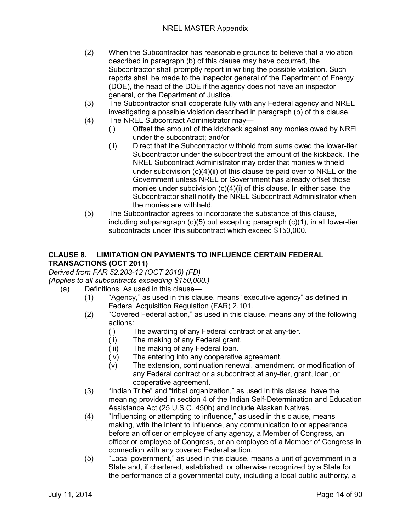- (2) When the Subcontractor has reasonable grounds to believe that a violation described in paragraph (b) of this clause may have occurred, the Subcontractor shall promptly report in writing the possible violation. Such reports shall be made to the inspector general of the Department of Energy (DOE), the head of the DOE if the agency does not have an inspector general, or the Department of Justice.
- (3) The Subcontractor shall cooperate fully with any Federal agency and NREL investigating a possible violation described in paragraph (b) of this clause.
- (4) The NREL Subcontract Administrator may—
	- (i) Offset the amount of the kickback against any monies owed by NREL under the subcontract; and/or
	- (ii) Direct that the Subcontractor withhold from sums owed the lower-tier Subcontractor under the subcontract the amount of the kickback. The NREL Subcontract Administrator may order that monies withheld under subdivision (c)(4)(ii) of this clause be paid over to NREL or the Government unless NREL or Government has already offset those monies under subdivision (c)(4)(i) of this clause. In either case, the Subcontractor shall notify the NREL Subcontract Administrator when the monies are withheld.
- (5) The Subcontractor agrees to incorporate the substance of this clause, including subparagraph (c)(5) but excepting paragraph (c)(1), in all lower-tier subcontracts under this subcontract which exceed \$150,000.

#### <span id="page-13-0"></span>**CLAUSE 8. LIMITATION ON PAYMENTS TO INFLUENCE CERTAIN FEDERAL TRANSACTIONS (OCT 2011)**

<span id="page-13-1"></span>*Derived from FAR 52.203-12 (OCT 2010) (FD)*

<span id="page-13-2"></span>*(Applies to all subcontracts exceeding \$150,000.)*

- (a) Definitions. As used in this clause—
	- (1) "Agency," as used in this clause, means "executive agency" as defined in Federal Acquisition Regulation (FAR) 2.101.
	- (2) "Covered Federal action," as used in this clause, means any of the following actions:
		- (i) The awarding of any Federal contract or at any-tier.
		- (ii) The making of any Federal grant.
		- (iii) The making of any Federal loan.
		- (iv) The entering into any cooperative agreement.
		- (v) The extension, continuation renewal, amendment, or modification of any Federal contract or a subcontract at any-tier, grant, loan, or cooperative agreement.
	- (3) "Indian Tribe" and "tribal organization," as used in this clause, have the meaning provided in section 4 of the Indian Self-Determination and Education Assistance Act (25 U.S.C. 450b) and include Alaskan Natives.
	- (4) "Influencing or attempting to influence," as used in this clause, means making, with the intent to influence, any communication to or appearance before an officer or employee of any agency, a Member of Congress, an officer or employee of Congress, or an employee of a Member of Congress in connection with any covered Federal action.
	- (5) "Local government," as used in this clause, means a unit of government in a State and, if chartered, established, or otherwise recognized by a State for the performance of a governmental duty, including a local public authority, a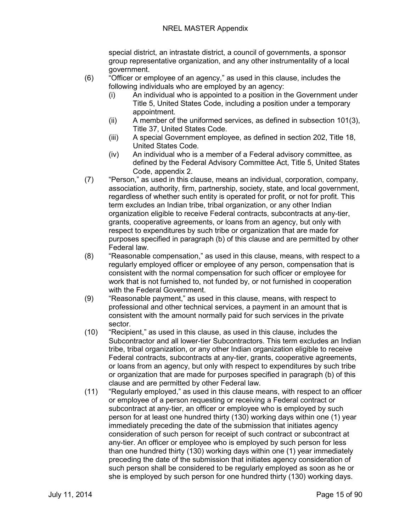special district, an intrastate district, a council of governments, a sponsor group representative organization, and any other instrumentality of a local government.

- (6) "Officer or employee of an agency," as used in this clause, includes the following individuals who are employed by an agency:
	- (i) An individual who is appointed to a position in the Government under Title 5, United States Code, including a position under a temporary appointment.
	- (ii) A member of the uniformed services, as defined in subsection 101(3), Title 37, United States Code.
	- (iii) A special Government employee, as defined in section 202, Title 18, United States Code.
	- (iv) An individual who is a member of a Federal advisory committee, as defined by the Federal Advisory Committee Act, Title 5, United States Code, appendix 2.
- (7) "Person," as used in this clause, means an individual, corporation, company, association, authority, firm, partnership, society, state, and local government, regardless of whether such entity is operated for profit, or not for profit. This term excludes an Indian tribe, tribal organization, or any other Indian organization eligible to receive Federal contracts, subcontracts at any-tier, grants, cooperative agreements, or loans from an agency, but only with respect to expenditures by such tribe or organization that are made for purposes specified in paragraph (b) of this clause and are permitted by other Federal law.
- (8) "Reasonable compensation," as used in this clause, means, with respect to a regularly employed officer or employee of any person, compensation that is consistent with the normal compensation for such officer or employee for work that is not furnished to, not funded by, or not furnished in cooperation with the Federal Government.
- (9) "Reasonable payment," as used in this clause, means, with respect to professional and other technical services, a payment in an amount that is consistent with the amount normally paid for such services in the private sector.
- (10) "Recipient," as used in this clause, as used in this clause, includes the Subcontractor and all lower-tier Subcontractors. This term excludes an Indian tribe, tribal organization, or any other Indian organization eligible to receive Federal contracts, subcontracts at any-tier, grants, cooperative agreements, or loans from an agency, but only with respect to expenditures by such tribe or organization that are made for purposes specified in paragraph (b) of this clause and are permitted by other Federal law.
- (11) "Regularly employed," as used in this clause means, with respect to an officer or employee of a person requesting or receiving a Federal contract or subcontract at any-tier, an officer or employee who is employed by such person for at least one hundred thirty (130) working days within one (1) year immediately preceding the date of the submission that initiates agency consideration of such person for receipt of such contract or subcontract at any-tier. An officer or employee who is employed by such person for less than one hundred thirty (130) working days within one (1) year immediately preceding the date of the submission that initiates agency consideration of such person shall be considered to be regularly employed as soon as he or she is employed by such person for one hundred thirty (130) working days.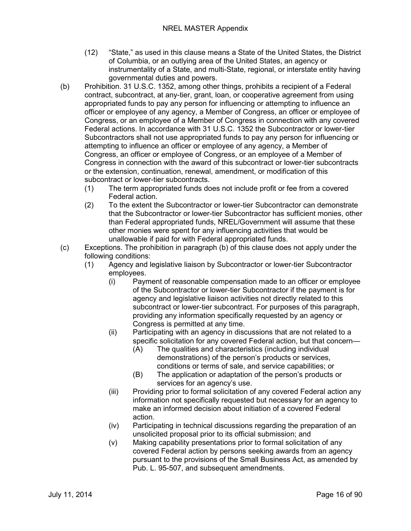- (12) "State," as used in this clause means a State of the United States, the District of Columbia, or an outlying area of the United States, an agency or instrumentality of a State, and multi-State, regional, or interstate entity having governmental duties and powers.
- (b) Prohibition. 31 U.S.C. 1352, among other things, prohibits a recipient of a Federal contract, subcontract, at any-tier, grant, loan, or cooperative agreement from using appropriated funds to pay any person for influencing or attempting to influence an officer or employee of any agency, a Member of Congress, an officer or employee of Congress, or an employee of a Member of Congress in connection with any covered Federal actions. In accordance with 31 U.S.C. 1352 the Subcontractor or lower-tier Subcontractors shall not use appropriated funds to pay any person for influencing or attempting to influence an officer or employee of any agency, a Member of Congress, an officer or employee of Congress, or an employee of a Member of Congress in connection with the award of this subcontract or lower-tier subcontracts or the extension, continuation, renewal, amendment, or modification of this subcontract or lower-tier subcontracts.
	- (1) The term appropriated funds does not include profit or fee from a covered Federal action.
	- (2) To the extent the Subcontractor or lower-tier Subcontractor can demonstrate that the Subcontractor or lower-tier Subcontractor has sufficient monies, other than Federal appropriated funds, NREL/Government will assume that these other monies were spent for any influencing activities that would be unallowable if paid for with Federal appropriated funds.
- (c) Exceptions. The prohibition in paragraph (b) of this clause does not apply under the following conditions:
	- (1) Agency and legislative liaison by Subcontractor or lower-tier Subcontractor employees.
		- (i) Payment of reasonable compensation made to an officer or employee of the Subcontractor or lower-tier Subcontractor if the payment is for agency and legislative liaison activities not directly related to this subcontract or lower-tier subcontract. For purposes of this paragraph, providing any information specifically requested by an agency or Congress is permitted at any time.
		- (ii) Participating with an agency in discussions that are not related to a specific solicitation for any covered Federal action, but that concern—
			- (A) The qualities and characteristics (including individual demonstrations) of the person's products or services, conditions or terms of sale, and service capabilities; or
			- (B) The application or adaptation of the person's products or services for an agency's use.
		- (iii) Providing prior to formal solicitation of any covered Federal action any information not specifically requested but necessary for an agency to make an informed decision about initiation of a covered Federal action.
		- (iv) Participating in technical discussions regarding the preparation of an unsolicited proposal prior to its official submission; and
		- (v) Making capability presentations prior to formal solicitation of any covered Federal action by persons seeking awards from an agency pursuant to the provisions of the Small Business Act, as amended by Pub. L. 95-507, and subsequent amendments.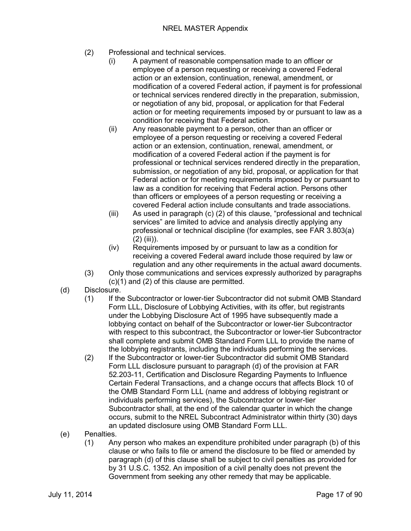- (2) Professional and technical services.
	- (i) A payment of reasonable compensation made to an officer or employee of a person requesting or receiving a covered Federal action or an extension, continuation, renewal, amendment, or modification of a covered Federal action, if payment is for professional or technical services rendered directly in the preparation, submission, or negotiation of any bid, proposal, or application for that Federal action or for meeting requirements imposed by or pursuant to law as a condition for receiving that Federal action.
	- (ii) Any reasonable payment to a person, other than an officer or employee of a person requesting or receiving a covered Federal action or an extension, continuation, renewal, amendment, or modification of a covered Federal action if the payment is for professional or technical services rendered directly in the preparation, submission, or negotiation of any bid, proposal, or application for that Federal action or for meeting requirements imposed by or pursuant to law as a condition for receiving that Federal action. Persons other than officers or employees of a person requesting or receiving a covered Federal action include consultants and trade associations.
	- (iii) As used in paragraph (c) (2) of this clause, "professional and technical services" are limited to advice and analysis directly applying any professional or technical discipline (for examples, see FAR 3.803(a)  $(2)$  (iii)).
	- (iv) Requirements imposed by or pursuant to law as a condition for receiving a covered Federal award include those required by law or regulation and any other requirements in the actual award documents.
- (3) Only those communications and services expressly authorized by paragraphs (c)(1) and (2) of this clause are permitted.
- (d) Disclosure.
	- (1) If the Subcontractor or lower-tier Subcontractor did not submit OMB Standard Form LLL, Disclosure of Lobbying Activities, with its offer, but registrants under the Lobbying Disclosure Act of 1995 have subsequently made a lobbying contact on behalf of the Subcontractor or lower-tier Subcontractor with respect to this subcontract, the Subcontractor or lower-tier Subcontractor shall complete and submit OMB Standard Form LLL to provide the name of the lobbying registrants, including the individuals performing the services.
	- (2) If the Subcontractor or lower-tier Subcontractor did submit OMB Standard Form LLL disclosure pursuant to paragraph (d) of the provision at FAR 52.203-11, Certification and Disclosure Regarding Payments to Influence Certain Federal Transactions, and a change occurs that affects Block 10 of the OMB Standard Form LLL (name and address of lobbying registrant or individuals performing services), the Subcontractor or lower-tier Subcontractor shall, at the end of the calendar quarter in which the change occurs, submit to the NREL Subcontract Administrator within thirty (30) days an updated disclosure using OMB Standard Form LLL.
- (e) Penalties.
	- (1) Any person who makes an expenditure prohibited under paragraph (b) of this clause or who fails to file or amend the disclosure to be filed or amended by paragraph (d) of this clause shall be subject to civil penalties as provided for by 31 U.S.C. 1352. An imposition of a civil penalty does not prevent the Government from seeking any other remedy that may be applicable.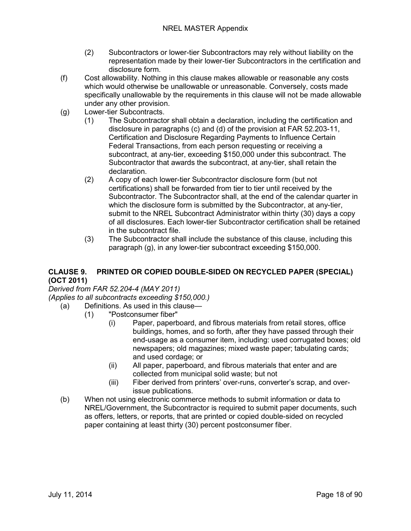- (2) Subcontractors or lower-tier Subcontractors may rely without liability on the representation made by their lower-tier Subcontractors in the certification and disclosure form.
- (f) Cost allowability. Nothing in this clause makes allowable or reasonable any costs which would otherwise be unallowable or unreasonable. Conversely, costs made specifically unallowable by the requirements in this clause will not be made allowable under any other provision.
- (g) Lower-tier Subcontracts.
	- (1) The Subcontractor shall obtain a declaration, including the certification and disclosure in paragraphs (c) and (d) of the provision at FAR 52.203-11, Certification and Disclosure Regarding Payments to Influence Certain Federal Transactions, from each person requesting or receiving a subcontract, at any-tier, exceeding \$150,000 under this subcontract. The Subcontractor that awards the subcontract, at any-tier, shall retain the declaration.
	- (2) A copy of each lower-tier Subcontractor disclosure form (but not certifications) shall be forwarded from tier to tier until received by the Subcontractor. The Subcontractor shall, at the end of the calendar quarter in which the disclosure form is submitted by the Subcontractor, at any-tier, submit to the NREL Subcontract Administrator within thirty (30) days a copy of all disclosures. Each lower-tier Subcontractor certification shall be retained in the subcontract file.
	- (3) The Subcontractor shall include the substance of this clause, including this paragraph (g), in any lower-tier subcontract exceeding \$150,000.

#### <span id="page-17-0"></span>**CLAUSE 9. PRINTED OR COPIED DOUBLE-SIDED ON RECYCLED PAPER (SPECIAL) (OCT 2011)**

<span id="page-17-1"></span>*Derived from FAR 52.204-4 (MAY 2011)*

<span id="page-17-2"></span>*(Applies to all subcontracts exceeding \$150,000.)*

- (a) Definitions. As used in this clause—
	- (1) "Postconsumer fiber"
		- (i) Paper, paperboard, and fibrous materials from retail stores, office buildings, homes, and so forth, after they have passed through their end-usage as a consumer item, including: used corrugated boxes; old newspapers; old magazines; mixed waste paper; tabulating cards; and used cordage; or
		- (ii) All paper, paperboard, and fibrous materials that enter and are collected from municipal solid waste; but not
		- (iii) Fiber derived from printers' over-runs, converter's scrap, and overissue publications.
- (b) When not using electronic commerce methods to submit information or data to NREL/Government, the Subcontractor is required to submit paper documents, such as offers, letters, or reports, that are printed or copied double-sided on recycled paper containing at least thirty (30) percent postconsumer fiber.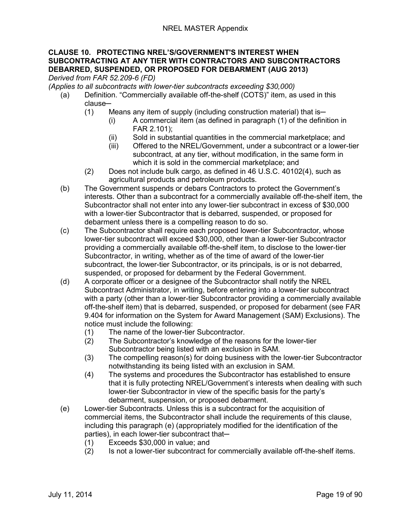#### <span id="page-18-0"></span>**CLAUSE 10. PROTECTING NREL'S/GOVERNMENT'S INTEREST WHEN SUBCONTRACTING AT ANY TIER WITH CONTRACTORS AND SUBCONTRACTORS DEBARRED, SUSPENDED, OR PROPOSED FOR DEBARMENT (AUG 2013)**

<span id="page-18-1"></span>*Derived from FAR 52.209-6 (FD)*

*(Applies to all subcontracts with lower-tier subcontracts exceeding \$30,000)*

- (a) Definition. "Commercially available off-the-shelf (COTS)" item, as used in this clause-
	- $(1)$  Means any item of supply (including construction material) that is-
		- (i) A commercial item (as defined in paragraph (1) of the definition in FAR 2.101);
		- (ii) Sold in substantial quantities in the commercial marketplace; and
		- (iii) Offered to the NREL/Government, under a subcontract or a lower-tier subcontract, at any tier, without modification, in the same form in which it is sold in the commercial marketplace; and
	- (2) Does not include bulk cargo, as defined in 46 U.S.C. 40102(4), such as agricultural products and petroleum products.
- (b) The Government suspends or debars Contractors to protect the Government's interests. Other than a subcontract for a commercially available off-the-shelf item, the Subcontractor shall not enter into any lower-tier subcontract in excess of \$30,000 with a lower-tier Subcontractor that is debarred, suspended, or proposed for debarment unless there is a compelling reason to do so.
- (c) The Subcontractor shall require each proposed lower-tier Subcontractor, whose lower-tier subcontract will exceed \$30,000, other than a lower-tier Subcontractor providing a commercially available off-the-shelf item, to disclose to the lower-tier Subcontractor, in writing, whether as of the time of award of the lower-tier subcontract, the lower-tier Subcontractor, or its principals, is or is not debarred, suspended, or proposed for debarment by the Federal Government.
- (d) A corporate officer or a designee of the Subcontractor shall notify the NREL Subcontract Administrator, in writing, before entering into a lower-tier subcontract with a party (other than a lower-tier Subcontractor providing a commercially available off-the-shelf item) that is debarred, suspended, or proposed for debarment (see FAR 9.404 for information on the System for Award Management (SAM) Exclusions). The notice must include the following:
	- (1) The name of the lower-tier Subcontractor.
	- (2) The Subcontractor's knowledge of the reasons for the lower-tier Subcontractor being listed with an exclusion in SAM.
	- (3) The compelling reason(s) for doing business with the lower-tier Subcontractor notwithstanding its being listed with an exclusion in SAM.
	- (4) The systems and procedures the Subcontractor has established to ensure that it is fully protecting NREL/Government's interests when dealing with such lower-tier Subcontractor in view of the specific basis for the party's debarment, suspension, or proposed debarment.
- (e) Lower-tier Subcontracts. Unless this is a subcontract for the acquisition of commercial items, the Subcontractor shall include the requirements of this clause, including this paragraph (e) (appropriately modified for the identification of the parties), in each lower-tier subcontract that-
	- (1) Exceeds \$30,000 in value; and
	- (2) Is not a lower-tier subcontract for commercially available off-the-shelf items.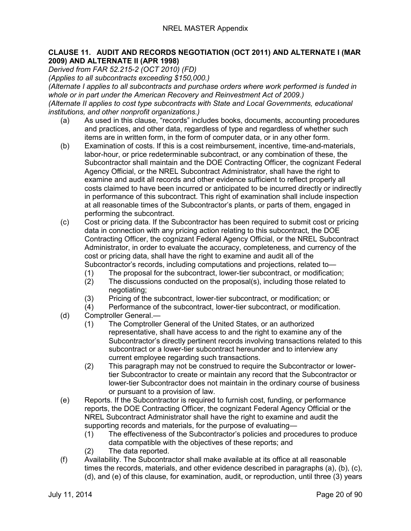#### <span id="page-19-0"></span>**CLAUSE 11. AUDIT AND RECORDS NEGOTIATION (OCT 2011) AND ALTERNATE I (MAR 2009) AND ALTERNATE II (APR 1998)**

<span id="page-19-1"></span>*Derived from FAR 52.215-2 (OCT 2010) (FD)*

<span id="page-19-2"></span>*(Applies to all subcontracts exceeding \$150,000.)*

<span id="page-19-4"></span><span id="page-19-3"></span>*(Alternate I applies to all subcontracts and purchase orders where work performed is funded in whole or in part under the American Recovery and Reinvestment Act of 2009.) (Alternate II applies to cost type subcontracts with State and Local Governments, educational institutions, and other nonprofit organizations.)*

- (a) As used in this clause, "records" includes books, documents, accounting procedures and practices, and other data, regardless of type and regardless of whether such items are in written form, in the form of computer data, or in any other form.
- (b) Examination of costs. If this is a cost reimbursement, incentive, time-and-materials, labor-hour, or price redeterminable subcontract, or any combination of these, the Subcontractor shall maintain and the DOE Contracting Officer, the cognizant Federal Agency Official, or the NREL Subcontract Administrator, shall have the right to examine and audit all records and other evidence sufficient to reflect properly all costs claimed to have been incurred or anticipated to be incurred directly or indirectly in performance of this subcontract. This right of examination shall include inspection at all reasonable times of the Subcontractor's plants, or parts of them, engaged in performing the subcontract.
- (c) Cost or pricing data. If the Subcontractor has been required to submit cost or pricing data in connection with any pricing action relating to this subcontract, the DOE Contracting Officer, the cognizant Federal Agency Official, or the NREL Subcontract Administrator, in order to evaluate the accuracy, completeness, and currency of the cost or pricing data, shall have the right to examine and audit all of the Subcontractor's records, including computations and projections, related to—
	- (1) The proposal for the subcontract, lower-tier subcontract, or modification;
	- (2) The discussions conducted on the proposal(s), including those related to negotiating;
	- (3) Pricing of the subcontract, lower-tier subcontract, or modification; or (4) Performance of the subcontract, lower-tier subcontract, or modification
	- Performance of the subcontract, lower-tier subcontract, or modification.
- (d) Comptroller General.—
	- (1) The Comptroller General of the United States, or an authorized representative, shall have access to and the right to examine any of the Subcontractor's directly pertinent records involving transactions related to this subcontract or a lower-tier subcontract hereunder and to interview any current employee regarding such transactions.
	- (2) This paragraph may not be construed to require the Subcontractor or lowertier Subcontractor to create or maintain any record that the Subcontractor or lower-tier Subcontractor does not maintain in the ordinary course of business or pursuant to a provision of law.
- (e) Reports. If the Subcontractor is required to furnish cost, funding, or performance reports, the DOE Contracting Officer, the cognizant Federal Agency Official or the NREL Subcontract Administrator shall have the right to examine and audit the supporting records and materials, for the purpose of evaluating—
	- (1) The effectiveness of the Subcontractor's policies and procedures to produce data compatible with the objectives of these reports; and
	- (2) The data reported.
- (f) Availability. The Subcontractor shall make available at its office at all reasonable times the records, materials, and other evidence described in paragraphs (a), (b), (c), (d), and (e) of this clause, for examination, audit, or reproduction, until three (3) years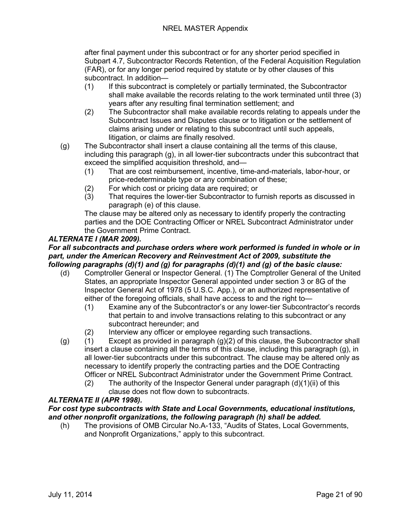after final payment under this subcontract or for any shorter period specified in Subpart 4.7, Subcontractor Records Retention, of the Federal Acquisition Regulation (FAR), or for any longer period required by statute or by other clauses of this subcontract. In addition—

- (1) If this subcontract is completely or partially terminated, the Subcontractor shall make available the records relating to the work terminated until three (3) years after any resulting final termination settlement; and
- (2) The Subcontractor shall make available records relating to appeals under the Subcontract Issues and Disputes clause or to litigation or the settlement of claims arising under or relating to this subcontract until such appeals, litigation, or claims are finally resolved.
- (g) The Subcontractor shall insert a clause containing all the terms of this clause, including this paragraph (g), in all lower-tier subcontracts under this subcontract that exceed the simplified acquisition threshold, and—
	- (1) That are cost reimbursement, incentive, time-and-materials, labor-hour, or price-redeterminable type or any combination of these;
	- (2) For which cost or pricing data are required; or (3) That requires the lower-tier Subcontractor to fu
	- That requires the lower-tier Subcontractor to furnish reports as discussed in paragraph (e) of this clause.

The clause may be altered only as necessary to identify properly the contracting parties and the DOE Contracting Officer or NREL Subcontract Administrator under the Government Prime Contract.

#### *ALTERNATE I (MAR 2009).*

#### *For all subcontracts and purchase orders where work performed is funded in whole or in part, under the American Recovery and Reinvestment Act of 2009, substitute the following paragraphs (d)(1) and (g) for paragraphs (d)(1) and (g) of the basic clause:*

- (d) Comptroller General or Inspector General. (1) The Comptroller General of the United States, an appropriate Inspector General appointed under section 3 or 8G of the Inspector General Act of 1978 (5 U.S.C. App.), or an authorized representative of either of the foregoing officials, shall have access to and the right to—
	- (1) Examine any of the Subcontractor's or any lower-tier Subcontractor's records that pertain to and involve transactions relating to this subcontract or any subcontract hereunder; and
	- (2) Interview any officer or employee regarding such transactions.
- (g)  $(1)$  Except as provided in paragraph  $(g)(2)$  of this clause, the Subcontractor shall insert a clause containing all the terms of this clause, including this paragraph (g), in all lower-tier subcontracts under this subcontract. The clause may be altered only as necessary to identify properly the contracting parties and the DOE Contracting Officer or NREL Subcontract Administrator under the Government Prime Contract.
	- (2) The authority of the Inspector General under paragraph  $(d)(1)(ii)$  of this clause does not flow down to subcontracts.

#### *ALTERNATE II (APR 1998).*

#### *For cost type subcontracts with State and Local Governments, educational institutions, and other nonprofit organizations, the following paragraph (h) shall be added.*

(h) The provisions of OMB Circular No.A-133, "Audits of States, Local Governments, and Nonprofit Organizations," apply to this subcontract.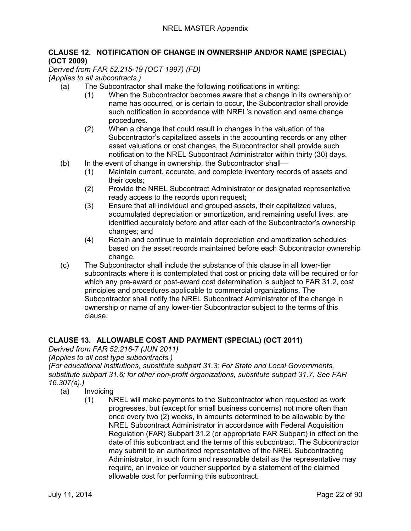#### <span id="page-21-0"></span>**CLAUSE 12. NOTIFICATION OF CHANGE IN OWNERSHIP AND/OR NAME (SPECIAL) (OCT 2009)**

<span id="page-21-1"></span>*Derived from FAR 52.215-19 (OCT 1997) (FD)*

<span id="page-21-2"></span>*(Applies to all subcontracts.)*

- (a) The Subcontractor shall make the following notifications in writing:
	- (1) When the Subcontractor becomes aware that a change in its ownership or name has occurred, or is certain to occur, the Subcontractor shall provide such notification in accordance with NREL's novation and name change procedures.
	- (2) When a change that could result in changes in the valuation of the Subcontractor's capitalized assets in the accounting records or any other asset valuations or cost changes, the Subcontractor shall provide such notification to the NREL Subcontract Administrator within thirty (30) days.
- (b) In the event of change in ownership, the Subcontractor shall
	- (1) Maintain current, accurate, and complete inventory records of assets and their costs;
	- (2) Provide the NREL Subcontract Administrator or designated representative ready access to the records upon request;
	- (3) Ensure that all individual and grouped assets, their capitalized values, accumulated depreciation or amortization, and remaining useful lives, are identified accurately before and after each of the Subcontractor's ownership changes; and
	- (4) Retain and continue to maintain depreciation and amortization schedules based on the asset records maintained before each Subcontractor ownership change.
- (c) The Subcontractor shall include the substance of this clause in all lower-tier subcontracts where it is contemplated that cost or pricing data will be required or for which any pre-award or post-award cost determination is subject to FAR 31.2, cost principles and procedures applicable to commercial organizations. The Subcontractor shall notify the NREL Subcontract Administrator of the change in ownership or name of any lower-tier Subcontractor subject to the terms of this clause.

#### <span id="page-21-3"></span>**CLAUSE 13. ALLOWABLE COST AND PAYMENT (SPECIAL) (OCT 2011)**

<span id="page-21-4"></span>*Derived from FAR 52.216-7 (JUN 2011)*

<span id="page-21-5"></span>*(Applies to all cost type subcontracts.)*

*(For educational institutions, substitute subpart 31.3; For State and Local Governments, substitute subpart 31.6; for other non-profit organizations, substitute subpart 31.7. See FAR 16.307(a).)*

- (a) Invoicing
	- (1) NREL will make payments to the Subcontractor when requested as work progresses, but (except for small business concerns) not more often than once every two (2) weeks, in amounts determined to be allowable by the NREL Subcontract Administrator in accordance with Federal Acquisition Regulation (FAR) Subpart 31.2 (or appropriate FAR Subpart) in effect on the date of this subcontract and the terms of this subcontract. The Subcontractor may submit to an authorized representative of the NREL Subcontracting Administrator, in such form and reasonable detail as the representative may require, an invoice or voucher supported by a statement of the claimed allowable cost for performing this subcontract.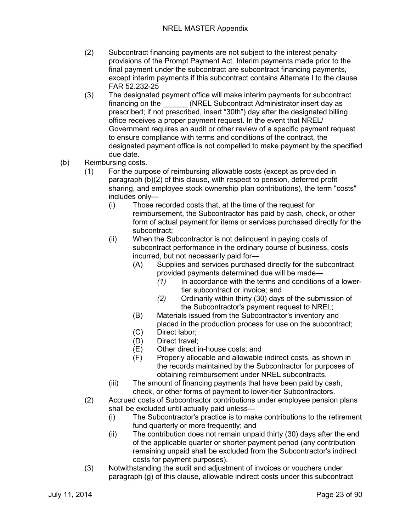- (2) Subcontract financing payments are not subject to the interest penalty provisions of the Prompt Payment Act. Interim payments made prior to the final payment under the subcontract are subcontract financing payments, except interim payments if this subcontract contains Alternate I to the clause FAR 52.232-25
- (3) The designated payment office will make interim payments for subcontract financing on the **CEL Subcontract Administrator insert day as** prescribed; if not prescribed, insert "30th") day after the designated billing office receives a proper payment request. In the event that NREL/ Government requires an audit or other review of a specific payment request to ensure compliance with terms and conditions of the contract, the designated payment office is not compelled to make payment by the specified due date.
- (b) Reimbursing costs.
	- (1) For the purpose of reimbursing allowable costs (except as provided in paragraph (b)(2) of this clause, with respect to pension, deferred profit sharing, and employee stock ownership plan contributions), the term "costs" includes only—
		- (i) Those recorded costs that, at the time of the request for reimbursement, the Subcontractor has paid by cash, check, or other form of actual payment for items or services purchased directly for the subcontract;
		- (ii) When the Subcontractor is not delinquent in paying costs of subcontract performance in the ordinary course of business, costs incurred, but not necessarily paid for—
			- (A) Supplies and services purchased directly for the subcontract provided payments determined due will be made—
				- *(1)* In accordance with the terms and conditions of a lowertier subcontract or invoice; and
				- *(2)* Ordinarily within thirty (30) days of the submission of the Subcontractor's payment request to NREL;
			- (B) Materials issued from the Subcontractor's inventory and placed in the production process for use on the subcontract;
			- (C) Direct labor;
			- (D) Direct travel;
			- (E) Other direct in-house costs; and
			- (F) Properly allocable and allowable indirect costs, as shown in the records maintained by the Subcontractor for purposes of obtaining reimbursement under NREL subcontracts.
		- (iii) The amount of financing payments that have been paid by cash, check, or other forms of payment to lower-tier Subcontractors.
	- (2) Accrued costs of Subcontractor contributions under employee pension plans shall be excluded until actually paid unless—
		- (i) The Subcontractor's practice is to make contributions to the retirement fund quarterly or more frequently; and
		- (ii) The contribution does not remain unpaid thirty (30) days after the end of the applicable quarter or shorter payment period (any contribution remaining unpaid shall be excluded from the Subcontractor's indirect costs for payment purposes).
	- (3) Notwithstanding the audit and adjustment of invoices or vouchers under paragraph (g) of this clause, allowable indirect costs under this subcontract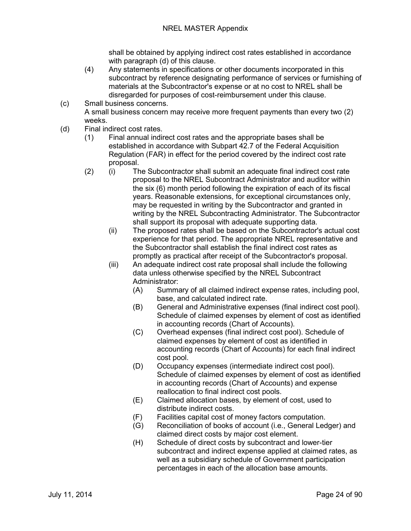shall be obtained by applying indirect cost rates established in accordance with paragraph (d) of this clause.

- (4) Any statements in specifications or other documents incorporated in this subcontract by reference designating performance of services or furnishing of materials at the Subcontractor's expense or at no cost to NREL shall be disregarded for purposes of cost-reimbursement under this clause.
- (c) Small business concerns. A small business concern may receive more frequent payments than every two (2) weeks.
- (d) Final indirect cost rates.
	- (1) Final annual indirect cost rates and the appropriate bases shall be established in accordance with Subpart 42.7 of the Federal Acquisition Regulation (FAR) in effect for the period covered by the indirect cost rate proposal.
	- (2) (i) The Subcontractor shall submit an adequate final indirect cost rate proposal to the NREL Subcontract Administrator and auditor within the six (6) month period following the expiration of each of its fiscal years. Reasonable extensions, for exceptional circumstances only, may be requested in writing by the Subcontractor and granted in writing by the NREL Subcontracting Administrator. The Subcontractor shall support its proposal with adequate supporting data.
		- (ii) The proposed rates shall be based on the Subcontractor's actual cost experience for that period. The appropriate NREL representative and the Subcontractor shall establish the final indirect cost rates as promptly as practical after receipt of the Subcontractor's proposal.
		- (iii) An adequate indirect cost rate proposal shall include the following data unless otherwise specified by the NREL Subcontract Administrator:
			- (A) Summary of all claimed indirect expense rates, including pool, base, and calculated indirect rate.
			- (B) General and Administrative expenses (final indirect cost pool). Schedule of claimed expenses by element of cost as identified in accounting records (Chart of Accounts).
			- (C) Overhead expenses (final indirect cost pool). Schedule of claimed expenses by element of cost as identified in accounting records (Chart of Accounts) for each final indirect cost pool.
			- (D) Occupancy expenses (intermediate indirect cost pool). Schedule of claimed expenses by element of cost as identified in accounting records (Chart of Accounts) and expense reallocation to final indirect cost pools.
			- (E) Claimed allocation bases, by element of cost, used to distribute indirect costs.
			- (F) Facilities capital cost of money factors computation.
			- (G) Reconciliation of books of account (i.e., General Ledger) and claimed direct costs by major cost element.
			- (H) Schedule of direct costs by subcontract and lower-tier subcontract and indirect expense applied at claimed rates, as well as a subsidiary schedule of Government participation percentages in each of the allocation base amounts.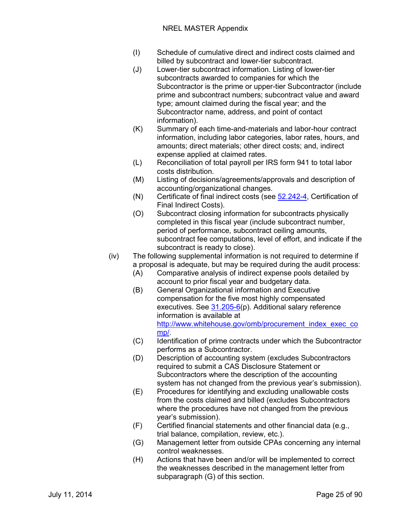#### NREL MASTER Appendix

- (I) Schedule of cumulative direct and indirect costs claimed and billed by subcontract and lower-tier subcontract.
- (J) Lower-tier subcontract information. Listing of lower-tier subcontracts awarded to companies for which the Subcontractor is the prime or upper-tier Subcontractor (include prime and subcontract numbers; subcontract value and award type; amount claimed during the fiscal year; and the Subcontractor name, address, and point of contact information).
- (K) Summary of each time-and-materials and labor-hour contract information, including labor categories, labor rates, hours, and amounts; direct materials; other direct costs; and, indirect expense applied at claimed rates.
- (L) Reconciliation of total payroll per IRS form 941 to total labor costs distribution.
- (M) Listing of decisions/agreements/approvals and description of accounting/organizational changes.
- (N) Certificate of final indirect costs (see [52.242-4,](https://www.acquisition.gov/far/current/html/52_241_244.html#wp1128814) Certification of Final Indirect Costs).
- (O) Subcontract closing information for subcontracts physically completed in this fiscal year (include subcontract number, period of performance, subcontract ceiling amounts, subcontract fee computations, level of effort, and indicate if the subcontract is ready to close).
- (iv) The following supplemental information is not required to determine if a proposal is adequate, but may be required during the audit process:
	- (A) Comparative analysis of indirect expense pools detailed by account to prior fiscal year and budgetary data.
	- (B) General Organizational information and Executive compensation for the five most highly compensated executives. See [31.205-6\(](https://www.acquisition.gov/far/current/html/Subpart%2031_2.html#wp1095659)p). Additional salary reference information is available at [http://www.whitehouse.gov/omb/procurement\\_index\\_exec\\_co](http://www.whitehouse.gov/omb/procurement_index_exec_comp/) [mp/.](http://www.whitehouse.gov/omb/procurement_index_exec_comp/)
	- (C) Identification of prime contracts under which the Subcontractor performs as a Subcontractor.
	- (D) Description of accounting system (excludes Subcontractors required to submit a CAS Disclosure Statement or Subcontractors where the description of the accounting system has not changed from the previous year's submission).
	- (E) Procedures for identifying and excluding unallowable costs from the costs claimed and billed (excludes Subcontractors where the procedures have not changed from the previous year's submission).
	- (F) Certified financial statements and other financial data (e.g., trial balance, compilation, review, etc.).
	- (G) Management letter from outside CPAs concerning any internal control weaknesses.
	- (H) Actions that have been and/or will be implemented to correct the weaknesses described in the management letter from subparagraph (G) of this section.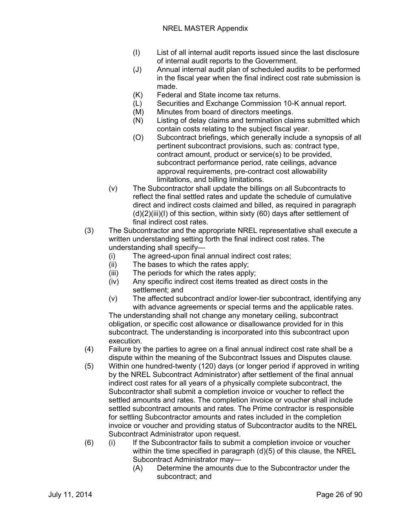- (I) List of all internal audit reports issued since the last disclosure of internal audit reports to the Government.
- (J) Annual internal audit plan of scheduled audits to be performed in the fiscal year when the final indirect cost rate submission is made.
- (K) Federal and State income tax returns.
- (L) Securities and Exchange Commission 10-K annual report.
- (M) Minutes from board of directors meetings.
- (N) Listing of delay claims and termination claims submitted which contain costs relating to the subject fiscal year.
- (O) Subcontract briefings, which generally include a synopsis of all pertinent subcontract provisions, such as: contract type, contract amount, product or service(s) to be provided, subcontract performance period, rate ceilings, advance approval requirements, pre-contract cost allowability limitations, and billing limitations.
- (v) The Subcontractor shall update the billings on all Subcontracts to reflect the final settled rates and update the schedule of cumulative direct and indirect costs claimed and billed, as required in paragraph (d)(2)(iii)(I) of this section, within sixty (60) days after settlement of final indirect cost rates.
- (3) The Subcontractor and the appropriate NREL representative shall execute a written understanding setting forth the final indirect cost rates. The understanding shall specify—
	- (i) The agreed-upon final annual indirect cost rates;
	- (ii) The bases to which the rates apply;
	- (iii) The periods for which the rates apply;
	- (iv) Any specific indirect cost items treated as direct costs in the settlement; and
	- (v) The affected subcontract and/or lower-tier subcontract, identifying any with advance agreements or special terms and the applicable rates.

The understanding shall not change any monetary ceiling, subcontract obligation, or specific cost allowance or disallowance provided for in this subcontract. The understanding is incorporated into this subcontract upon execution.

- (4) Failure by the parties to agree on a final annual indirect cost rate shall be a dispute within the meaning of the Subcontract Issues and Disputes clause.
- (5) Within one hundred-twenty (120) days (or longer period if approved in writing by the NREL Subcontract Administrator) after settlement of the final annual indirect cost rates for all years of a physically complete subcontract, the Subcontractor shall submit a completion invoice or voucher to reflect the settled amounts and rates. The completion invoice or voucher shall include settled subcontract amounts and rates. The Prime contractor is responsible for settling Subcontractor amounts and rates included in the completion invoice or voucher and providing status of Subcontractor audits to the NREL Subcontract Administrator upon request.
- (6) (i) If the Subcontractor fails to submit a completion invoice or voucher within the time specified in paragraph (d)(5) of this clause, the NREL Subcontract Administrator may—
	- (A) Determine the amounts due to the Subcontractor under the subcontract; and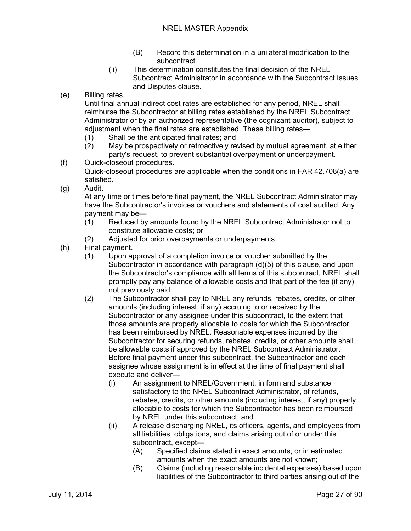- (B) Record this determination in a unilateral modification to the subcontract.
- (ii) This determination constitutes the final decision of the NREL Subcontract Administrator in accordance with the Subcontract Issues and Disputes clause.
- (e) Billing rates.

Until final annual indirect cost rates are established for any period, NREL shall reimburse the Subcontractor at billing rates established by the NREL Subcontract Administrator or by an authorized representative (the cognizant auditor), subject to adjustment when the final rates are established. These billing rates—

- (1) Shall be the anticipated final rates; and
- (2) May be prospectively or retroactively revised by mutual agreement, at either party's request, to prevent substantial overpayment or underpayment.
- (f) Quick-closeout procedures. Quick-closeout procedures are applicable when the conditions in FAR 42.708(a) are satisfied.
- (g) Audit.

At any time or times before final payment, the NREL Subcontract Administrator may have the Subcontractor's invoices or vouchers and statements of cost audited. Any payment may be—

- (1) Reduced by amounts found by the NREL Subcontract Administrator not to constitute allowable costs; or
- (2) Adjusted for prior overpayments or underpayments.
- (h) Final payment.
	- (1) Upon approval of a completion invoice or voucher submitted by the Subcontractor in accordance with paragraph (d)(5) of this clause, and upon the Subcontractor's compliance with all terms of this subcontract, NREL shall promptly pay any balance of allowable costs and that part of the fee (if any) not previously paid.
	- (2) The Subcontractor shall pay to NREL any refunds, rebates, credits, or other amounts (including interest, if any) accruing to or received by the Subcontractor or any assignee under this subcontract, to the extent that those amounts are properly allocable to costs for which the Subcontractor has been reimbursed by NREL. Reasonable expenses incurred by the Subcontractor for securing refunds, rebates, credits, or other amounts shall be allowable costs if approved by the NREL Subcontract Administrator. Before final payment under this subcontract, the Subcontractor and each assignee whose assignment is in effect at the time of final payment shall execute and deliver—
		- (i) An assignment to NREL/Government, in form and substance satisfactory to the NREL Subcontract Administrator, of refunds, rebates, credits, or other amounts (including interest, if any) properly allocable to costs for which the Subcontractor has been reimbursed by NREL under this subcontract; and
		- (ii) A release discharging NREL, its officers, agents, and employees from all liabilities, obligations, and claims arising out of or under this subcontract, except—
			- (A) Specified claims stated in exact amounts, or in estimated amounts when the exact amounts are not known;
			- (B) Claims (including reasonable incidental expenses) based upon liabilities of the Subcontractor to third parties arising out of the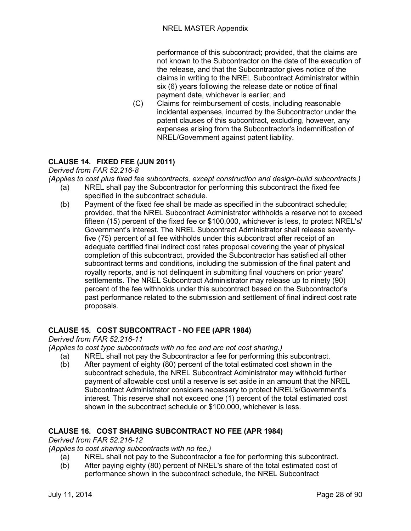performance of this subcontract; provided, that the claims are not known to the Subcontractor on the date of the execution of the release, and that the Subcontractor gives notice of the claims in writing to the NREL Subcontract Administrator within six (6) years following the release date or notice of final payment date, whichever is earlier; and

(C) Claims for reimbursement of costs, including reasonable incidental expenses, incurred by the Subcontractor under the patent clauses of this subcontract, excluding, however, any expenses arising from the Subcontractor's indemnification of NREL/Government against patent liability.

#### <span id="page-27-0"></span>**CLAUSE 14. FIXED FEE (JUN 2011)**

<span id="page-27-1"></span>*Derived from FAR 52.216-8*

<span id="page-27-2"></span>*(Applies to cost plus fixed fee subcontracts, except construction and design-build subcontracts.)*

- (a) NREL shall pay the Subcontractor for performing this subcontract the fixed fee specified in the subcontract schedule.
- (b) Payment of the fixed fee shall be made as specified in the subcontract schedule; provided, that the NREL Subcontract Administrator withholds a reserve not to exceed fifteen (15) percent of the fixed fee or \$100,000, whichever is less, to protect NREL's/ Government's interest. The NREL Subcontract Administrator shall release seventyfive (75) percent of all fee withholds under this subcontract after receipt of an adequate certified final indirect cost rates proposal covering the year of physical completion of this subcontract, provided the Subcontractor has satisfied all other subcontract terms and conditions, including the submission of the final patent and royalty reports, and is not delinquent in submitting final vouchers on prior years' settlements. The NREL Subcontract Administrator may release up to ninety (90) percent of the fee withholds under this subcontract based on the Subcontractor's past performance related to the submission and settlement of final indirect cost rate proposals.

#### <span id="page-27-3"></span>**CLAUSE 15. COST SUBCONTRACT - NO FEE (APR 1984)**

<span id="page-27-4"></span>*Derived from FAR 52.216-11*

<span id="page-27-5"></span>*(Applies to cost type subcontracts with no fee and are not cost sharing.)*

- (a) NREL shall not pay the Subcontractor a fee for performing this subcontract.
- (b) After payment of eighty (80) percent of the total estimated cost shown in the subcontract schedule, the NREL Subcontract Administrator may withhold further payment of allowable cost until a reserve is set aside in an amount that the NREL Subcontract Administrator considers necessary to protect NREL's/Government's interest. This reserve shall not exceed one (1) percent of the total estimated cost shown in the subcontract schedule or \$100,000, whichever is less.

#### <span id="page-27-6"></span>**CLAUSE 16. COST SHARING SUBCONTRACT NO FEE (APR 1984)**

<span id="page-27-7"></span>*Derived from FAR 52.216-12*

<span id="page-27-8"></span>*(Applies to cost sharing subcontracts with no fee.)*

- (a) NREL shall not pay to the Subcontractor a fee for performing this subcontract.
- (b) After paying eighty (80) percent of NREL's share of the total estimated cost of performance shown in the subcontract schedule, the NREL Subcontract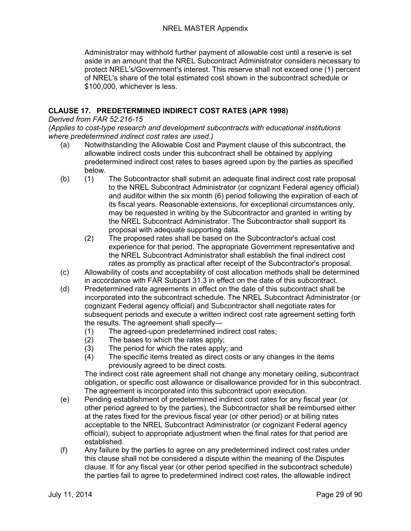Administrator may withhold further payment of allowable cost until a reserve is set aside in an amount that the NREL Subcontract Administrator considers necessary to protect NREL's/Government's interest. This reserve shall not exceed one (1) percent of NREL's share of the total estimated cost shown in the subcontract schedule or \$100,000, whichever is less.

#### <span id="page-28-0"></span>**CLAUSE 17. PREDETERMINED INDIRECT COST RATES (APR 1998)**

<span id="page-28-1"></span>*Derived from FAR 52.216-15*

<span id="page-28-2"></span>*(Applies to cost-type research and development subcontracts with educational institutions where predetermined indirect cost rates are used.)*

- (a) Notwithstanding the Allowable Cost and Payment clause of this subcontract, the allowable indirect costs under this subcontract shall be obtained by applying predetermined indirect cost rates to bases agreed upon by the parties as specified below.
- (b) (1) The Subcontractor shall submit an adequate final indirect cost rate proposal to the NREL Subcontract Administrator (or cognizant Federal agency official) and auditor within the six month (6) period following the expiration of each of its fiscal years. Reasonable extensions, for exceptional circumstances only, may be requested in writing by the Subcontractor and granted in writing by the NREL Subcontract Administrator. The Subcontractor shall support its proposal with adequate supporting data.
	- (2) The proposed rates shall be based on the Subcontractor's actual cost experience for that period. The appropriate Government representative and the NREL Subcontract Administrator shall establish the final indirect cost rates as promptly as practical after receipt of the Subcontractor's proposal.
- (c) Allowability of costs and acceptability of cost allocation methods shall be determined in accordance with FAR Subpart 31.3 in effect on the date of this subcontract.
- (d) Predetermined rate agreements in effect on the date of this subcontract shall be incorporated into the subcontract schedule. The NREL Subcontract Administrator (or cognizant Federal agency official) and Subcontractor shall negotiate rates for subsequent periods and execute a written indirect cost rate agreement setting forth the results. The agreement shall specify—
	- (1) The agreed-upon predetermined indirect cost rates;
	- (2) The bases to which the rates apply;
	- (3) The period for which the rates apply; and
	- (4) The specific items treated as direct costs or any changes in the items previously agreed to be direct costs.

The indirect cost rate agreement shall not change any monetary ceiling, subcontract obligation, or specific cost allowance or disallowance provided for in this subcontract. The agreement is incorporated into this subcontract upon execution.

- (e) Pending establishment of predetermined indirect cost rates for any fiscal year (or other period agreed to by the parties), the Subcontractor shall be reimbursed either at the rates fixed for the previous fiscal year (or other period) or at billing rates acceptable to the NREL Subcontract Administrator (or cognizant Federal agency official), subject to appropriate adjustment when the final rates for that period are established.
- (f) Any failure by the parties to agree on any predetermined indirect cost rates under this clause shall not be considered a dispute within the meaning of the Disputes clause. If for any fiscal year (or other period specified in the subcontract schedule) the parties fail to agree to predetermined indirect cost rates, the allowable indirect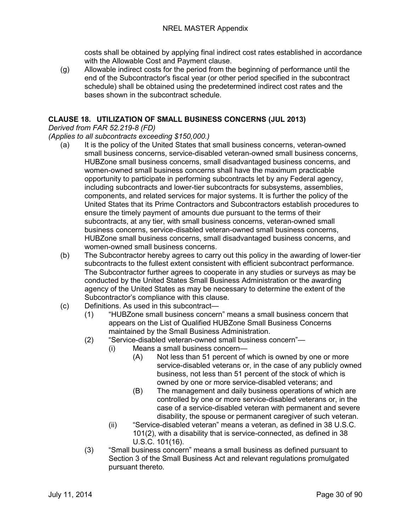costs shall be obtained by applying final indirect cost rates established in accordance with the Allowable Cost and Payment clause.

(g) Allowable indirect costs for the period from the beginning of performance until the end of the Subcontractor's fiscal year (or other period specified in the subcontract schedule) shall be obtained using the predetermined indirect cost rates and the bases shown in the subcontract schedule.

#### <span id="page-29-0"></span>**CLAUSE 18. UTILIZATION OF SMALL BUSINESS CONCERNS (JUL 2013)**

#### <span id="page-29-1"></span>*Derived from FAR 52.219-8 (FD)*

#### <span id="page-29-2"></span>*(Applies to all subcontracts exceeding \$150,000.)*

- (a) It is the policy of the United States that small business concerns, veteran-owned small business concerns, service-disabled veteran-owned small business concerns, HUBZone small business concerns, small disadvantaged business concerns, and women-owned small business concerns shall have the maximum practicable opportunity to participate in performing subcontracts let by any Federal agency, including subcontracts and lower-tier subcontracts for subsystems, assemblies, components, and related services for major systems. It is further the policy of the United States that its Prime Contractors and Subcontractors establish procedures to ensure the timely payment of amounts due pursuant to the terms of their subcontracts, at any tier, with small business concerns, veteran-owned small business concerns, service-disabled veteran-owned small business concerns, HUBZone small business concerns, small disadvantaged business concerns, and women-owned small business concerns.
- (b) The Subcontractor hereby agrees to carry out this policy in the awarding of lower-tier subcontracts to the fullest extent consistent with efficient subcontract performance. The Subcontractor further agrees to cooperate in any studies or surveys as may be conducted by the United States Small Business Administration or the awarding agency of the United States as may be necessary to determine the extent of the Subcontractor's compliance with this clause.
- (c) Definitions. As used in this subcontract—
	- (1) "HUBZone small business concern" means a small business concern that appears on the List of Qualified HUBZone Small Business Concerns maintained by the Small Business Administration.
	- (2) "Service-disabled veteran-owned small business concern"—
		- (i) Means a small business concern—
			- (A) Not less than 51 percent of which is owned by one or more service-disabled veterans or, in the case of any publicly owned business, not less than 51 percent of the stock of which is owned by one or more service-disabled veterans; and
			- (B) The management and daily business operations of which are controlled by one or more service-disabled veterans or, in the case of a service-disabled veteran with permanent and severe disability, the spouse or permanent caregiver of such veteran.
		- (ii) "Service-disabled veteran" means a veteran, as defined in 38 U.S.C. 101(2), with a disability that is service-connected, as defined in 38 U.S.C. 101(16).
	- (3) "Small business concern" means a small business as defined pursuant to Section 3 of the Small Business Act and relevant regulations promulgated pursuant thereto.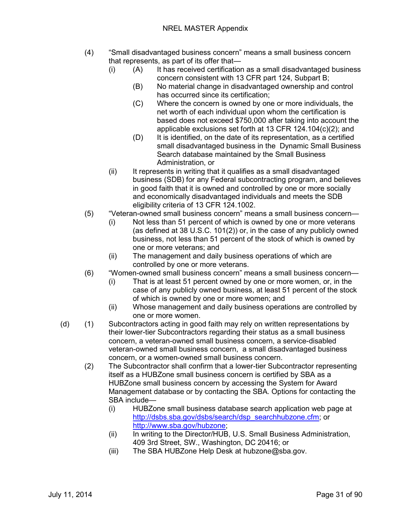- (4) "Small disadvantaged business concern" means a small business concern that represents, as part of its offer that—
	- (i) (A) It has received certification as a small disadvantaged business concern consistent with 13 CFR part 124, Subpart B;
		- (B) No material change in disadvantaged ownership and control has occurred since its certification;
		- (C) Where the concern is owned by one or more individuals, the net worth of each individual upon whom the certification is based does not exceed \$750,000 after taking into account the applicable exclusions set forth at 13 CFR 124.104(c)(2); and
		- (D) It is identified, on the date of its representation, as a certified small disadvantaged business in the Dynamic Small Business Search database maintained by the Small Business Administration, or
	- (ii) It represents in writing that it qualifies as a small disadvantaged business (SDB) for any Federal subcontracting program, and believes in good faith that it is owned and controlled by one or more socially and economically disadvantaged individuals and meets the SDB eligibility criteria of 13 CFR 124.1002.
- (5) "Veteran-owned small business concern" means a small business concern—
	- (i) Not less than 51 percent of which is owned by one or more veterans (as defined at 38 U.S.C. 101(2)) or, in the case of any publicly owned business, not less than 51 percent of the stock of which is owned by one or more veterans; and
	- (ii) The management and daily business operations of which are controlled by one or more veterans.
- (6) "Women-owned small business concern" means a small business concern—
	- (i) That is at least 51 percent owned by one or more women, or, in the case of any publicly owned business, at least 51 percent of the stock of which is owned by one or more women; and
	- (ii) Whose management and daily business operations are controlled by one or more women.
- (d) (1) Subcontractors acting in good faith may rely on written representations by their lower-tier Subcontractors regarding their status as a small business concern, a veteran-owned small business concern, a service-disabled veteran-owned small business concern, a small disadvantaged business concern, or a women-owned small business concern.
	- (2) The Subcontractor shall confirm that a lower-tier Subcontractor representing itself as a HUBZone small business concern is certified by SBA as a HUBZone small business concern by accessing the System for Award Management database or by contacting the SBA. Options for contacting the SBA include—
		- (i) HUBZone small business database search application web page at [http://dsbs.sba.gov/dsbs/search/dsp\\_searchhubzone.cfm;](http://dsbs.sba.gov/dsbs/search/dsp_searchhubzone.cfm) or [http://www.sba.gov/hubzone;](http://www.sba.gov/hubzone)
		- (ii) In writing to the Director/HUB, U.S. Small Business Administration, 409 3rd Street, SW., Washington, DC 20416; or
		- (iii) The SBA HUBZone Help Desk at hubzone@sba.gov.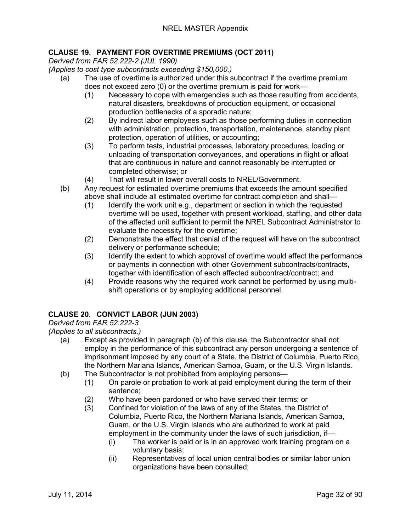#### <span id="page-31-0"></span>**CLAUSE 19. PAYMENT FOR OVERTIME PREMIUMS (OCT 2011)**

<span id="page-31-1"></span>*Derived from FAR 52.222-2 (JUL 1990)*

- <span id="page-31-2"></span>*(Applies to cost type subcontracts exceeding \$150,000.)*
	- (a) The use of overtime is authorized under this subcontract if the overtime premium does not exceed zero (0) or the overtime premium is paid for work—
		- (1) Necessary to cope with emergencies such as those resulting from accidents, natural disasters, breakdowns of production equipment, or occasional production bottlenecks of a sporadic nature;
		- (2) By indirect labor employees such as those performing duties in connection with administration, protection, transportation, maintenance, standby plant protection, operation of utilities, or accounting;
		- (3) To perform tests, industrial processes, laboratory procedures, loading or unloading of transportation conveyances, and operations in flight or afloat that are continuous in nature and cannot reasonably be interrupted or completed otherwise; or
		- (4) That will result in lower overall costs to NREL/Government.
	- (b) Any request for estimated overtime premiums that exceeds the amount specified above shall include all estimated overtime for contract completion and shall—
		- (1) Identify the work unit e.g., department or section in which the requested overtime will be used, together with present workload, staffing, and other data of the affected unit sufficient to permit the NREL Subcontract Administrator to evaluate the necessity for the overtime;
		- (2) Demonstrate the effect that denial of the request will have on the subcontract delivery or performance schedule;
		- (3) Identify the extent to which approval of overtime would affect the performance or payments in connection with other Government subcontracts/contracts, together with identification of each affected subcontract/contract; and
		- (4) Provide reasons why the required work cannot be performed by using multishift operations or by employing additional personnel.

#### <span id="page-31-3"></span>**CLAUSE 20. CONVICT LABOR (JUN 2003)**

#### <span id="page-31-4"></span>*Derived from FAR 52.222-3*

<span id="page-31-5"></span>*(Applies to all subcontracts.)*

- (a) Except as provided in paragraph (b) of this clause, the Subcontractor shall not employ in the performance of this subcontract any person undergoing a sentence of imprisonment imposed by any court of a State, the District of Columbia, Puerto Rico, the Northern Mariana Islands, American Samoa, Guam, or the U.S. Virgin Islands.
- (b) The Subcontractor is not prohibited from employing persons—
	- (1) On parole or probation to work at paid employment during the term of their sentence;
	- (2) Who have been pardoned or who have served their terms; or
	- (3) Confined for violation of the laws of any of the States, the District of Columbia, Puerto Rico, the Northern Mariana Islands, American Samoa, Guam, or the U.S. Virgin Islands who are authorized to work at paid employment in the community under the laws of such jurisdiction, if—
		- (i) The worker is paid or is in an approved work training program on a voluntary basis;
		- (ii) Representatives of local union central bodies or similar labor union organizations have been consulted;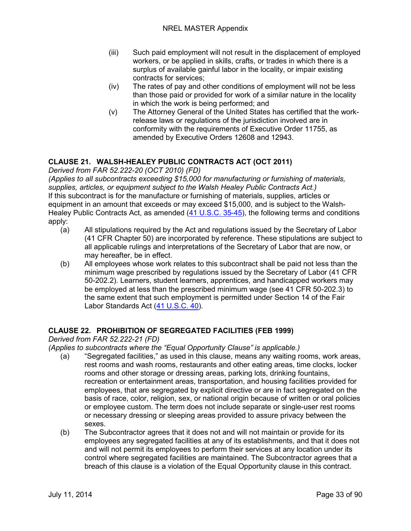- (iii) Such paid employment will not result in the displacement of employed workers, or be applied in skills, crafts, or trades in which there is a surplus of available gainful labor in the locality, or impair existing contracts for services;
- (iv) The rates of pay and other conditions of employment will not be less than those paid or provided for work of a similar nature in the locality in which the work is being performed; and
- (v) The Attorney General of the United States has certified that the workrelease laws or regulations of the jurisdiction involved are in conformity with the requirements of Executive Order 11755, as amended by Executive Orders 12608 and 12943.

#### <span id="page-32-0"></span>**CLAUSE 21. WALSH-HEALEY PUBLIC CONTRACTS ACT (OCT 2011)**

<span id="page-32-1"></span>*Derived from FAR 52.222-20 (OCT 2010) (FD)*

<span id="page-32-2"></span>*(Applies to all subcontracts exceeding \$15,000 for manufacturing or furnishing of materials, supplies, articles, or equipment subject to the Walsh Healey Public Contracts Act.)* If this subcontract is for the manufacture or furnishing of materials, supplies, articles or equipment in an amount that exceeds or may exceed \$15,000, and is subject to the Walsh-Healey Public Contracts Act, as amended [\(41 U.S.C. 35-45\)](http://uscode.house.gov/uscode-cgi/fastweb.exe?getdoc+uscview+t41t42+2+13++%2841%29%20%20AND%20%28%2841%29%20ADJ%20USC%29%3ACITE%20%20%20%20%20%20%20%20%20), the following terms and conditions apply:

- (a) All stipulations required by the Act and regulations issued by the Secretary of Labor (41 CFR Chapter 50) are incorporated by reference. These stipulations are subject to all applicable rulings and interpretations of the Secretary of Labor that are now, or may hereafter, be in effect.
- (b) All employees whose work relates to this subcontract shall be paid not less than the minimum wage prescribed by regulations issued by the Secretary of Labor (41 CFR 50-202.2). Learners, student learners, apprentices, and handicapped workers may be employed at less than the prescribed minimum wage (see 41 CFR 50-202.3) to the same extent that such employment is permitted under Section 14 of the Fair Labor Standards Act [\(41 U.S.C. 40\)](http://uscode.house.gov/uscode-cgi/fastweb.exe?getdoc+uscview+t41t42+2+13++%2841%29%20%20AND%20%28%2841%29%20ADJ%20USC%29%3ACITE%20%20%20%20%20%20%20%20%20).

#### <span id="page-32-3"></span>**CLAUSE 22. PROHIBITION OF SEGREGATED FACILITIES (FEB 1999)**

<span id="page-32-4"></span>*Derived from FAR 52.222-21 (FD)*

<span id="page-32-5"></span>*(Applies to subcontracts where the "Equal Opportunity Clause" is applicable.)*

- (a) "Segregated facilities," as used in this clause, means any waiting rooms, work areas, rest rooms and wash rooms, restaurants and other eating areas, time clocks, locker rooms and other storage or dressing areas, parking lots, drinking fountains, recreation or entertainment areas, transportation, and housing facilities provided for employees, that are segregated by explicit directive or are in fact segregated on the basis of race, color, religion, sex, or national origin because of written or oral policies or employee custom. The term does not include separate or single-user rest rooms or necessary dressing or sleeping areas provided to assure privacy between the sexes.
- (b) The Subcontractor agrees that it does not and will not maintain or provide for its employees any segregated facilities at any of its establishments, and that it does not and will not permit its employees to perform their services at any location under its control where segregated facilities are maintained. The Subcontractor agrees that a breach of this clause is a violation of the Equal Opportunity clause in this contract.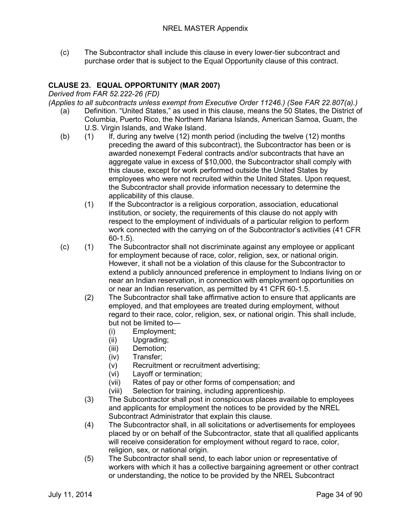(c) The Subcontractor shall include this clause in every lower-tier subcontract and purchase order that is subject to the Equal Opportunity clause of this contract.

#### <span id="page-33-0"></span>**CLAUSE 23. EQUAL OPPORTUNITY (MAR 2007)**

<span id="page-33-1"></span>*Derived from FAR 52.222-26 (FD)* 

<span id="page-33-2"></span>*(Applies to all subcontracts unless exempt from Executive Order 11246.) (See FAR 22.807(a).)*

- (a) Definition. "United States," as used in this clause, means the 50 States, the District of Columbia, Puerto Rico, the Northern Mariana Islands, American Samoa, Guam, the U.S. Virgin Islands, and Wake Island.
- (b) (1) If, during any twelve (12) month period (including the twelve (12) months preceding the award of this subcontract), the Subcontractor has been or is awarded nonexempt Federal contracts and/or subcontracts that have an aggregate value in excess of \$10,000, the Subcontractor shall comply with this clause, except for work performed outside the United States by employees who were not recruited within the United States. Upon request, the Subcontractor shall provide information necessary to determine the applicability of this clause.
	- (1) If the Subcontractor is a religious corporation, association, educational institution, or society, the requirements of this clause do not apply with respect to the employment of individuals of a particular religion to perform work connected with the carrying on of the Subcontractor's activities (41 CFR 60-1.5).
- (c) (1) The Subcontractor shall not discriminate against any employee or applicant for employment because of race, color, religion, sex, or national origin. However, it shall not be a violation of this clause for the Subcontractor to extend a publicly announced preference in employment to Indians living on or near an Indian reservation, in connection with employment opportunities on or near an Indian reservation, as permitted by 41 CFR 60-1.5.
	- (2) The Subcontractor shall take affirmative action to ensure that applicants are employed, and that employees are treated during employment, without regard to their race, color, religion, sex, or national origin. This shall include, but not be limited to—
		- (i) Employment;
		- (ii) Upgrading;
		- (iii) Demotion;
		- (iv) Transfer;
		- (v) Recruitment or recruitment advertising;
		- (vi) Layoff or termination;
		- (vii) Rates of pay or other forms of compensation; and
		- (viii) Selection for training, including apprenticeship.
	- (3) The Subcontractor shall post in conspicuous places available to employees and applicants for employment the notices to be provided by the NREL Subcontract Administrator that explain this clause.
	- (4) The Subcontractor shall, in all solicitations or advertisements for employees placed by or on behalf of the Subcontractor, state that all qualified applicants will receive consideration for employment without regard to race, color, religion, sex, or national origin.
	- (5) The Subcontractor shall send, to each labor union or representative of workers with which it has a collective bargaining agreement or other contract or understanding, the notice to be provided by the NREL Subcontract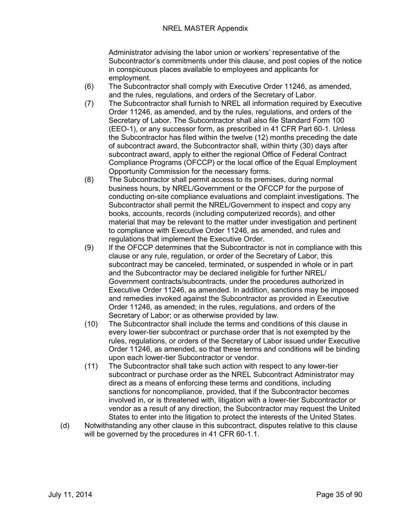Administrator advising the labor union or workers' representative of the Subcontractor's commitments under this clause, and post copies of the notice in conspicuous places available to employees and applicants for employment.

- (6) The Subcontractor shall comply with Executive Order 11246, as amended, and the rules, regulations, and orders of the Secretary of Labor.
- (7) The Subcontractor shall furnish to NREL all information required by Executive Order 11246, as amended, and by the rules, regulations, and orders of the Secretary of Labor. The Subcontractor shall also file Standard Form 100 (EEO-1), or any successor form, as prescribed in 41 CFR Part 60-1. Unless the Subcontractor has filed within the twelve (12) months preceding the date of subcontract award, the Subcontractor shall, within thirty (30) days after subcontract award, apply to either the regional Office of Federal Contract Compliance Programs (OFCCP) or the local office of the Equal Employment Opportunity Commission for the necessary forms.
- (8) The Subcontractor shall permit access to its premises, during normal business hours, by NREL/Government or the OFCCP for the purpose of conducting on-site compliance evaluations and complaint investigations. The Subcontractor shall permit the NREL/Government to inspect and copy any books, accounts, records (including computerized records), and other material that may be relevant to the matter under investigation and pertinent to compliance with Executive Order 11246, as amended, and rules and regulations that implement the Executive Order.
- (9) If the OFCCP determines that the Subcontractor is not in compliance with this clause or any rule, regulation, or order of the Secretary of Labor, this subcontract may be canceled, terminated, or suspended in whole or in part and the Subcontractor may be declared ineligible for further NREL/ Government contracts/subcontracts, under the procedures authorized in Executive Order 11246, as amended. In addition, sanctions may be imposed and remedies invoked against the Subcontractor as provided in Executive Order 11246, as amended; in the rules, regulations, and orders of the Secretary of Labor; or as otherwise provided by law.
- (10) The Subcontractor shall include the terms and conditions of this clause in every lower-tier subcontract or purchase order that is not exempted by the rules, regulations, or orders of the Secretary of Labor issued under Executive Order 11246, as amended, so that these terms and conditions will be binding upon each lower-tier Subcontractor or vendor.
- (11) The Subcontractor shall take such action with respect to any lower-tier subcontract or purchase order as the NREL Subcontract Administrator may direct as a means of enforcing these terms and conditions, including sanctions for noncompliance, provided, that if the Subcontractor becomes involved in, or is threatened with, litigation with a lower-tier Subcontractor or vendor as a result of any direction, the Subcontractor may request the United States to enter into the litigation to protect the interests of the United States.
- (d) Notwithstanding any other clause in this subcontract, disputes relative to this clause will be governed by the procedures in 41 CFR 60-1.1.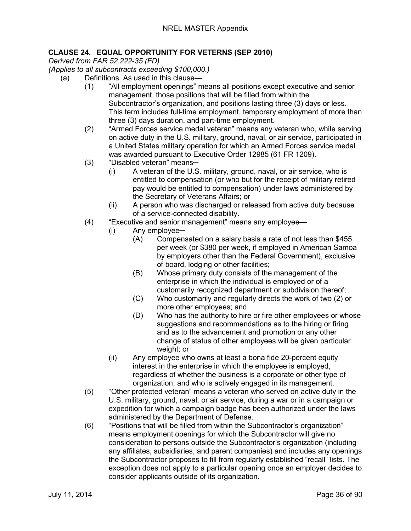#### <span id="page-35-0"></span>**CLAUSE 24. EQUAL OPPORTUNITY FOR VETERNS (SEP 2010)**

<span id="page-35-1"></span>*Derived from FAR 52.222-35 (FD)*

<span id="page-35-2"></span>*(Applies to all subcontracts exceeding \$100,000.)*

- (a) Definitions. As used in this clause—
	- (1) "All employment openings" means all positions except executive and senior management, those positions that will be filled from within the Subcontractor's organization, and positions lasting three (3) days or less. This term includes full-time employment, temporary employment of more than three (3) days duration, and part-time employment.
	- (2) "Armed Forces service medal veteran" means any veteran who, while serving on active duty in the U.S. military, ground, naval, or air service, participated in a United States military operation for which an Armed Forces service medal was awarded pursuant to Executive Order 12985 (61 FR 1209).
	- (3) "Disabled veteran" means-
		- (i) A veteran of the U.S. military, ground, naval, or air service, who is entitled to compensation (or who but for the receipt of military retired pay would be entitled to compensation) under laws administered by the Secretary of Veterans Affairs; or
		- (ii) A person who was discharged or released from active duty because of a service-connected disability.
	- (4) "Executive and senior management" means any employee—
		- (i) Any employee-
			- (A) Compensated on a salary basis a rate of not less than \$455 per week (or \$380 per week, if employed in American Samoa by employers other than the Federal Government), exclusive of board, lodging or other facilities;
			- (B) Whose primary duty consists of the management of the enterprise in which the individual is employed or of a customarily recognized department or subdivision thereof;
			- (C) Who customarily and regularly directs the work of two (2) or more other employees; and
			- (D) Who has the authority to hire or fire other employees or whose suggestions and recommendations as to the hiring or firing and as to the advancement and promotion or any other change of status of other employees will be given particular weight; or
		- (ii) Any employee who owns at least a bona fide 20-percent equity interest in the enterprise in which the employee is employed, regardless of whether the business is a corporate or other type of organization, and who is actively engaged in its management.
	- (5) "Other protected veteran" means a veteran who served on active duty in the U.S. military, ground, naval, or air service, during a war or in a campaign or expedition for which a campaign badge has been authorized under the laws administered by the Department of Defense.
	- (6) "Positions that will be filled from within the Subcontractor's organization" means employment openings for which the Subcontractor will give no consideration to persons outside the Subcontractor's organization (including any affiliates, subsidiaries, and parent companies) and includes any openings the Subcontractor proposes to fill from regularly established "recall" lists. The exception does not apply to a particular opening once an employer decides to consider applicants outside of its organization.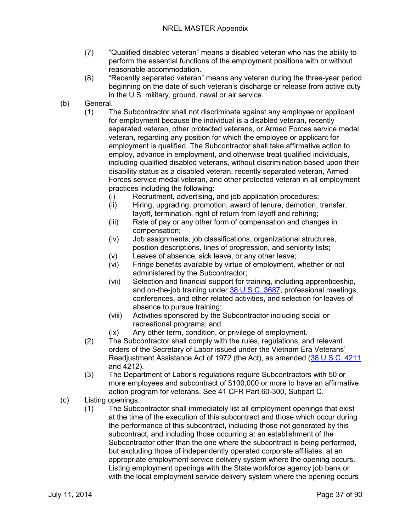- (7) "Qualified disabled veteran" means a disabled veteran who has the ability to perform the essential functions of the employment positions with or without reasonable accommodation.
- (8) "Recently separated veteran" means any veteran during the three-year period beginning on the date of such veteran's discharge or release from active duty in the U.S. military, ground, naval or air service.
- (b) General.
	- (1) The Subcontractor shall not discriminate against any employee or applicant for employment because the individual is a disabled veteran, recently separated veteran, other protected veterans, or Armed Forces service medal veteran, regarding any position for which the employee or applicant for employment is qualified. The Subcontractor shall take affirmative action to employ, advance in employment, and otherwise treat qualified individuals, including qualified disabled veterans, without discrimination based upon their disability status as a disabled veteran, recently separated veteran, Armed Forces service medal veteran, and other protected veteran in all employment practices including the following:
		- (i) Recruitment, advertising, and job application procedures;
		- (ii) Hiring, upgrading, promotion, award of tenure, demotion, transfer, layoff, termination, right of return from layoff and rehiring;
		- (iii) Rate of pay or any other form of compensation and changes in compensation;
		- (iv) Job assignments, job classifications, organizational structures, position descriptions, lines of progression, and seniority lists;
		- (v) Leaves of absence, sick leave, or any other leave;
		- (vi) Fringe benefits available by virtue of employment, whether or not administered by the Subcontractor;
		- (vii) Selection and financial support for training, including apprenticeship, and on-the-job training under [38 U.S.C. 3687,](http://uscode.house.gov/uscode-cgi/fastweb.exe?getdoc+uscview+t37t40+200+2++%2838%29%20%20AND%20%28%2838%29%20ADJ%20USC%29%3ACITE%20%20%20%20%20%20%20%20%20) professional meetings, conferences, and other related activities, and selection for leaves of absence to pursue training;
		- (viii) Activities sponsored by the Subcontractor including social or recreational programs; and
		- (ix) Any other term, condition, or privilege of employment.
	- (2) The Subcontractor shall comply with the rules, regulations, and relevant orders of the Secretary of Labor issued under the Vietnam Era Veterans' Readjustment Assistance Act of 1972 (the Act), as amended [\(38 U.S.C. 4211](http://uscode.house.gov/uscode-cgi/fastweb.exe?getdoc+uscview+t37t40+200+2++%2838%29%20%20AND%20%28%2838%29%20ADJ%20USC%29%3ACITE%20%20%20%20%20%20%20%20%20) and 4212).
	- (3) The Department of Labor's regulations require Subcontractors with 50 or more employees and subcontract of \$100,000 or more to have an affirmative action program for veterans. See 41 CFR Part 60-300, Subpart C.
- (c) Listing openings.
	- (1) The Subcontractor shall immediately list all employment openings that exist at the time of the execution of this subcontract and those which occur during the performance of this subcontract, including those not generated by this subcontract, and including those occurring at an establishment of the Subcontractor other than the one where the subcontract is being performed, but excluding those of independently operated corporate affiliates, at an appropriate employment service delivery system where the opening occurs. Listing employment openings with the State workforce agency job bank or with the local employment service delivery system where the opening occurs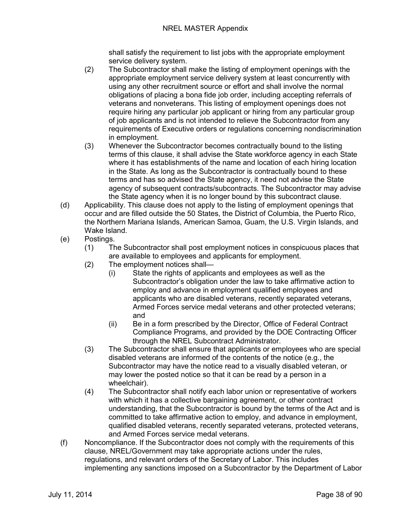shall satisfy the requirement to list jobs with the appropriate employment service delivery system.

- (2) The Subcontractor shall make the listing of employment openings with the appropriate employment service delivery system at least concurrently with using any other recruitment source or effort and shall involve the normal obligations of placing a bona fide job order, including accepting referrals of veterans and nonveterans. This listing of employment openings does not require hiring any particular job applicant or hiring from any particular group of job applicants and is not intended to relieve the Subcontractor from any requirements of Executive orders or regulations concerning nondiscrimination in employment.
- (3) Whenever the Subcontractor becomes contractually bound to the listing terms of this clause, it shall advise the State workforce agency in each State where it has establishments of the name and location of each hiring location in the State. As long as the Subcontractor is contractually bound to these terms and has so advised the State agency, it need not advise the State agency of subsequent contracts/subcontracts. The Subcontractor may advise the State agency when it is no longer bound by this subcontract clause.
- (d) Applicability. This clause does not apply to the listing of employment openings that occur and are filled outside the 50 States, the District of Columbia, the Puerto Rico, the Northern Mariana Islands, American Samoa, Guam, the U.S. Virgin Islands, and Wake Island.
- (e) Postings.
	- (1) The Subcontractor shall post employment notices in conspicuous places that are available to employees and applicants for employment.
	- (2) The employment notices shall—
		- (i) State the rights of applicants and employees as well as the Subcontractor's obligation under the law to take affirmative action to employ and advance in employment qualified employees and applicants who are disabled veterans, recently separated veterans, Armed Forces service medal veterans and other protected veterans; and
		- (ii) Be in a form prescribed by the Director, Office of Federal Contract Compliance Programs, and provided by the DOE Contracting Officer through the NREL Subcontract Administrator.
	- (3) The Subcontractor shall ensure that applicants or employees who are special disabled veterans are informed of the contents of the notice (e.g., the Subcontractor may have the notice read to a visually disabled veteran, or may lower the posted notice so that it can be read by a person in a wheelchair).
	- (4) The Subcontractor shall notify each labor union or representative of workers with which it has a collective bargaining agreement, or other contract understanding, that the Subcontractor is bound by the terms of the Act and is committed to take affirmative action to employ, and advance in employment, qualified disabled veterans, recently separated veterans, protected veterans, and Armed Forces service medal veterans.
- (f) Noncompliance. If the Subcontractor does not comply with the requirements of this clause, NREL/Government may take appropriate actions under the rules, regulations, and relevant orders of the Secretary of Labor. This includes implementing any sanctions imposed on a Subcontractor by the Department of Labor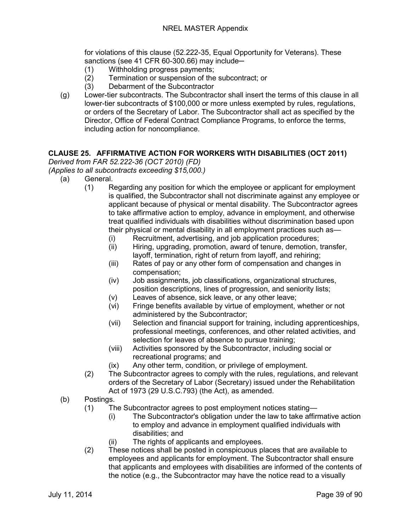for violations of this clause (52.222-35, Equal Opportunity for Veterans). These sanctions (see 41 CFR 60-300.66) may include-

- (1) Withholding progress payments;
- (2) Termination or suspension of the subcontract; or
- (3) Debarment of the Subcontractor
- (g) Lower-tier subcontracts. The Subcontractor shall insert the terms of this clause in all lower-tier subcontracts of \$100,000 or more unless exempted by rules, regulations, or orders of the Secretary of Labor. The Subcontractor shall act as specified by the Director, Office of Federal Contract Compliance Programs, to enforce the terms, including action for noncompliance.

## **CLAUSE 25. AFFIRMATIVE ACTION FOR WORKERS WITH DISABILITIES (OCT 2011)**

*Derived from FAR 52.222-36 (OCT 2010) (FD)*

*(Applies to all subcontracts exceeding \$15,000.)*

- (a) General.
	- (1) Regarding any position for which the employee or applicant for employment is qualified, the Subcontractor shall not discriminate against any employee or applicant because of physical or mental disability. The Subcontractor agrees to take affirmative action to employ, advance in employment, and otherwise treat qualified individuals with disabilities without discrimination based upon their physical or mental disability in all employment practices such as—
		- (i) Recruitment, advertising, and job application procedures;
		- (ii) Hiring, upgrading, promotion, award of tenure, demotion, transfer, layoff, termination, right of return from layoff, and rehiring;
		- (iii) Rates of pay or any other form of compensation and changes in compensation;
		- (iv) Job assignments, job classifications, organizational structures, position descriptions, lines of progression, and seniority lists;
		- (v) Leaves of absence, sick leave, or any other leave;
		- (vi) Fringe benefits available by virtue of employment, whether or not administered by the Subcontractor;
		- (vii) Selection and financial support for training, including apprenticeships, professional meetings, conferences, and other related activities, and selection for leaves of absence to pursue training;
		- (viii) Activities sponsored by the Subcontractor, including social or recreational programs; and
		- (ix) Any other term, condition, or privilege of employment.
	- (2) The Subcontractor agrees to comply with the rules, regulations, and relevant orders of the Secretary of Labor (Secretary) issued under the Rehabilitation Act of 1973 (29 U.S.C.793) (the Act), as amended.
- (b) Postings.
	- (1) The Subcontractor agrees to post employment notices stating—
		- (i) The Subcontractor's obligation under the law to take affirmative action to employ and advance in employment qualified individuals with disabilities; and
		- (ii) The rights of applicants and employees.
	- (2) These notices shall be posted in conspicuous places that are available to employees and applicants for employment. The Subcontractor shall ensure that applicants and employees with disabilities are informed of the contents of the notice (e.g., the Subcontractor may have the notice read to a visually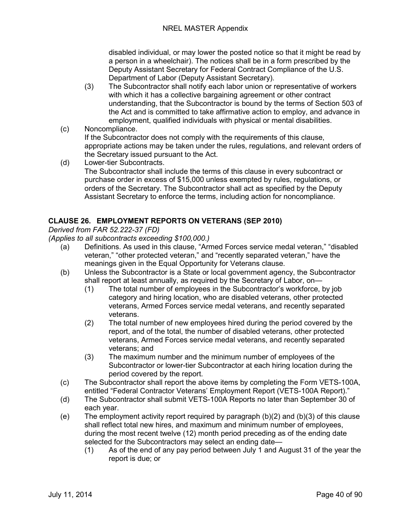disabled individual, or may lower the posted notice so that it might be read by a person in a wheelchair). The notices shall be in a form prescribed by the Deputy Assistant Secretary for Federal Contract Compliance of the U.S. Department of Labor (Deputy Assistant Secretary).

- (3) The Subcontractor shall notify each labor union or representative of workers with which it has a collective bargaining agreement or other contract understanding, that the Subcontractor is bound by the terms of Section 503 of the Act and is committed to take affirmative action to employ, and advance in employment, qualified individuals with physical or mental disabilities.
- (c) Noncompliance. If the Subcontractor does not comply with the requirements of this clause, appropriate actions may be taken under the rules, regulations, and relevant orders of the Secretary issued pursuant to the Act.
- (d) Lower-tier Subcontracts. The Subcontractor shall include the terms of this clause in every subcontract or purchase order in excess of \$15,000 unless exempted by rules, regulations, or orders of the Secretary. The Subcontractor shall act as specified by the Deputy Assistant Secretary to enforce the terms, including action for noncompliance.

## **CLAUSE 26. EMPLOYMENT REPORTS ON VETERANS (SEP 2010)**

*Derived from FAR 52.222-37 (FD)*

*(Applies to all subcontracts exceeding \$100,000.)*

- (a) Definitions. As used in this clause, "Armed Forces service medal veteran," "disabled veteran," "other protected veteran," and "recently separated veteran," have the meanings given in the Equal Opportunity for Veterans clause.
- (b) Unless the Subcontractor is a State or local government agency, the Subcontractor shall report at least annually, as required by the Secretary of Labor, on—
	- (1) The total number of employees in the Subcontractor's workforce, by job category and hiring location, who are disabled veterans, other protected veterans, Armed Forces service medal veterans, and recently separated veterans.
	- (2) The total number of new employees hired during the period covered by the report, and of the total, the number of disabled veterans, other protected veterans, Armed Forces service medal veterans, and recently separated veterans; and
	- (3) The maximum number and the minimum number of employees of the Subcontractor or lower-tier Subcontractor at each hiring location during the period covered by the report.
- (c) The Subcontractor shall report the above items by completing the Form VETS-100A, entitled "Federal Contractor Veterans' Employment Report (VETS-100A Report)."
- (d) The Subcontractor shall submit VETS-100A Reports no later than September 30 of each year.
- (e) The employment activity report required by paragraph (b)(2) and (b)(3) of this clause shall reflect total new hires, and maximum and minimum number of employees, during the most recent twelve (12) month period preceding as of the ending date selected for the Subcontractors may select an ending date—
	- (1) As of the end of any pay period between July 1 and August 31 of the year the report is due; or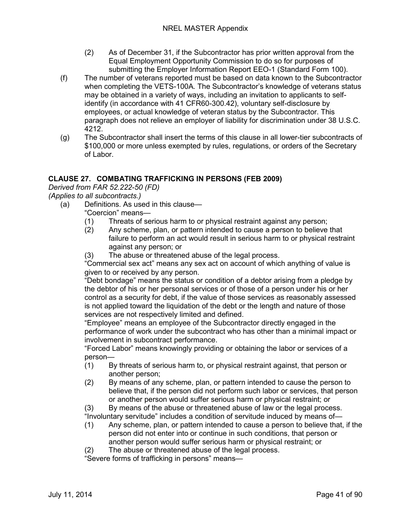- (2) As of December 31, if the Subcontractor has prior written approval from the Equal Employment Opportunity Commission to do so for purposes of submitting the Employer Information Report EEO-1 (Standard Form 100).
- (f) The number of veterans reported must be based on data known to the Subcontractor when completing the VETS-100A. The Subcontractor's knowledge of veterans status may be obtained in a variety of ways, including an invitation to applicants to selfidentify (in accordance with 41 CFR60-300.42), voluntary self-disclosure by employees, or actual knowledge of veteran status by the Subcontractor. This paragraph does not relieve an employer of liability for discrimination under 38 U.S.C. 4212.
- (g) The Subcontractor shall insert the terms of this clause in all lower-tier subcontracts of \$100,000 or more unless exempted by rules, regulations, or orders of the Secretary of Labor.

## **CLAUSE 27. COMBATING TRAFFICKING IN PERSONS (FEB 2009)**

*Derived from FAR 52.222-50 (FD)*

*(Applies to all subcontracts.)*

- (a) Definitions. As used in this clause—
	- "Coercion" means—
	- (1) Threats of serious harm to or physical restraint against any person;
	- (2) Any scheme, plan, or pattern intended to cause a person to believe that failure to perform an act would result in serious harm to or physical restraint against any person; or
	- (3) The abuse or threatened abuse of the legal process.

"Commercial sex act" means any sex act on account of which anything of value is given to or received by any person.

"Debt bondage" means the status or condition of a debtor arising from a pledge by the debtor of his or her personal services or of those of a person under his or her control as a security for debt, if the value of those services as reasonably assessed is not applied toward the liquidation of the debt or the length and nature of those services are not respectively limited and defined.

"Employee" means an employee of the Subcontractor directly engaged in the performance of work under the subcontract who has other than a minimal impact or involvement in subcontract performance.

"Forced Labor" means knowingly providing or obtaining the labor or services of a person—

- (1) By threats of serious harm to, or physical restraint against, that person or another person;
- (2) By means of any scheme, plan, or pattern intended to cause the person to believe that, if the person did not perform such labor or services, that person or another person would suffer serious harm or physical restraint; or

(3) By means of the abuse or threatened abuse of law or the legal process. "Involuntary servitude" includes a condition of servitude induced by means of—

- (1) Any scheme, plan, or pattern intended to cause a person to believe that, if the person did not enter into or continue in such conditions, that person or another person would suffer serious harm or physical restraint; or
- (2) The abuse or threatened abuse of the legal process.

"Severe forms of trafficking in persons" means—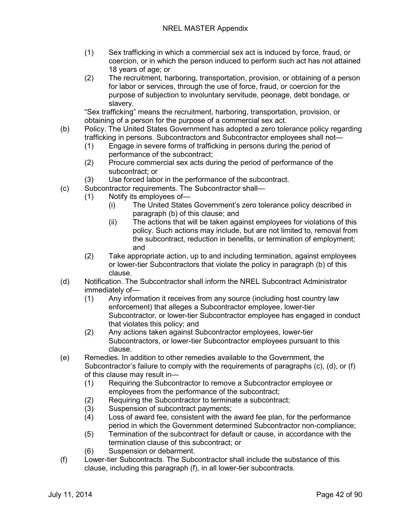- (1) Sex trafficking in which a commercial sex act is induced by force, fraud, or coercion, or in which the person induced to perform such act has not attained 18 years of age; or
- (2) The recruitment, harboring, transportation, provision, or obtaining of a person for labor or services, through the use of force, fraud, or coercion for the purpose of subjection to involuntary servitude, peonage, debt bondage, or slavery.

"Sex trafficking" means the recruitment, harboring, transportation, provision, or obtaining of a person for the purpose of a commercial sex act.

- (b) Policy. The United States Government has adopted a zero tolerance policy regarding trafficking in persons. Subcontractors and Subcontractor employees shall not—
	- (1) Engage in severe forms of trafficking in persons during the period of performance of the subcontract;
	- (2) Procure commercial sex acts during the period of performance of the subcontract; or
	- (3) Use forced labor in the performance of the subcontract.
- (c) Subcontractor requirements. The Subcontractor shall—
	- (1) Notify its employees of—
		- (i) The United States Government's zero tolerance policy described in paragraph (b) of this clause; and
		- (ii) The actions that will be taken against employees for violations of this policy. Such actions may include, but are not limited to, removal from the subcontract, reduction in benefits, or termination of employment; and
	- (2) Take appropriate action, up to and including termination, against employees or lower-tier Subcontractors that violate the policy in paragraph (b) of this clause.
- (d) Notification. The Subcontractor shall inform the NREL Subcontract Administrator immediately of—
	- (1) Any information it receives from any source (including host country law enforcement) that alleges a Subcontractor employee, lower-tier Subcontractor, or lower-tier Subcontractor employee has engaged in conduct that violates this policy; and
	- (2) Any actions taken against Subcontractor employees, lower-tier Subcontractors, or lower-tier Subcontractor employees pursuant to this clause.
- (e) Remedies. In addition to other remedies available to the Government, the Subcontractor's failure to comply with the requirements of paragraphs (c), (d), or (f) of this clause may result in—
	- (1) Requiring the Subcontractor to remove a Subcontractor employee or employees from the performance of the subcontract;
	- (2) Requiring the Subcontractor to terminate a subcontract;
	- (3) Suspension of subcontract payments;
	- (4) Loss of award fee, consistent with the award fee plan, for the performance period in which the Government determined Subcontractor non-compliance;
	- (5) Termination of the subcontract for default or cause, in accordance with the termination clause of this subcontract; or
	- (6) Suspension or debarment.
- (f) Lower-tier Subcontracts. The Subcontractor shall include the substance of this clause, including this paragraph (f), in all lower-tier subcontracts.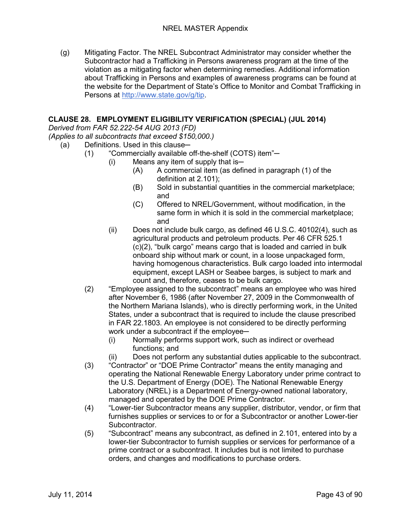(g) Mitigating Factor. The NREL Subcontract Administrator may consider whether the Subcontractor had a Trafficking in Persons awareness program at the time of the violation as a mitigating factor when determining remedies. Additional information about Trafficking in Persons and examples of awareness programs can be found at the website for the Department of State's Office to Monitor and Combat Trafficking in Persons at [http://www.state.gov/g/tip.](http://www.state.gov/g/tip)

## **CLAUSE 28. EMPLOYMENT ELIGIBILITY VERIFICATION (SPECIAL) (JUL 2014)**

*Derived from FAR 52.222-54 AUG 2013 (FD)*

*(Applies to all subcontracts that exceed \$150,000.)*

- (a) Definitions. Used in this clause-
	- (1) "Commercially available off-the-shelf (COTS) item"-
		- $(i)$  Means any item of supply that is—
			- (A) A commercial item (as defined in paragraph (1) of the definition at 2.101);
			- (B) Sold in substantial quantities in the commercial marketplace; and
			- (C) Offered to NREL/Government, without modification, in the same form in which it is sold in the commercial marketplace; and
		- (ii) Does not include bulk cargo, as defined 46 U.S.C. 40102(4), such as agricultural products and petroleum products. Per 46 CFR 525.1 (c)(2), "bulk cargo" means cargo that is loaded and carried in bulk onboard ship without mark or count, in a loose unpackaged form, having homogenous characteristics. Bulk cargo loaded into intermodal equipment, except LASH or Seabee barges, is subject to mark and count and, therefore, ceases to be bulk cargo.
	- (2) "Employee assigned to the subcontract" means an employee who was hired after November 6, 1986 (after November 27, 2009 in the Commonwealth of the Northern Mariana Islands), who is directly performing work, in the United States, under a subcontract that is required to include the clause prescribed in FAR 22.1803. An employee is not considered to be directly performing work under a subcontract if the employee-
		- (i) Normally performs support work, such as indirect or overhead functions; and
		- (ii) Does not perform any substantial duties applicable to the subcontract.
	- (3) "Contractor" or "DOE Prime Contractor" means the entity managing and operating the National Renewable Energy Laboratory under prime contract to the U.S. Department of Energy (DOE). The National Renewable Energy Laboratory (NREL) is a Department of Energy-owned national laboratory, managed and operated by the DOE Prime Contractor.
	- (4) "Lower-tier Subcontractor means any supplier, distributor, vendor, or firm that furnishes supplies or services to or for a Subcontractor or another Lower-tier Subcontractor.
	- (5) "Subcontract" means any subcontract, as defined in 2.101, entered into by a lower-tier Subcontractor to furnish supplies or services for performance of a prime contract or a subcontract. It includes but is not limited to purchase orders, and changes and modifications to purchase orders.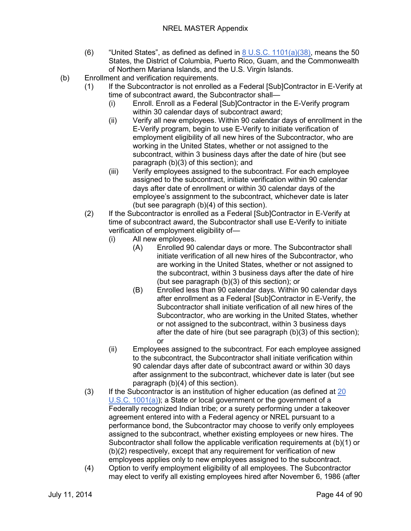### NREL MASTER Appendix

- (6) "United States", as defined as defined in  $8 \text{ U.S.C. } 1101(a)(38)$ , means the 50 States, the District of Columbia, Puerto Rico, Guam, and the Commonwealth of Northern Mariana Islands, and the U.S. Virgin Islands.
- (b) Enrollment and verification requirements.
	- (1) If the Subcontractor is not enrolled as a Federal [Sub]Contractor in E-Verify at time of subcontract award, the Subcontractor shall—
		- (i) Enroll. Enroll as a Federal [Sub]Contractor in the E-Verify program within 30 calendar days of subcontract award;
		- (ii) Verify all new employees. Within 90 calendar days of enrollment in the E-Verify program, begin to use E-Verify to initiate verification of employment eligibility of all new hires of the Subcontractor, who are working in the United States, whether or not assigned to the subcontract, within 3 business days after the date of hire (but see paragraph (b)(3) of this section); and
		- (iii) Verify employees assigned to the subcontract. For each employee assigned to the subcontract, initiate verification within 90 calendar days after date of enrollment or within 30 calendar days of the employee's assignment to the subcontract, whichever date is later (but see paragraph (b)(4) of this section).
	- (2) If the Subcontractor is enrolled as a Federal [Sub]Contractor in E-Verify at time of subcontract award, the Subcontractor shall use E-Verify to initiate verification of employment eligibility of—
		- (i) All new employees.
			- (A) Enrolled 90 calendar days or more. The Subcontractor shall initiate verification of all new hires of the Subcontractor, who are working in the United States, whether or not assigned to the subcontract, within 3 business days after the date of hire (but see paragraph (b)(3) of this section); or
			- (B) Enrolled less than 90 calendar days. Within 90 calendar days after enrollment as a Federal [Sub]Contractor in E-Verify, the Subcontractor shall initiate verification of all new hires of the Subcontractor, who are working in the United States, whether or not assigned to the subcontract, within 3 business days after the date of hire (but see paragraph (b)(3) of this section); or
		- (ii) Employees assigned to the subcontract. For each employee assigned to the subcontract, the Subcontractor shall initiate verification within 90 calendar days after date of subcontract award or within 30 days after assignment to the subcontract, whichever date is later (but see paragraph (b)(4) of this section).
	- (3) If the Subcontractor is an institution of higher education (as defined at [20](http://uscode.house.gov/)  [U.S.C. 1001\(a\)\)](http://uscode.house.gov/); a State or local government or the government of a Federally recognized Indian tribe; or a surety performing under a takeover agreement entered into with a Federal agency or NREL pursuant to a performance bond, the Subcontractor may choose to verify only employees assigned to the subcontract, whether existing employees or new hires. The Subcontractor shall follow the applicable verification requirements at (b)(1) or (b)(2) respectively, except that any requirement for verification of new employees applies only to new employees assigned to the subcontract.
	- (4) Option to verify employment eligibility of all employees. The Subcontractor may elect to verify all existing employees hired after November 6, 1986 (after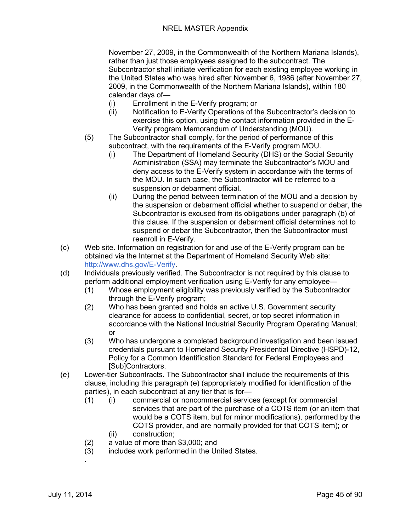November 27, 2009, in the Commonwealth of the Northern Mariana Islands), rather than just those employees assigned to the subcontract. The Subcontractor shall initiate verification for each existing employee working in the United States who was hired after November 6, 1986 (after November 27, 2009, in the Commonwealth of the Northern Mariana Islands), within 180 calendar days of—

- (i) Enrollment in the E-Verify program; or
- (ii) Notification to E-Verify Operations of the Subcontractor's decision to exercise this option, using the contact information provided in the E-Verify program Memorandum of Understanding (MOU).
- (5) The Subcontractor shall comply, for the period of performance of this subcontract, with the requirements of the E-Verify program MOU.
	- (i) The Department of Homeland Security (DHS) or the Social Security Administration (SSA) may terminate the Subcontractor's MOU and deny access to the E-Verify system in accordance with the terms of the MOU. In such case, the Subcontractor will be referred to a suspension or debarment official.
	- (ii) During the period between termination of the MOU and a decision by the suspension or debarment official whether to suspend or debar, the Subcontractor is excused from its obligations under paragraph (b) of this clause. If the suspension or debarment official determines not to suspend or debar the Subcontractor, then the Subcontractor must reenroll in E-Verify.
- (c) Web site. Information on registration for and use of the E-Verify program can be obtained via the Internet at the Department of Homeland Security Web site: [http://www.dhs.gov/E-Verify.](http://www.dhs.gov/E-Verify)
- (d) Individuals previously verified. The Subcontractor is not required by this clause to perform additional employment verification using E-Verify for any employee—
	- (1) Whose employment eligibility was previously verified by the Subcontractor through the E-Verify program;
	- (2) Who has been granted and holds an active U.S. Government security clearance for access to confidential, secret, or top secret information in accordance with the National Industrial Security Program Operating Manual; or
	- (3) Who has undergone a completed background investigation and been issued credentials pursuant to Homeland Security Presidential Directive (HSPD)-12, Policy for a Common Identification Standard for Federal Employees and [Sub]Contractors.
- (e) Lower-tier Subcontracts. The Subcontractor shall include the requirements of this clause, including this paragraph (e) (appropriately modified for identification of the parties), in each subcontract at any tier that is for—
	- (1) (i) commercial or noncommercial services (except for commercial services that are part of the purchase of a COTS item (or an item that would be a COTS item, but for minor modifications), performed by the COTS provider, and are normally provided for that COTS item); or
		- (ii) construction;
	- (2) a value of more than \$3,000; and
	- (3) includes work performed in the United States.
	- .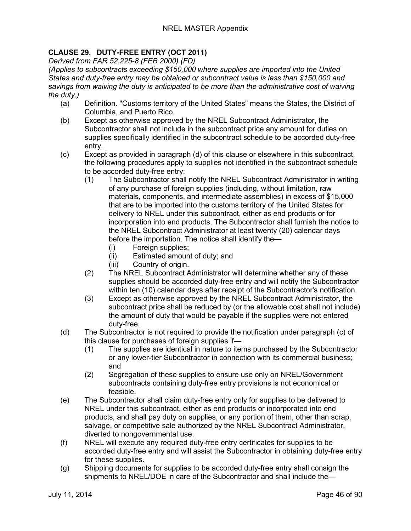# **CLAUSE 29. DUTY-FREE ENTRY (OCT 2011)**

*Derived from FAR 52.225-8 (FEB 2000) (FD)*

*(Applies to subcontracts exceeding \$150,000 where supplies are imported into the United States and duty-free entry may be obtained or subcontract value is less than \$150,000 and savings from waiving the duty is anticipated to be more than the administrative cost of waiving the duty.)*

- (a) Definition. "Customs territory of the United States" means the States, the District of Columbia, and Puerto Rico.
- (b) Except as otherwise approved by the NREL Subcontract Administrator, the Subcontractor shall not include in the subcontract price any amount for duties on supplies specifically identified in the subcontract schedule to be accorded duty-free entry.
- (c) Except as provided in paragraph (d) of this clause or elsewhere in this subcontract, the following procedures apply to supplies not identified in the subcontract schedule to be accorded duty-free entry:
	- (1) The Subcontractor shall notify the NREL Subcontract Administrator in writing of any purchase of foreign supplies (including, without limitation, raw materials, components, and intermediate assemblies) in excess of \$15,000 that are to be imported into the customs territory of the United States for delivery to NREL under this subcontract, either as end products or for incorporation into end products. The Subcontractor shall furnish the notice to the NREL Subcontract Administrator at least twenty (20) calendar days before the importation. The notice shall identify the—
		- (i) Foreign supplies;
		- (ii) Estimated amount of duty; and
		- (iii) Country of origin.
	- (2) The NREL Subcontract Administrator will determine whether any of these supplies should be accorded duty-free entry and will notify the Subcontractor within ten (10) calendar days after receipt of the Subcontractor's notification.
	- (3) Except as otherwise approved by the NREL Subcontract Administrator, the subcontract price shall be reduced by (or the allowable cost shall not include) the amount of duty that would be payable if the supplies were not entered duty-free.
- (d) The Subcontractor is not required to provide the notification under paragraph (c) of this clause for purchases of foreign supplies if—
	- (1) The supplies are identical in nature to items purchased by the Subcontractor or any lower-tier Subcontractor in connection with its commercial business; and
	- (2) Segregation of these supplies to ensure use only on NREL/Government subcontracts containing duty-free entry provisions is not economical or feasible.
- (e) The Subcontractor shall claim duty-free entry only for supplies to be delivered to NREL under this subcontract, either as end products or incorporated into end products, and shall pay duty on supplies, or any portion of them, other than scrap, salvage, or competitive sale authorized by the NREL Subcontract Administrator, diverted to nongovernmental use.
- (f) NREL will execute any required duty-free entry certificates for supplies to be accorded duty-free entry and will assist the Subcontractor in obtaining duty-free entry for these supplies.
- (g) Shipping documents for supplies to be accorded duty-free entry shall consign the shipments to NREL/DOE in care of the Subcontractor and shall include the—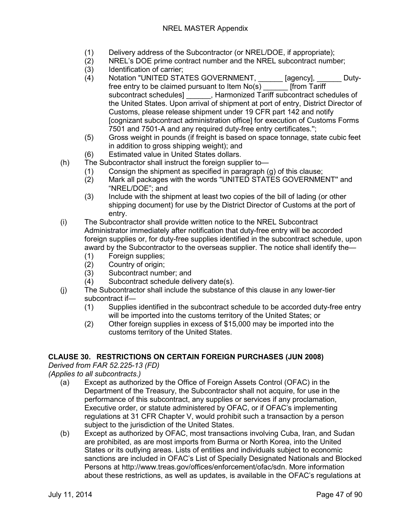- (1) Delivery address of the Subcontractor (or NREL/DOE, if appropriate);<br>(2) RREL's DOE prime contract number and the NREL subcontract numb
- NREL's DOE prime contract number and the NREL subcontract number;
- (3) Identification of carrier;
- (4) Notation "UNITED STATES GOVERNMENT, \_\_\_\_\_\_ [agency], \_\_\_\_\_\_ Dutyfree entry to be claimed pursuant to Item No(s) \_\_\_\_\_\_ [from Tariff subcontract schedules] \_\_\_\_\_\_, Harmonized Tariff subcontract schedules of the United States. Upon arrival of shipment at port of entry, District Director of Customs, please release shipment under 19 CFR part 142 and notify [cognizant subcontract administration office] for execution of Customs Forms 7501 and 7501-A and any required duty-free entry certificates.'';
- (5) Gross weight in pounds (if freight is based on space tonnage, state cubic feet in addition to gross shipping weight); and
- (6) Estimated value in United States dollars.
- (h) The Subcontractor shall instruct the foreign supplier to—
	- (1) Consign the shipment as specified in paragraph (g) of this clause;
		- (2) Mark all packages with the words "UNITED STATES GOVERNMENT'' and "NREL/DOE"; and
		- (3) Include with the shipment at least two copies of the bill of lading (or other shipping document) for use by the District Director of Customs at the port of entry.
- (i) The Subcontractor shall provide written notice to the NREL Subcontract Administrator immediately after notification that duty-free entry will be accorded foreign supplies or, for duty-free supplies identified in the subcontract schedule, upon award by the Subcontractor to the overseas supplier. The notice shall identify the—
	- (1) Foreign supplies;
	- (2) Country of origin;
	- (3) Subcontract number; and
	- (4) Subcontract schedule delivery date(s).
- (j) The Subcontractor shall include the substance of this clause in any lower-tier subcontract if—
	- (1) Supplies identified in the subcontract schedule to be accorded duty-free entry will be imported into the customs territory of the United States; or
	- (2) Other foreign supplies in excess of \$15,000 may be imported into the customs territory of the United States.

## **CLAUSE 30. RESTRICTIONS ON CERTAIN FOREIGN PURCHASES (JUN 2008)**

### *Derived from FAR 52.225-13 (FD)*

*(Applies to all subcontracts.)*

- (a) Except as authorized by the Office of Foreign Assets Control (OFAC) in the Department of the Treasury, the Subcontractor shall not acquire, for use in the performance of this subcontract, any supplies or services if any proclamation, Executive order, or statute administered by OFAC, or if OFAC's implementing regulations at 31 CFR Chapter V, would prohibit such a transaction by a person subject to the jurisdiction of the United States.
- (b) Except as authorized by OFAC, most transactions involving Cuba, Iran, and Sudan are prohibited, as are most imports from Burma or North Korea, into the United States or its outlying areas. Lists of entities and individuals subject to economic sanctions are included in OFAC's List of Specially Designated Nationals and Blocked Persons at http://www.treas.gov/offices/enforcement/ofac/sdn. More information about these restrictions, as well as updates, is available in the OFAC's regulations at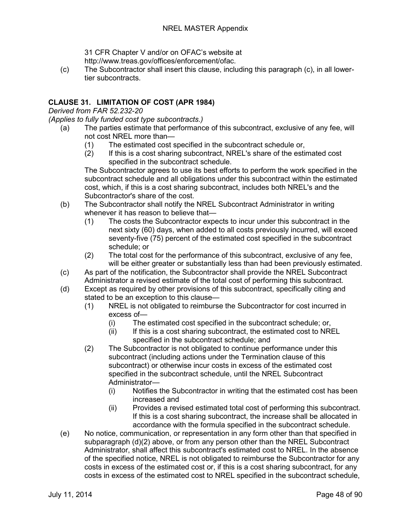31 CFR Chapter V and/or on OFAC's website at http://www.treas.gov/offices/enforcement/ofac.

(c) The Subcontractor shall insert this clause, including this paragraph (c), in all lowertier subcontracts.

## **CLAUSE 31. LIMITATION OF COST (APR 1984)**

*Derived from FAR 52.232-20*

*(Applies to fully funded cost type subcontracts.)*

- (a) The parties estimate that performance of this subcontract, exclusive of any fee, will not cost NREL more than—
	- (1) The estimated cost specified in the subcontract schedule or,
	- (2) If this is a cost sharing subcontract, NREL's share of the estimated cost specified in the subcontract schedule.

The Subcontractor agrees to use its best efforts to perform the work specified in the subcontract schedule and all obligations under this subcontract within the estimated cost, which, if this is a cost sharing subcontract, includes both NREL's and the Subcontractor's share of the cost.

- (b) The Subcontractor shall notify the NREL Subcontract Administrator in writing whenever it has reason to believe that—
	- (1) The costs the Subcontractor expects to incur under this subcontract in the next sixty (60) days, when added to all costs previously incurred, will exceed seventy-five (75) percent of the estimated cost specified in the subcontract schedule; or
	- (2) The total cost for the performance of this subcontract, exclusive of any fee, will be either greater or substantially less than had been previously estimated.
- (c) As part of the notification, the Subcontractor shall provide the NREL Subcontract Administrator a revised estimate of the total cost of performing this subcontract.
- (d) Except as required by other provisions of this subcontract, specifically citing and stated to be an exception to this clause—
	- (1) NREL is not obligated to reimburse the Subcontractor for cost incurred in excess of—
		- (i) The estimated cost specified in the subcontract schedule; or,<br>(ii) If this is a cost sharing subcontract, the estimated cost to NRI
		- If this is a cost sharing subcontract, the estimated cost to NREL specified in the subcontract schedule; and
	- (2) The Subcontractor is not obligated to continue performance under this subcontract (including actions under the Termination clause of this subcontract) or otherwise incur costs in excess of the estimated cost specified in the subcontract schedule, until the NREL Subcontract Administrator—
		- (i) Notifies the Subcontractor in writing that the estimated cost has been increased and
		- (ii) Provides a revised estimated total cost of performing this subcontract. If this is a cost sharing subcontract, the increase shall be allocated in accordance with the formula specified in the subcontract schedule.
- (e) No notice, communication, or representation in any form other than that specified in subparagraph (d)(2) above, or from any person other than the NREL Subcontract Administrator, shall affect this subcontract's estimated cost to NREL. In the absence of the specified notice, NREL is not obligated to reimburse the Subcontractor for any costs in excess of the estimated cost or, if this is a cost sharing subcontract, for any costs in excess of the estimated cost to NREL specified in the subcontract schedule,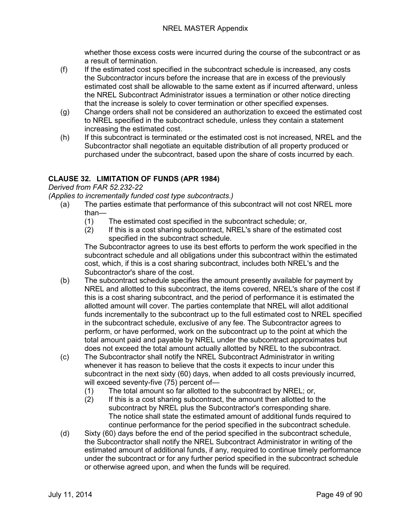whether those excess costs were incurred during the course of the subcontract or as a result of termination.

- (f) If the estimated cost specified in the subcontract schedule is increased, any costs the Subcontractor incurs before the increase that are in excess of the previously estimated cost shall be allowable to the same extent as if incurred afterward, unless the NREL Subcontract Administrator issues a termination or other notice directing that the increase is solely to cover termination or other specified expenses.
- (g) Change orders shall not be considered an authorization to exceed the estimated cost to NREL specified in the subcontract schedule, unless they contain a statement increasing the estimated cost.
- (h) If this subcontract is terminated or the estimated cost is not increased, NREL and the Subcontractor shall negotiate an equitable distribution of all property produced or purchased under the subcontract, based upon the share of costs incurred by each.

## **CLAUSE 32. LIMITATION OF FUNDS (APR 1984)**

*Derived from FAR 52.232-22*

*(Applies to incrementally funded cost type subcontracts.)*

- (a) The parties estimate that performance of this subcontract will not cost NREL more than—
	- (1) The estimated cost specified in the subcontract schedule; or,
	- (2) If this is a cost sharing subcontract, NREL's share of the estimated cost specified in the subcontract schedule.

The Subcontractor agrees to use its best efforts to perform the work specified in the subcontract schedule and all obligations under this subcontract within the estimated cost, which, if this is a cost sharing subcontract, includes both NREL's and the Subcontractor's share of the cost.

- (b) The subcontract schedule specifies the amount presently available for payment by NREL and allotted to this subcontract, the items covered, NREL's share of the cost if this is a cost sharing subcontract, and the period of performance it is estimated the allotted amount will cover. The parties contemplate that NREL will allot additional funds incrementally to the subcontract up to the full estimated cost to NREL specified in the subcontract schedule, exclusive of any fee. The Subcontractor agrees to perform, or have performed, work on the subcontract up to the point at which the total amount paid and payable by NREL under the subcontract approximates but does not exceed the total amount actually allotted by NREL to the subcontract.
- (c) The Subcontractor shall notify the NREL Subcontract Administrator in writing whenever it has reason to believe that the costs it expects to incur under this subcontract in the next sixty (60) days, when added to all costs previously incurred, will exceed seventy-five (75) percent of—
	- (1) The total amount so far allotted to the subcontract by NREL; or,
	- (2) If this is a cost sharing subcontract, the amount then allotted to the subcontract by NREL plus the Subcontractor's corresponding share. The notice shall state the estimated amount of additional funds required to continue performance for the period specified in the subcontract schedule.
- (d) Sixty (60) days before the end of the period specified in the subcontract schedule, the Subcontractor shall notify the NREL Subcontract Administrator in writing of the estimated amount of additional funds, if any, required to continue timely performance under the subcontract or for any further period specified in the subcontract schedule or otherwise agreed upon, and when the funds will be required.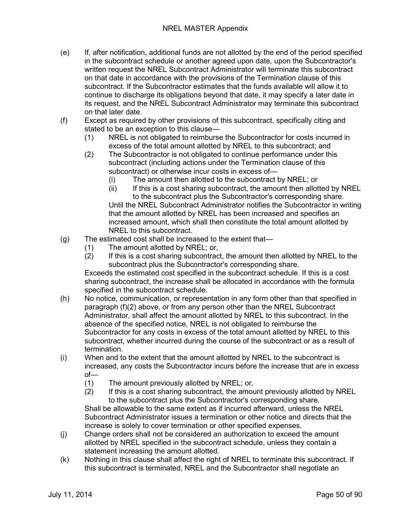- (e) If, after notification, additional funds are not allotted by the end of the period specified in the subcontract schedule or another agreed upon date, upon the Subcontractor's written request the NREL Subcontract Administrator will terminate this subcontract on that date in accordance with the provisions of the Termination clause of this subcontract. If the Subcontractor estimates that the funds available will allow it to continue to discharge its obligations beyond that date, it may specify a later date in its request, and the NREL Subcontract Administrator may terminate this subcontract on that later date.
- (f) Except as required by other provisions of this subcontract, specifically citing and stated to be an exception to this clause—
	- (1) NREL is not obligated to reimburse the Subcontractor for costs incurred in excess of the total amount allotted by NREL to this subcontract; and
	- (2) The Subcontractor is not obligated to continue performance under this subcontract (including actions under the Termination clause of this subcontract) or otherwise incur costs in excess of—
		-
		- (i) The amount then allotted to the subcontract by NREL; or<br>(ii) If this is a cost sharing subcontract, the amount then allot If this is a cost sharing subcontract, the amount then allotted by NREL to the subcontract plus the Subcontractor's corresponding share. Until the NREL Subcontract Administrator notifies the Subcontractor in writing that the amount allotted by NREL has been increased and specifies an increased amount, which shall then constitute the total amount allotted by NREL to this subcontract.
- (g) The estimated cost shall be increased to the extent that—
	- (1) The amount allotted by NREL; or,
	- (2) If this is a cost sharing subcontract, the amount then allotted by NREL to the subcontract plus the Subcontractor's corresponding share.

Exceeds the estimated cost specified in the subcontract schedule. If this is a cost sharing subcontract, the increase shall be allocated in accordance with the formula specified in the subcontract schedule.

- (h) No notice, communication, or representation in any form other than that specified in paragraph (f)(2) above, or from any person other than the NREL Subcontract Administrator, shall affect the amount allotted by NREL to this subcontract. In the absence of the specified notice, NREL is not obligated to reimburse the Subcontractor for any costs in excess of the total amount allotted by NREL to this subcontract, whether incurred during the course of the subcontract or as a result of termination.
- (i) When and to the extent that the amount allotted by NREL to the subcontract is increased, any costs the Subcontractor incurs before the increase that are in excess of—
	- (1) The amount previously allotted by NREL; or,
	- (2) If this is a cost sharing subcontract, the amount previously allotted by NREL to the subcontract plus the Subcontractor's corresponding share.

Shall be allowable to the same extent as if incurred afterward, unless the NREL Subcontract Administrator issues a termination or other notice and directs that the increase is solely to cover termination or other specified expenses.

- (j) Change orders shall not be considered an authorization to exceed the amount allotted by NREL specified in the subcontract schedule, unless they contain a statement increasing the amount allotted.
- (k) Nothing in this clause shall affect the right of NREL to terminate this subcontract. If this subcontract is terminated, NREL and the Subcontractor shall negotiate an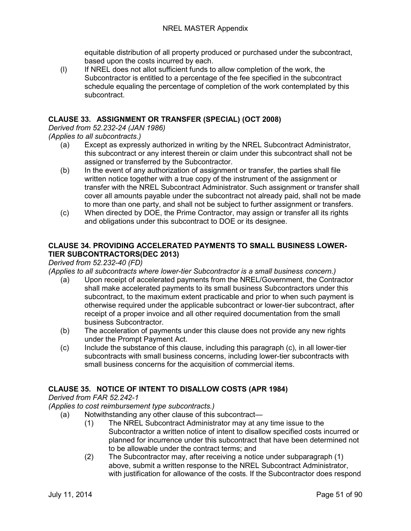equitable distribution of all property produced or purchased under the subcontract, based upon the costs incurred by each.

(l) If NREL does not allot sufficient funds to allow completion of the work, the Subcontractor is entitled to a percentage of the fee specified in the subcontract schedule equaling the percentage of completion of the work contemplated by this subcontract.

### **CLAUSE 33. ASSIGNMENT OR TRANSFER (SPECIAL) (OCT 2008)**

*Derived from 52.232-24 (JAN 1986)*

*(Applies to all subcontracts.)*

- (a) Except as expressly authorized in writing by the NREL Subcontract Administrator, this subcontract or any interest therein or claim under this subcontract shall not be assigned or transferred by the Subcontractor.
- (b) In the event of any authorization of assignment or transfer, the parties shall file written notice together with a true copy of the instrument of the assignment or transfer with the NREL Subcontract Administrator. Such assignment or transfer shall cover all amounts payable under the subcontract not already paid, shall not be made to more than one party, and shall not be subject to further assignment or transfers.
- (c) When directed by DOE, the Prime Contractor, may assign or transfer all its rights and obligations under this subcontract to DOE or its designee.

### **CLAUSE 34. PROVIDING ACCELERATED PAYMENTS TO SMALL BUSINESS LOWER-TIER SUBCONTRACTORS(DEC 2013)**

### *Derived from 52.232-40 (FD)*

*(Applies to all subcontracts where lower-tier Subcontractor is a small business concern.)*

- (a) Upon receipt of accelerated payments from the NREL/Government, the Contractor shall make accelerated payments to its small business Subcontractors under this subcontract, to the maximum extent practicable and prior to when such payment is otherwise required under the applicable subcontract or lower-tier subcontract, after receipt of a proper invoice and all other required documentation from the small business Subcontractor.
- (b) The acceleration of payments under this clause does not provide any new rights under the Prompt Payment Act.
- (c) Include the substance of this clause, including this paragraph (c), in all lower-tier subcontracts with small business concerns, including lower-tier subcontracts with small business concerns for the acquisition of commercial items.

## **CLAUSE 35. NOTICE OF INTENT TO DISALLOW COSTS (APR 1984)**

*Derived from FAR 52.242-1*

### *(Applies to cost reimbursement type subcontracts.)*

- (a) Notwithstanding any other clause of this subcontract—
	- (1) The NREL Subcontract Administrator may at any time issue to the Subcontractor a written notice of intent to disallow specified costs incurred or planned for incurrence under this subcontract that have been determined not to be allowable under the contract terms; and
	- (2) The Subcontractor may, after receiving a notice under subparagraph (1) above, submit a written response to the NREL Subcontract Administrator, with justification for allowance of the costs. If the Subcontractor does respond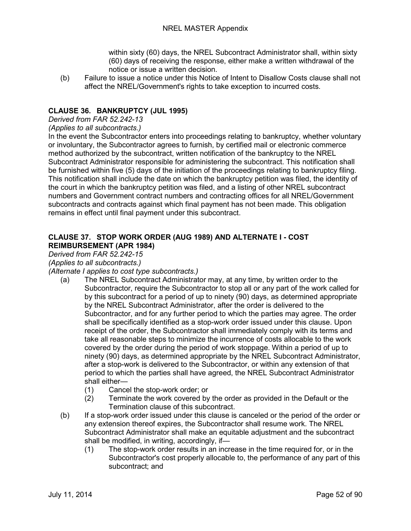within sixty (60) days, the NREL Subcontract Administrator shall, within sixty (60) days of receiving the response, either make a written withdrawal of the notice or issue a written decision.

(b) Failure to issue a notice under this Notice of Intent to Disallow Costs clause shall not affect the NREL/Government's rights to take exception to incurred costs.

## **CLAUSE 36. BANKRUPTCY (JUL 1995)**

### *Derived from FAR 52.242-13*

*(Applies to all subcontracts.)*

In the event the Subcontractor enters into proceedings relating to bankruptcy, whether voluntary or involuntary, the Subcontractor agrees to furnish, by certified mail or electronic commerce method authorized by the subcontract, written notification of the bankruptcy to the NREL Subcontract Administrator responsible for administering the subcontract. This notification shall be furnished within five (5) days of the initiation of the proceedings relating to bankruptcy filing. This notification shall include the date on which the bankruptcy petition was filed, the identity of the court in which the bankruptcy petition was filed, and a listing of other NREL subcontract numbers and Government contract numbers and contracting offices for all NREL/Government subcontracts and contracts against which final payment has not been made. This obligation remains in effect until final payment under this subcontract.

### **CLAUSE 37. STOP WORK ORDER (AUG 1989) AND ALTERNATE I - COST REIMBURSEMENT (APR 1984)**

## *Derived from FAR 52.242-15*

*(Applies to all subcontracts.)*

#### *(Alternate I applies to cost type subcontracts.)*

- (a) The NREL Subcontract Administrator may, at any time, by written order to the Subcontractor, require the Subcontractor to stop all or any part of the work called for by this subcontract for a period of up to ninety (90) days, as determined appropriate by the NREL Subcontract Administrator, after the order is delivered to the Subcontractor, and for any further period to which the parties may agree. The order shall be specifically identified as a stop-work order issued under this clause. Upon receipt of the order, the Subcontractor shall immediately comply with its terms and take all reasonable steps to minimize the incurrence of costs allocable to the work covered by the order during the period of work stoppage. Within a period of up to ninety (90) days, as determined appropriate by the NREL Subcontract Administrator, after a stop-work is delivered to the Subcontractor, or within any extension of that period to which the parties shall have agreed, the NREL Subcontract Administrator shall either—
	- (1) Cancel the stop-work order; or<br>(2) Terminate the work covered by
	- Terminate the work covered by the order as provided in the Default or the Termination clause of this subcontract.
- (b) If a stop-work order issued under this clause is canceled or the period of the order or any extension thereof expires, the Subcontractor shall resume work. The NREL Subcontract Administrator shall make an equitable adjustment and the subcontract shall be modified, in writing, accordingly, if—
	- (1) The stop-work order results in an increase in the time required for, or in the Subcontractor's cost properly allocable to, the performance of any part of this subcontract; and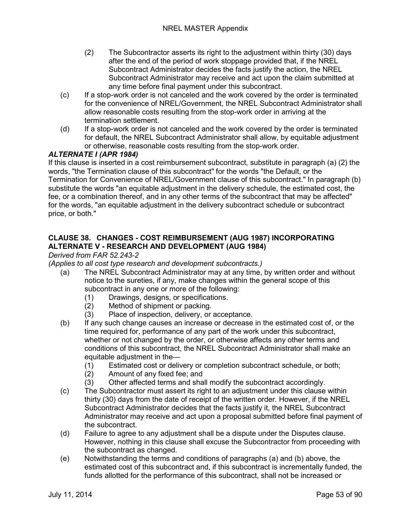- (2) The Subcontractor asserts its right to the adjustment within thirty (30) days after the end of the period of work stoppage provided that, if the NREL Subcontract Administrator decides the facts justify the action, the NREL Subcontract Administrator may receive and act upon the claim submitted at any time before final payment under this subcontract.
- (c) If a stop-work order is not canceled and the work covered by the order is terminated for the convenience of NREL/Government, the NREL Subcontract Administrator shall allow reasonable costs resulting from the stop-work order in arriving at the termination settlement.
- (d) If a stop-work order is not canceled and the work covered by the order is terminated for default, the NREL Subcontract Administrator shall allow, by equitable adjustment or otherwise, reasonable costs resulting from the stop-work order.

## *ALTERNATE I (APR 1984)*

If this clause is inserted in a cost reimbursement subcontract, substitute in paragraph (a) (2) the words, "the Termination clause of this subcontract" for the words "the Default, or the Termination for Convenience of NREL/Government clause of this subcontract." In paragraph (b) substitute the words "an equitable adjustment in the delivery schedule, the estimated cost, the fee, or a combination thereof, and in any other terms of the subcontract that may be affected" for the words, "an equitable adjustment in the delivery subcontract schedule or subcontract price, or both."

## **CLAUSE 38. CHANGES - COST REIMBURSEMENT (AUG 1987) INCORPORATING ALTERNATE V - RESEARCH AND DEVELOPMENT (AUG 1984)**

### *Derived from FAR 52.243-2*

*(Applies to all cost type research and development subcontracts.)*

- (a) The NREL Subcontract Administrator may at any time, by written order and without notice to the sureties, if any, make changes within the general scope of this subcontract in any one or more of the following:
	- (1) Drawings, designs, or specifications.
	- (2) Method of shipment or packing.
	- (3) Place of inspection, delivery, or acceptance.
- (b) If any such change causes an increase or decrease in the estimated cost of, or the time required for, performance of any part of the work under this subcontract, whether or not changed by the order, or otherwise affects any other terms and conditions of this subcontract, the NREL Subcontract Administrator shall make an equitable adjustment in the—
	- (1) Estimated cost or delivery or completion subcontract schedule, or both;
	- (2) Amount of any fixed fee; and
	- (3) Other affected terms and shall modify the subcontract accordingly.
- (c) The Subcontractor must assert its right to an adjustment under this clause within thirty (30) days from the date of receipt of the written order. However, if the NREL Subcontract Administrator decides that the facts justify it, the NREL Subcontract Administrator may receive and act upon a proposal submitted before final payment of the subcontract.
- (d) Failure to agree to any adjustment shall be a dispute under the Disputes clause. However, nothing in this clause shall excuse the Subcontractor from proceeding with the subcontract as changed.
- (e) Notwithstanding the terms and conditions of paragraphs (a) and (b) above, the estimated cost of this subcontract and, if this subcontract is incrementally funded, the funds allotted for the performance of this subcontract, shall not be increased or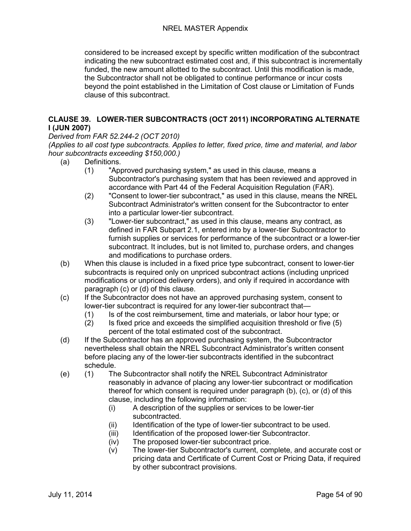considered to be increased except by specific written modification of the subcontract indicating the new subcontract estimated cost and, if this subcontract is incrementally funded, the new amount allotted to the subcontract. Until this modification is made, the Subcontractor shall not be obligated to continue performance or incur costs beyond the point established in the Limitation of Cost clause or Limitation of Funds clause of this subcontract.

## **CLAUSE 39. LOWER-TIER SUBCONTRACTS (OCT 2011) INCORPORATING ALTERNATE I (JUN 2007)**

### *Derived from FAR 52.244-2 (OCT 2010)*

*(Applies to all cost type subcontracts. Applies to letter, fixed price, time and material, and labor hour subcontracts exceeding \$150,000.)*

- (a) Definitions.
	- (1) "Approved purchasing system," as used in this clause, means a Subcontractor's purchasing system that has been reviewed and approved in accordance with Part 44 of the Federal Acquisition Regulation (FAR).
	- (2) "Consent to lower-tier subcontract," as used in this clause, means the NREL Subcontract Administrator's written consent for the Subcontractor to enter into a particular lower-tier subcontract.
	- (3) "Lower-tier subcontract," as used in this clause, means any contract, as defined in FAR Subpart 2.1, entered into by a lower-tier Subcontractor to furnish supplies or services for performance of the subcontract or a lower-tier subcontract. It includes, but is not limited to, purchase orders, and changes and modifications to purchase orders.
- (b) When this clause is included in a fixed price type subcontract, consent to lower-tier subcontracts is required only on unpriced subcontract actions (including unpriced modifications or unpriced delivery orders), and only if required in accordance with paragraph (c) or (d) of this clause.
- (c) If the Subcontractor does not have an approved purchasing system, consent to lower-tier subcontract is required for any lower-tier subcontract that—
	- (1) Is of the cost reimbursement, time and materials, or labor hour type; or (2) Is fixed price and exceeds the simplified acquisition threshold or five (5)
	- (2) Is fixed price and exceeds the simplified acquisition threshold or five (5) percent of the total estimated cost of the subcontract.
- (d) If the Subcontractor has an approved purchasing system, the Subcontractor nevertheless shall obtain the NREL Subcontract Administrator's written consent before placing any of the lower-tier subcontracts identified in the subcontract schedule.
- (e) (1) The Subcontractor shall notify the NREL Subcontract Administrator reasonably in advance of placing any lower-tier subcontract or modification thereof for which consent is required under paragraph (b), (c), or (d) of this clause, including the following information:
	- (i) A description of the supplies or services to be lower-tier subcontracted.
	- (ii) Identification of the type of lower-tier subcontract to be used.
	- (iii) Identification of the proposed lower-tier Subcontractor.
	- (iv) The proposed lower-tier subcontract price.
	- (v) The lower-tier Subcontractor's current, complete, and accurate cost or pricing data and Certificate of Current Cost or Pricing Data, if required by other subcontract provisions.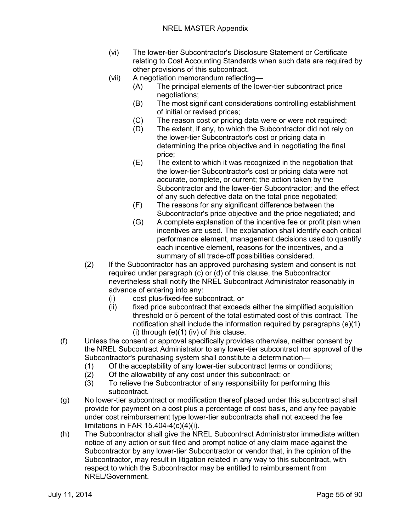- (vi) The lower-tier Subcontractor's Disclosure Statement or Certificate relating to Cost Accounting Standards when such data are required by other provisions of this subcontract.
- (vii) A negotiation memorandum reflecting—
	- (A) The principal elements of the lower-tier subcontract price negotiations;
	- (B) The most significant considerations controlling establishment of initial or revised prices;
	- (C) The reason cost or pricing data were or were not required;<br>(D) The extent, if any, to which the Subcontractor did not rely o
	- The extent, if any, to which the Subcontractor did not rely on the lower-tier Subcontractor's cost or pricing data in determining the price objective and in negotiating the final price;
	- (E) The extent to which it was recognized in the negotiation that the lower-tier Subcontractor's cost or pricing data were not accurate, complete, or current; the action taken by the Subcontractor and the lower-tier Subcontractor; and the effect of any such defective data on the total price negotiated;
	- (F) The reasons for any significant difference between the Subcontractor's price objective and the price negotiated; and
	- (G) A complete explanation of the incentive fee or profit plan when incentives are used. The explanation shall identify each critical performance element, management decisions used to quantify each incentive element, reasons for the incentives, and a summary of all trade-off possibilities considered.
- (2) If the Subcontractor has an approved purchasing system and consent is not required under paragraph (c) or (d) of this clause, the Subcontractor nevertheless shall notify the NREL Subcontract Administrator reasonably in advance of entering into any:
	- (i) cost plus-fixed-fee subcontract, or<br>(ii) fixed price subcontract that exceed
	- fixed price subcontract that exceeds either the simplified acquisition threshold or 5 percent of the total estimated cost of this contract. The notification shall include the information required by paragraphs (e)(1)  $(i)$  through  $(e)(1)$  (iv) of this clause.
- (f) Unless the consent or approval specifically provides otherwise, neither consent by the NREL Subcontract Administrator to any lower-tier subcontract nor approval of the Subcontractor's purchasing system shall constitute a determination—
	- (1) Of the acceptability of any lower-tier subcontract terms or conditions;<br>(2) Of the allowability of any cost under this subcontract; or
	- (2) Of the allowability of any cost under this subcontract; or
	- (3) To relieve the Subcontractor of any responsibility for performing this subcontract.
- (g) No lower-tier subcontract or modification thereof placed under this subcontract shall provide for payment on a cost plus a percentage of cost basis, and any fee payable under cost reimbursement type lower-tier subcontracts shall not exceed the fee limitations in FAR 15.404-4(c)(4)(i).
- (h) The Subcontractor shall give the NREL Subcontract Administrator immediate written notice of any action or suit filed and prompt notice of any claim made against the Subcontractor by any lower-tier Subcontractor or vendor that, in the opinion of the Subcontractor, may result in litigation related in any way to this subcontract, with respect to which the Subcontractor may be entitled to reimbursement from NREL/Government.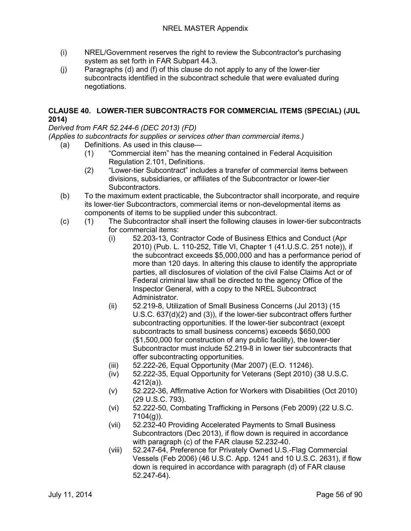- (i) NREL/Government reserves the right to review the Subcontractor's purchasing system as set forth in FAR Subpart 44.3.
- (j) Paragraphs (d) and (f) of this clause do not apply to any of the lower-tier subcontracts identified in the subcontract schedule that were evaluated during negotiations.

### **CLAUSE 40. LOWER-TIER SUBCONTRACTS FOR COMMERCIAL ITEMS (SPECIAL) (JUL 2014)**

*Derived from FAR 52.244-6 (DEC 2013) (FD)*

*(Applies to subcontracts for supplies or services other than commercial items.)*

- (a) Definitions. As used in this clause—
	- (1) "Commercial item" has the meaning contained in Federal Acquisition Regulation 2.101, Definitions.
	- (2) "Lower-tier Subcontract" includes a transfer of commercial items between divisions, subsidiaries, or affiliates of the Subcontractor or lower-tier Subcontractors.
- (b) To the maximum extent practicable, the Subcontractor shall incorporate, and require its lower-tier Subcontractors, commercial items or non-developmental items as components of items to be supplied under this subcontract.
- (c) (1) The Subcontractor shall insert the following clauses in lower-tier subcontracts for commercial items:
	- (i) 52.203-13, Contractor Code of Business Ethics and Conduct (Apr 2010) (Pub. L. 110-252, Title VI, Chapter 1 (41.U.S.C. 251 note)), if the subcontract exceeds \$5,000,000 and has a performance period of more than 120 days. In altering this clause to identify the appropriate parties, all disclosures of violation of the civil False Claims Act or of Federal criminal law shall be directed to the agency Office of the Inspector General, with a copy to the NREL Subcontract Administrator.
	- (ii) 52.219-8, Utilization of Small Business Concerns (Jul 2013) (15 U.S.C. 637(d)(2) and (3)), if the lower-tier subcontract offers further subcontracting opportunities. If the lower-tier subcontract (except subcontracts to small business concerns) exceeds \$650,000 (\$1,500,000 for construction of any public facility), the lower-tier Subcontractor must include 52.219-8 in lower tier subcontracts that offer subcontracting opportunities.
	- (iii) 52.222-26, Equal Opportunity (Mar 2007) (E.O. 11246).
	- (iv) 52.222-35, Equal Opportunity for Veterans (Sept 2010) (38 U.S.C. 4212(a)).
	- (v) 52.222-36, Affirmative Action for Workers with Disabilities (Oct 2010) (29 U.S.C. 793).
	- (vi) 52.222-50, Combating Trafficking in Persons (Feb 2009) (22 U.S.C. 7104(g)).
	- (vii) 52.232-40 Providing Accelerated Payments to Small Business Subcontractors (Dec 2013), if flow down is required in accordance with paragraph (c) of the FAR clause 52.232-40.
	- (viii) 52.247-64, Preference for Privately Owned U.S.-Flag Commercial Vessels (Feb 2006) (46 U.S.C. App. 1241 and 10 U.S.C. 2631), if flow down is required in accordance with paragraph (d) of FAR clause 52.247-64).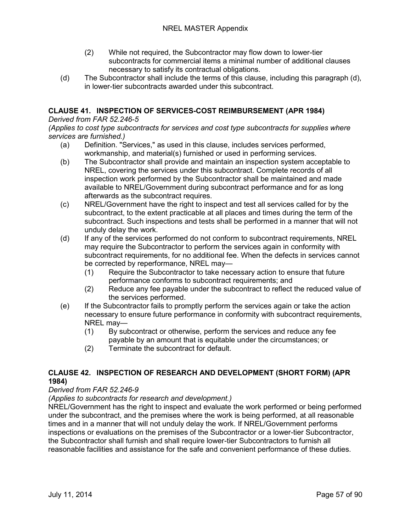- (2) While not required, the Subcontractor may flow down to lower-tier subcontracts for commercial items a minimal number of additional clauses necessary to satisfy its contractual obligations.
- (d) The Subcontractor shall include the terms of this clause, including this paragraph (d), in lower-tier subcontracts awarded under this subcontract.

## **CLAUSE 41. INSPECTION OF SERVICES-COST REIMBURSEMENT (APR 1984)**

#### *Derived from FAR 52.246-5*

*(Applies to cost type subcontracts for services and cost type subcontracts for supplies where services are furnished.)*

- (a) Definition. "Services," as used in this clause, includes services performed, workmanship, and material(s) furnished or used in performing services.
- (b) The Subcontractor shall provide and maintain an inspection system acceptable to NREL, covering the services under this subcontract. Complete records of all inspection work performed by the Subcontractor shall be maintained and made available to NREL/Government during subcontract performance and for as long afterwards as the subcontract requires.
- (c) NREL/Government have the right to inspect and test all services called for by the subcontract, to the extent practicable at all places and times during the term of the subcontract. Such inspections and tests shall be performed in a manner that will not unduly delay the work.
- (d) If any of the services performed do not conform to subcontract requirements, NREL may require the Subcontractor to perform the services again in conformity with subcontract requirements, for no additional fee. When the defects in services cannot be corrected by reperformance, NREL may—
	- (1) Require the Subcontractor to take necessary action to ensure that future performance conforms to subcontract requirements; and
	- (2) Reduce any fee payable under the subcontract to reflect the reduced value of the services performed.
- (e) If the Subcontractor fails to promptly perform the services again or take the action necessary to ensure future performance in conformity with subcontract requirements, NREL may—
	- (1) By subcontract or otherwise, perform the services and reduce any fee payable by an amount that is equitable under the circumstances; or
	- (2) Terminate the subcontract for default.

## **CLAUSE 42. INSPECTION OF RESEARCH AND DEVELOPMENT (SHORT FORM) (APR 1984)**

### *Derived from FAR 52.246-9*

*(Applies to subcontracts for research and development.)*

NREL/Government has the right to inspect and evaluate the work performed or being performed under the subcontract, and the premises where the work is being performed, at all reasonable times and in a manner that will not unduly delay the work. If NREL/Government performs inspections or evaluations on the premises of the Subcontractor or a lower-tier Subcontractor, the Subcontractor shall furnish and shall require lower-tier Subcontractors to furnish all reasonable facilities and assistance for the safe and convenient performance of these duties.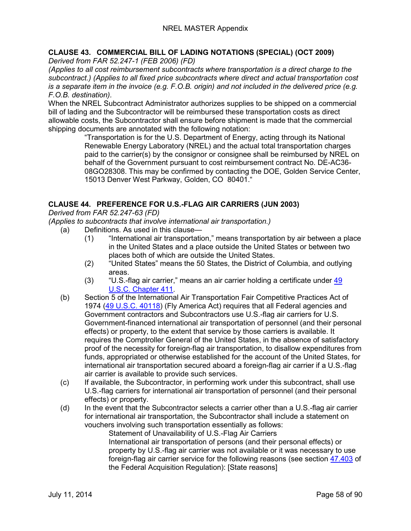# **CLAUSE 43. COMMERCIAL BILL OF LADING NOTATIONS (SPECIAL) (OCT 2009)**

*Derived from FAR 52.247-1 (FEB 2006) (FD)*

*(Applies to all cost reimbursement subcontracts where transportation is a direct charge to the subcontract.) (Applies to all fixed price subcontracts where direct and actual transportation cost is a separate item in the invoice (e.g. F.O.B. origin) and not included in the delivered price (e.g. F.O.B. destination).*

When the NREL Subcontract Administrator authorizes supplies to be shipped on a commercial bill of lading and the Subcontractor will be reimbursed these transportation costs as direct allowable costs, the Subcontractor shall ensure before shipment is made that the commercial shipping documents are annotated with the following notation:

"Transportation is for the U.S. Department of Energy, acting through its National Renewable Energy Laboratory (NREL) and the actual total transportation charges paid to the carrier(s) by the consignor or consignee shall be reimbursed by NREL on behalf of the Government pursuant to cost reimbursement contract No. DE-AC36- 08GO28308. This may be confirmed by contacting the DOE, Golden Service Center, 15013 Denver West Parkway, Golden, CO 80401."

## **CLAUSE 44. PREFERENCE FOR U.S.-FLAG AIR CARRIERS (JUN 2003)**

*Derived from FAR 52.247-63 (FD)*

*(Applies to subcontracts that involve international air transportation.)*

- (a) Definitions. As used in this clause—
	- (1) "International air transportation," means transportation by air between a place in the United States and a place outside the United States or between two places both of which are outside the United States.
	- (2) "United States" means the 50 States, the District of Columbia, and outlying areas.
	- (3) "U.S.-flag air carrier," means an air carrier holding a certificate under [49](http://uscode.house.gov/uscode-cgi/fastweb.exe?getdoc+uscview+t49t50+2+224++%2849%29%20%20AND%20%28%2849%29%20ADJ%20USC%29%3ACITE%20%20%20%20%20%20%20%20%20)  [U.S.C. Chapter 411.](http://uscode.house.gov/uscode-cgi/fastweb.exe?getdoc+uscview+t49t50+2+224++%2849%29%20%20AND%20%28%2849%29%20ADJ%20USC%29%3ACITE%20%20%20%20%20%20%20%20%20)
- (b) Section 5 of the International Air Transportation Fair Competitive Practices Act of 1974 [\(49 U.S.C. 40118\)](http://uscode.house.gov/uscode-cgi/fastweb.exe?getdoc+uscview+t49t50+2+224++%2849%29%20%20AND%20%28%2849%29%20ADJ%20USC%29%3ACITE%20%20%20%20%20%20%20%20%20) (Fly America Act) requires that all Federal agencies and Government contractors and Subcontractors use U.S.-flag air carriers for U.S. Government-financed international air transportation of personnel (and their personal effects) or property, to the extent that service by those carriers is available. It requires the Comptroller General of the United States, in the absence of satisfactory proof of the necessity for foreign-flag air transportation, to disallow expenditures from funds, appropriated or otherwise established for the account of the United States, for international air transportation secured aboard a foreign-flag air carrier if a U.S.-flag air carrier is available to provide such services.
- (c) If available, the Subcontractor, in performing work under this subcontract, shall use U.S.-flag carriers for international air transportation of personnel (and their personal effects) or property.
- (d) In the event that the Subcontractor selects a carrier other than a U.S.-flag air carrier for international air transportation, the Subcontractor shall include a statement on vouchers involving such transportation essentially as follows:

Statement of Unavailability of U.S.-Flag Air Carriers International air transportation of persons (and their personal effects) or property by U.S.-flag air carrier was not available or it was necessary to use foreign-flag air carrier service for the following reasons (see section [47.403](http://www.arnet.gov/far/current/html/Subpart%2047_4.html#wp1082022) of the Federal Acquisition Regulation): [State reasons]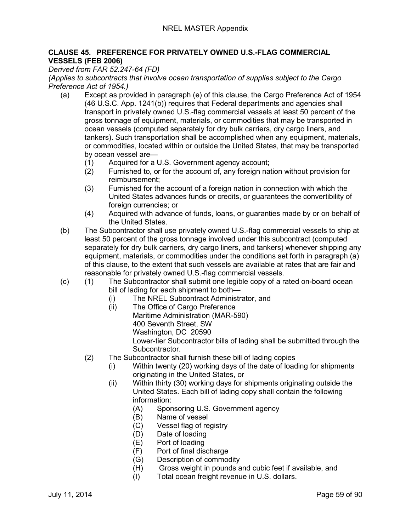### **CLAUSE 45. PREFERENCE FOR PRIVATELY OWNED U.S.-FLAG COMMERCIAL VESSELS (FEB 2006)**

### *Derived from FAR 52.247-64 (FD)*

*(Applies to subcontracts that involve ocean transportation of supplies subject to the Cargo Preference Act of 1954.)*

- (a) Except as provided in paragraph (e) of this clause, the Cargo Preference Act of 1954 (46 U.S.C. App. 1241(b)) requires that Federal departments and agencies shall transport in privately owned U.S.-flag commercial vessels at least 50 percent of the gross tonnage of equipment, materials, or commodities that may be transported in ocean vessels (computed separately for dry bulk carriers, dry cargo liners, and tankers). Such transportation shall be accomplished when any equipment, materials, or commodities, located within or outside the United States, that may be transported by ocean vessel are—
	- (1) Acquired for a U.S. Government agency account;
	- (2) Furnished to, or for the account of, any foreign nation without provision for reimbursement;
	- (3) Furnished for the account of a foreign nation in connection with which the United States advances funds or credits, or guarantees the convertibility of foreign currencies; or
	- (4) Acquired with advance of funds, loans, or guaranties made by or on behalf of the United States.
- (b) The Subcontractor shall use privately owned U.S.-flag commercial vessels to ship at least 50 percent of the gross tonnage involved under this subcontract (computed separately for dry bulk carriers, dry cargo liners, and tankers) whenever shipping any equipment, materials, or commodities under the conditions set forth in paragraph (a) of this clause, to the extent that such vessels are available at rates that are fair and reasonable for privately owned U.S.-flag commercial vessels.
- (c) (1) The Subcontractor shall submit one legible copy of a rated on-board ocean bill of lading for each shipment to both—
	- (i) The NREL Subcontract Administrator, and<br>(ii) The Office of Cargo Preference
	- The Office of Cargo Preference Maritime Administration (MAR-590) 400 Seventh Street, SW Washington, DC 20590 Lower-tier Subcontractor bills of lading shall be submitted through the Subcontractor.
	- (2) The Subcontractor shall furnish these bill of lading copies
		- (i) Within twenty (20) working days of the date of loading for shipments originating in the United States, or
		- (ii) Within thirty (30) working days for shipments originating outside the United States. Each bill of lading copy shall contain the following information:
			- (A) Sponsoring U.S. Government agency
			- (B) Name of vessel
			- (C) Vessel flag of registry
			- (D) Date of loading
			- (E) Port of loading
			- (F) Port of final discharge
			- (G) Description of commodity
			- (H) Gross weight in pounds and cubic feet if available, and
			- (I) Total ocean freight revenue in U.S. dollars.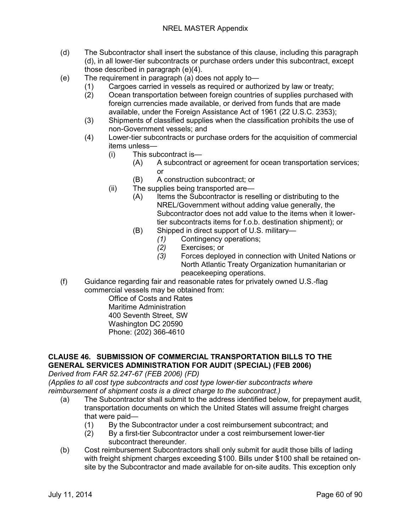- (d) The Subcontractor shall insert the substance of this clause, including this paragraph (d), in all lower-tier subcontracts or purchase orders under this subcontract, except those described in paragraph (e)(4).
- (e) The requirement in paragraph (a) does not apply to—
	- (1) Cargoes carried in vessels as required or authorized by law or treaty;
	- (2) Ocean transportation between foreign countries of supplies purchased with foreign currencies made available, or derived from funds that are made available, under the Foreign Assistance Act of 1961 (22 U.S.C. 2353);
	- (3) Shipments of classified supplies when the classification prohibits the use of non-Government vessels; and
	- (4) Lower-tier subcontracts or purchase orders for the acquisition of commercial items unless—
		- (i) This subcontract is—
			- (A) A subcontract or agreement for ocean transportation services; or
			- (B) A construction subcontract; or
		- (ii) The supplies being transported are—
			- (A) Items the Subcontractor is reselling or distributing to the NREL/Government without adding value generally, the Subcontractor does not add value to the items when it lowertier subcontracts items for f.o.b. destination shipment); or
			- (B) Shipped in direct support of U.S. military—
				- *(1)* Contingency operations;
					- *(2)* Exercises; or
					- *(3)* Forces deployed in connection with United Nations or North Atlantic Treaty Organization humanitarian or peacekeeping operations.
- (f) Guidance regarding fair and reasonable rates for privately owned U.S.-flag commercial vessels may be obtained from:

Office of Costs and Rates Maritime Administration 400 Seventh Street, SW Washington DC 20590 Phone: (202) 366-4610

## **CLAUSE 46. SUBMISSION OF COMMERCIAL TRANSPORTATION BILLS TO THE GENERAL SERVICES ADMINISTRATION FOR AUDIT (SPECIAL) (FEB 2006)**

*Derived from FAR 52.247-67 (FEB 2006) (FD)*

*(Applies to all cost type subcontracts and cost type lower-tier subcontracts where reimbursement of shipment costs is a direct charge to the subcontract.)*

- (a) The Subcontractor shall submit to the address identified below, for prepayment audit, transportation documents on which the United States will assume freight charges that were paid—
	- (1) By the Subcontractor under a cost reimbursement subcontract; and
	- (2) By a first-tier Subcontractor under a cost reimbursement lower-tier subcontract thereunder.
- (b) Cost reimbursement Subcontractors shall only submit for audit those bills of lading with freight shipment charges exceeding \$100. Bills under \$100 shall be retained onsite by the Subcontractor and made available for on-site audits. This exception only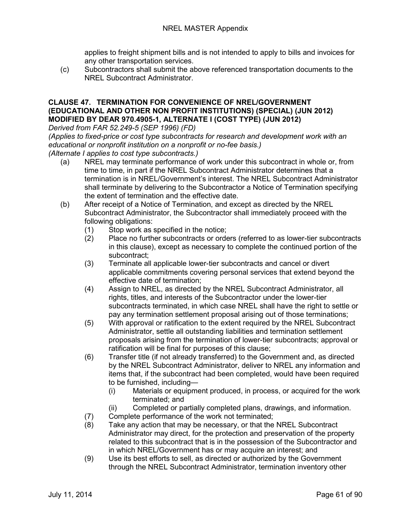applies to freight shipment bills and is not intended to apply to bills and invoices for any other transportation services.

(c) Subcontractors shall submit the above referenced transportation documents to the NREL Subcontract Administrator.

### **CLAUSE 47. TERMINATION FOR CONVENIENCE OF NREL/GOVERNMENT (EDUCATIONAL AND OTHER NON PROFIT INSTITUTIONS) (SPECIAL) (JUN 2012) MODIFIED BY DEAR 970.4905-1, ALTERNATE I (COST TYPE) (JUN 2012)**

*Derived from FAR 52.249-5 (SEP 1996) (FD)*

*(Applies to fixed-price or cost type subcontracts for research and development work with an educational or nonprofit institution on a nonprofit or no-fee basis.)*

*(Alternate I applies to cost type subcontracts.)*

- (a) NREL may terminate performance of work under this subcontract in whole or, from time to time, in part if the NREL Subcontract Administrator determines that a termination is in NREL/Government's interest. The NREL Subcontract Administrator shall terminate by delivering to the Subcontractor a Notice of Termination specifying the extent of termination and the effective date.
- (b) After receipt of a Notice of Termination, and except as directed by the NREL Subcontract Administrator, the Subcontractor shall immediately proceed with the following obligations:
	- (1) Stop work as specified in the notice;
	- (2) Place no further subcontracts or orders (referred to as lower-tier subcontracts in this clause), except as necessary to complete the continued portion of the subcontract;
	- (3) Terminate all applicable lower-tier subcontracts and cancel or divert applicable commitments covering personal services that extend beyond the effective date of termination;
	- (4) Assign to NREL, as directed by the NREL Subcontract Administrator, all rights, titles, and interests of the Subcontractor under the lower-tier subcontracts terminated, in which case NREL shall have the right to settle or pay any termination settlement proposal arising out of those terminations;
	- (5) With approval or ratification to the extent required by the NREL Subcontract Administrator, settle all outstanding liabilities and termination settlement proposals arising from the termination of lower-tier subcontracts; approval or ratification will be final for purposes of this clause;
	- (6) Transfer title (if not already transferred) to the Government and, as directed by the NREL Subcontract Administrator, deliver to NREL any information and items that, if the subcontract had been completed, would have been required to be furnished, including—
		- (i) Materials or equipment produced, in process, or acquired for the work terminated; and
		- (ii) Completed or partially completed plans, drawings, and information.
	- (7) Complete performance of the work not terminated;
	- (8) Take any action that may be necessary, or that the NREL Subcontract Administrator may direct, for the protection and preservation of the property related to this subcontract that is in the possession of the Subcontractor and in which NREL/Government has or may acquire an interest; and
	- (9) Use its best efforts to sell, as directed or authorized by the Government through the NREL Subcontract Administrator, termination inventory other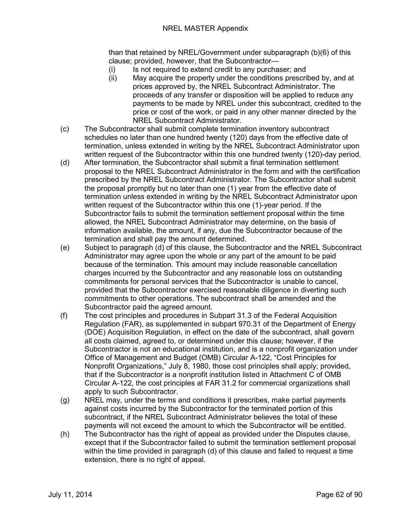### NREL MASTER Appendix

than that retained by NREL/Government under subparagraph (b)(6) of this clause; provided, however, that the Subcontractor—

- (i) Is not required to extend credit to any purchaser; and
- (ii) May acquire the property under the conditions prescribed by, and at prices approved by, the NREL Subcontract Administrator. The proceeds of any transfer or disposition will be applied to reduce any payments to be made by NREL under this subcontract, credited to the price or cost of the work, or paid in any other manner directed by the NREL Subcontract Administrator.
- (c) The Subcontractor shall submit complete termination inventory subcontract schedules no later than one hundred twenty (120) days from the effective date of termination, unless extended in writing by the NREL Subcontract Administrator upon written request of the Subcontractor within this one hundred twenty (120)-day period.
- (d) After termination, the Subcontractor shall submit a final termination settlement proposal to the NREL Subcontract Administrator in the form and with the certification prescribed by the NREL Subcontract Administrator. The Subcontractor shall submit the proposal promptly but no later than one (1) year from the effective date of termination unless extended in writing by the NREL Subcontract Administrator upon written request of the Subcontractor within this one (1)-year period. If the Subcontractor fails to submit the termination settlement proposal within the time allowed, the NREL Subcontract Administrator may determine, on the basis of information available, the amount, if any, due the Subcontractor because of the termination and shall pay the amount determined.
- (e) Subject to paragraph (d) of this clause, the Subcontractor and the NREL Subcontract Administrator may agree upon the whole or any part of the amount to be paid because of the termination. This amount may include reasonable cancellation charges incurred by the Subcontractor and any reasonable loss on outstanding commitments for personal services that the Subcontractor is unable to cancel, provided that the Subcontractor exercised reasonable diligence in diverting such commitments to other operations. The subcontract shall be amended and the Subcontractor paid the agreed amount.
- (f) The cost principles and procedures in Subpart 31.3 of the Federal Acquisition Regulation (FAR), as supplemented in subpart 970.31 of the Department of Energy (DOE) Acquisition Regulation, in effect on the date of the subcontract, shall govern all costs claimed, agreed to, or determined under this clause; however, if the Subcontractor is not an educational institution, and is a nonprofit organization under Office of Management and Budget (OMB) Circular A-122, "Cost Principles for Nonprofit Organizations," July 8, 1980, those cost principles shall apply; provided, that if the Subcontractor is a nonprofit institution listed in Attachment C of OMB Circular A-122, the cost principles at FAR 31.2 for commercial organizations shall apply to such Subcontractor.
- (g) NREL may, under the terms and conditions it prescribes, make partial payments against costs incurred by the Subcontractor for the terminated portion of this subcontract, if the NREL Subcontract Administrator believes the total of these payments will not exceed the amount to which the Subcontractor will be entitled.
- (h) The Subcontractor has the right of appeal as provided under the Disputes clause, except that if the Subcontractor failed to submit the termination settlement proposal within the time provided in paragraph (d) of this clause and failed to request a time extension, there is no right of appeal.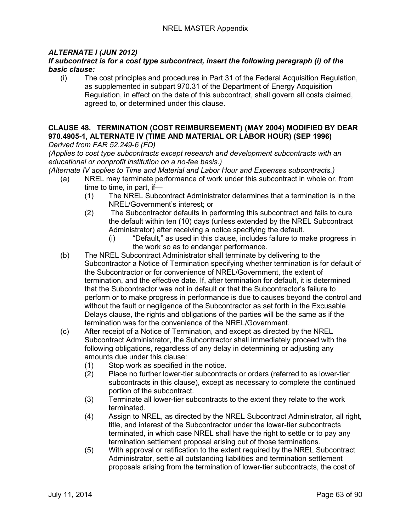## *ALTERNATE I (JUN 2012)*

### *If subcontract is for a cost type subcontract, insert the following paragraph (i) of the basic clause:*

(i) The cost principles and procedures in Part 31 of the Federal Acquisition Regulation, as supplemented in subpart 970.31 of the Department of Energy Acquisition Regulation, in effect on the date of this subcontract, shall govern all costs claimed, agreed to, or determined under this clause.

#### **CLAUSE 48. TERMINATION (COST REIMBURSEMENT) (MAY 2004) MODIFIED BY DEAR 970.4905-1, ALTERNATE IV (TIME AND MATERIAL OR LABOR HOUR) (SEP 1996)** *Derived from FAR 52.249-6 (FD)*

*(Applies to cost type subcontracts except research and development subcontracts with an educational or nonprofit institution on a no-fee basis.)*

*(Alternate IV applies to Time and Material and Labor Hour and Expenses subcontracts.)*

- (a) NREL may terminate performance of work under this subcontract in whole or, from time to time, in part, if—
	- (1) The NREL Subcontract Administrator determines that a termination is in the NREL/Government's interest; or
	- (2) The Subcontractor defaults in performing this subcontract and fails to cure the default within ten (10) days (unless extended by the NREL Subcontract Administrator) after receiving a notice specifying the default.
		- (i) "Default," as used in this clause, includes failure to make progress in the work so as to endanger performance.
- (b) The NREL Subcontract Administrator shall terminate by delivering to the Subcontractor a Notice of Termination specifying whether termination is for default of the Subcontractor or for convenience of NREL/Government, the extent of termination, and the effective date. If, after termination for default, it is determined that the Subcontractor was not in default or that the Subcontractor's failure to perform or to make progress in performance is due to causes beyond the control and without the fault or negligence of the Subcontractor as set forth in the Excusable Delays clause, the rights and obligations of the parties will be the same as if the termination was for the convenience of the NREL/Government.
- (c) After receipt of a Notice of Termination, and except as directed by the NREL Subcontract Administrator, the Subcontractor shall immediately proceed with the following obligations, regardless of any delay in determining or adjusting any amounts due under this clause:
	- (1) Stop work as specified in the notice.
	- (2) Place no further lower-tier subcontracts or orders (referred to as lower-tier subcontracts in this clause), except as necessary to complete the continued portion of the subcontract.
	- (3) Terminate all lower-tier subcontracts to the extent they relate to the work terminated.
	- (4) Assign to NREL, as directed by the NREL Subcontract Administrator, all right, title, and interest of the Subcontractor under the lower-tier subcontracts terminated, in which case NREL shall have the right to settle or to pay any termination settlement proposal arising out of those terminations.
	- (5) With approval or ratification to the extent required by the NREL Subcontract Administrator, settle all outstanding liabilities and termination settlement proposals arising from the termination of lower-tier subcontracts, the cost of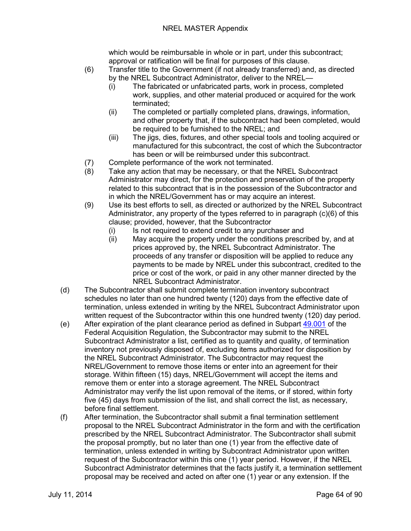### NREL MASTER Appendix

which would be reimbursable in whole or in part, under this subcontract; approval or ratification will be final for purposes of this clause.

- (6) Transfer title to the Government (if not already transferred) and, as directed by the NREL Subcontract Administrator, deliver to the NREL—
	- (i) The fabricated or unfabricated parts, work in process, completed work, supplies, and other material produced or acquired for the work terminated;
	- (ii) The completed or partially completed plans, drawings, information, and other property that, if the subcontract had been completed, would be required to be furnished to the NREL; and
	- (iii) The jigs, dies, fixtures, and other special tools and tooling acquired or manufactured for this subcontract, the cost of which the Subcontractor has been or will be reimbursed under this subcontract.
- (7) Complete performance of the work not terminated.
- (8) Take any action that may be necessary, or that the NREL Subcontract Administrator may direct, for the protection and preservation of the property related to this subcontract that is in the possession of the Subcontractor and in which the NREL/Government has or may acquire an interest.
- (9) Use its best efforts to sell, as directed or authorized by the NREL Subcontract Administrator, any property of the types referred to in paragraph (c)(6) of this clause; provided, however, that the Subcontractor
	- (i) Is not required to extend credit to any purchaser and
	- (ii) May acquire the property under the conditions prescribed by, and at prices approved by, the NREL Subcontract Administrator. The proceeds of any transfer or disposition will be applied to reduce any payments to be made by NREL under this subcontract, credited to the price or cost of the work, or paid in any other manner directed by the NREL Subcontract Administrator.
- (d) The Subcontractor shall submit complete termination inventory subcontract schedules no later than one hundred twenty (120) days from the effective date of termination, unless extended in writing by the NREL Subcontract Administrator upon written request of the Subcontractor within this one hundred twenty (120) day period.
- (e) After expiration of the plant clearance period as defined in Subpart  $49.001$  of the Federal Acquisition Regulation, the Subcontractor may submit to the NREL Subcontract Administrator a list, certified as to quantity and quality, of termination inventory not previously disposed of, excluding items authorized for disposition by the NREL Subcontract Administrator. The Subcontractor may request the NREL/Government to remove those items or enter into an agreement for their storage. Within fifteen (15) days, NREL/Government will accept the items and remove them or enter into a storage agreement. The NREL Subcontract Administrator may verify the list upon removal of the items, or if stored, within forty five (45) days from submission of the list, and shall correct the list, as necessary, before final settlement.
- (f) After termination, the Subcontractor shall submit a final termination settlement proposal to the NREL Subcontract Administrator in the form and with the certification prescribed by the NREL Subcontract Administrator. The Subcontractor shall submit the proposal promptly, but no later than one (1) year from the effective date of termination, unless extended in writing by Subcontract Administrator upon written request of the Subcontractor within this one (1) year period. However, if the NREL Subcontract Administrator determines that the facts justify it, a termination settlement proposal may be received and acted on after one (1) year or any extension. If the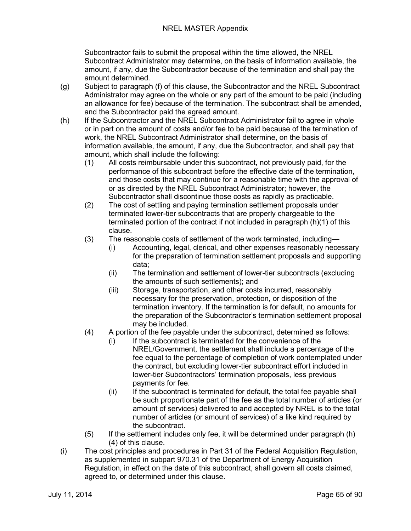Subcontractor fails to submit the proposal within the time allowed, the NREL Subcontract Administrator may determine, on the basis of information available, the amount, if any, due the Subcontractor because of the termination and shall pay the amount determined.

- (g) Subject to paragraph (f) of this clause, the Subcontractor and the NREL Subcontract Administrator may agree on the whole or any part of the amount to be paid (including an allowance for fee) because of the termination. The subcontract shall be amended, and the Subcontractor paid the agreed amount.
- (h) If the Subcontractor and the NREL Subcontract Administrator fail to agree in whole or in part on the amount of costs and/or fee to be paid because of the termination of work, the NREL Subcontract Administrator shall determine, on the basis of information available, the amount, if any, due the Subcontractor, and shall pay that amount, which shall include the following:
	- (1) All costs reimbursable under this subcontract, not previously paid, for the performance of this subcontract before the effective date of the termination, and those costs that may continue for a reasonable time with the approval of or as directed by the NREL Subcontract Administrator; however, the Subcontractor shall discontinue those costs as rapidly as practicable.
	- (2) The cost of settling and paying termination settlement proposals under terminated lower-tier subcontracts that are properly chargeable to the terminated portion of the contract if not included in paragraph (h)(1) of this clause.
	- (3) The reasonable costs of settlement of the work terminated, including—
		- (i) Accounting, legal, clerical, and other expenses reasonably necessary for the preparation of termination settlement proposals and supporting data;
		- (ii) The termination and settlement of lower-tier subcontracts (excluding the amounts of such settlements); and
		- (iii) Storage, transportation, and other costs incurred, reasonably necessary for the preservation, protection, or disposition of the termination inventory. If the termination is for default, no amounts for the preparation of the Subcontractor's termination settlement proposal may be included.
	- (4) A portion of the fee payable under the subcontract, determined as follows:
		- (i) If the subcontract is terminated for the convenience of the NREL/Government, the settlement shall include a percentage of the fee equal to the percentage of completion of work contemplated under the contract, but excluding lower-tier subcontract effort included in lower-tier Subcontractors' termination proposals, less previous payments for fee.
		- (ii) If the subcontract is terminated for default, the total fee payable shall be such proportionate part of the fee as the total number of articles (or amount of services) delivered to and accepted by NREL is to the total number of articles (or amount of services) of a like kind required by the subcontract.
	- (5) If the settlement includes only fee, it will be determined under paragraph (h) (4) of this clause.
- (i) The cost principles and procedures in Part 31 of the Federal Acquisition Regulation, as supplemented in subpart 970.31 of the Department of Energy Acquisition Regulation, in effect on the date of this subcontract, shall govern all costs claimed, agreed to, or determined under this clause.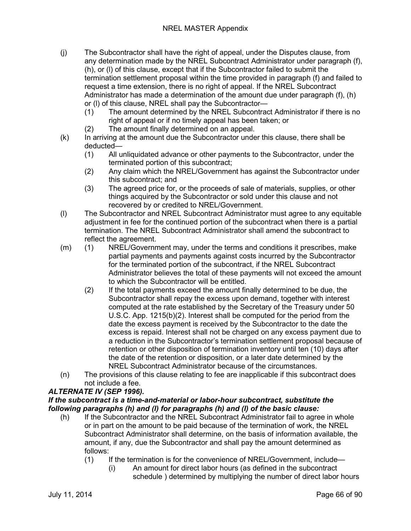- (j) The Subcontractor shall have the right of appeal, under the Disputes clause, from any determination made by the NREL Subcontract Administrator under paragraph (f), (h), or (l) of this clause, except that if the Subcontractor failed to submit the termination settlement proposal within the time provided in paragraph (f) and failed to request a time extension, there is no right of appeal. If the NREL Subcontract Administrator has made a determination of the amount due under paragraph (f), (h) or (l) of this clause, NREL shall pay the Subcontractor—
	- (1) The amount determined by the NREL Subcontract Administrator if there is no right of appeal or if no timely appeal has been taken; or
	- (2) The amount finally determined on an appeal.
- (k) In arriving at the amount due the Subcontractor under this clause, there shall be deducted—
	- (1) All unliquidated advance or other payments to the Subcontractor, under the terminated portion of this subcontract;
	- (2) Any claim which the NREL/Government has against the Subcontractor under this subcontract; and
	- (3) The agreed price for, or the proceeds of sale of materials, supplies, or other things acquired by the Subcontractor or sold under this clause and not recovered by or credited to NREL/Government.
- (l) The Subcontractor and NREL Subcontract Administrator must agree to any equitable adjustment in fee for the continued portion of the subcontract when there is a partial termination. The NREL Subcontract Administrator shall amend the subcontract to reflect the agreement.
- (m) (1) NREL/Government may, under the terms and conditions it prescribes, make partial payments and payments against costs incurred by the Subcontractor for the terminated portion of the subcontract, if the NREL Subcontract Administrator believes the total of these payments will not exceed the amount to which the Subcontractor will be entitled.
	- (2) If the total payments exceed the amount finally determined to be due, the Subcontractor shall repay the excess upon demand, together with interest computed at the rate established by the Secretary of the Treasury under 50 U.S.C. App. 1215(b)(2). Interest shall be computed for the period from the date the excess payment is received by the Subcontractor to the date the excess is repaid. Interest shall not be charged on any excess payment due to a reduction in the Subcontractor's termination settlement proposal because of retention or other disposition of termination inventory until ten (10) days after the date of the retention or disposition, or a later date determined by the NREL Subcontract Administrator because of the circumstances.
- (n) The provisions of this clause relating to fee are inapplicable if this subcontract does not include a fee.

## *ALTERNATE IV (SEP 1996).*

### *If the subcontract is a time-and-material or labor-hour subcontract, substitute the following paragraphs (h) and (l) for paragraphs (h) and (l) of the basic clause:*

- (h) If the Subcontractor and the NREL Subcontract Administrator fail to agree in whole or in part on the amount to be paid because of the termination of work, the NREL Subcontract Administrator shall determine, on the basis of information available, the amount, if any, due the Subcontractor and shall pay the amount determined as follows:
	- (1) If the termination is for the convenience of NREL/Government, include—
		- (i) An amount for direct labor hours (as defined in the subcontract schedule ) determined by multiplying the number of direct labor hours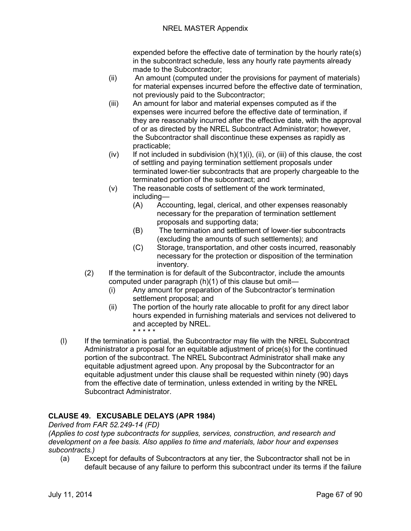expended before the effective date of termination by the hourly rate(s) in the subcontract schedule, less any hourly rate payments already made to the Subcontractor;

- (ii) An amount (computed under the provisions for payment of materials) for material expenses incurred before the effective date of termination, not previously paid to the Subcontractor;
- (iii) An amount for labor and material expenses computed as if the expenses were incurred before the effective date of termination, if they are reasonably incurred after the effective date, with the approval of or as directed by the NREL Subcontract Administrator; however, the Subcontractor shall discontinue these expenses as rapidly as practicable;
- (iv) If not included in subdivision  $(h)(1)(i)$ ,  $(ii)$ , or  $(iii)$  of this clause, the cost of settling and paying termination settlement proposals under terminated lower-tier subcontracts that are properly chargeable to the terminated portion of the subcontract; and
- (v) The reasonable costs of settlement of the work terminated, including—
	- (A) Accounting, legal, clerical, and other expenses reasonably necessary for the preparation of termination settlement proposals and supporting data;
	- (B) The termination and settlement of lower-tier subcontracts (excluding the amounts of such settlements); and
	- (C) Storage, transportation, and other costs incurred, reasonably necessary for the protection or disposition of the termination inventory.
- (2) If the termination is for default of the Subcontractor, include the amounts computed under paragraph (h)(1) of this clause but omit—
	- (i) Any amount for preparation of the Subcontractor's termination settlement proposal; and
	- (ii) The portion of the hourly rate allocable to profit for any direct labor hours expended in furnishing materials and services not delivered to and accepted by NREL. \* \* \* \* \*
- (l) If the termination is partial, the Subcontractor may file with the NREL Subcontract Administrator a proposal for an equitable adjustment of price(s) for the continued portion of the subcontract. The NREL Subcontract Administrator shall make any equitable adjustment agreed upon. Any proposal by the Subcontractor for an equitable adjustment under this clause shall be requested within ninety (90) days from the effective date of termination, unless extended in writing by the NREL Subcontract Administrator.

# **CLAUSE 49. EXCUSABLE DELAYS (APR 1984)**

*Derived from FAR 52.249-14 (FD)*

*(Applies to cost type subcontracts for supplies, services, construction, and research and development on a fee basis. Also applies to time and materials, labor hour and expenses subcontracts.)*

(a) Except for defaults of Subcontractors at any tier, the Subcontractor shall not be in default because of any failure to perform this subcontract under its terms if the failure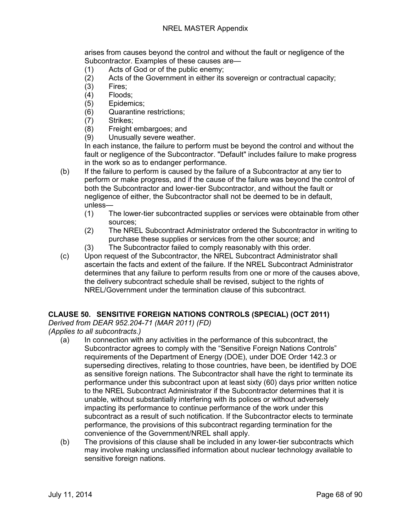arises from causes beyond the control and without the fault or negligence of the Subcontractor. Examples of these causes are—

- (1) Acts of God or of the public enemy;
- (2) Acts of the Government in either its sovereign or contractual capacity;
- (3) Fires;
- (4) Floods;
- (5) Epidemics;
- (6) Quarantine restrictions;
- (7) Strikes;<br>(8) Freight
- (8) Freight embargoes; and<br>(9) Unusually severe weathe
- Unusually severe weather.

In each instance, the failure to perform must be beyond the control and without the fault or negligence of the Subcontractor. "Default" includes failure to make progress in the work so as to endanger performance.

- (b) If the failure to perform is caused by the failure of a Subcontractor at any tier to perform or make progress, and if the cause of the failure was beyond the control of both the Subcontractor and lower-tier Subcontractor, and without the fault or negligence of either, the Subcontractor shall not be deemed to be in default, unless—
	- (1) The lower-tier subcontracted supplies or services were obtainable from other sources;
	- (2) The NREL Subcontract Administrator ordered the Subcontractor in writing to purchase these supplies or services from the other source; and
	- (3) The Subcontractor failed to comply reasonably with this order.
- (c) Upon request of the Subcontractor, the NREL Subcontract Administrator shall ascertain the facts and extent of the failure. If the NREL Subcontract Administrator determines that any failure to perform results from one or more of the causes above, the delivery subcontract schedule shall be revised, subject to the rights of NREL/Government under the termination clause of this subcontract.

## **CLAUSE 50. SENSITIVE FOREIGN NATIONS CONTROLS (SPECIAL) (OCT 2011)**

*Derived from DEAR 952.204-71 (MAR 2011) (FD)*

*(Applies to all subcontracts.)*

- (a) In connection with any activities in the performance of this subcontract, the Subcontractor agrees to comply with the "Sensitive Foreign Nations Controls" requirements of the Department of Energy (DOE), under DOE Order 142.3 or superseding directives, relating to those countries, have been, be identified by DOE as sensitive foreign nations. The Subcontractor shall have the right to terminate its performance under this subcontract upon at least sixty (60) days prior written notice to the NREL Subcontract Administrator if the Subcontractor determines that it is unable, without substantially interfering with its polices or without adversely impacting its performance to continue performance of the work under this subcontract as a result of such notification. If the Subcontractor elects to terminate performance, the provisions of this subcontract regarding termination for the convenience of the Government/NREL shall apply.
- (b) The provisions of this clause shall be included in any lower-tier subcontracts which may involve making unclassified information about nuclear technology available to sensitive foreign nations.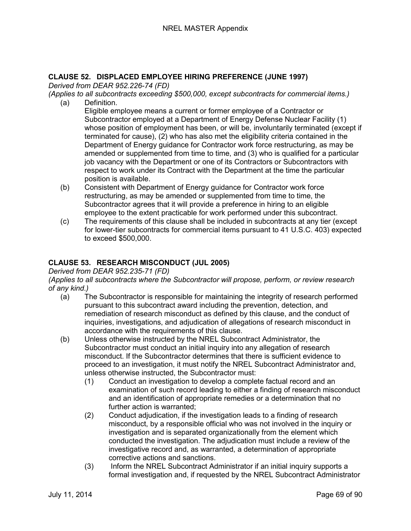# **CLAUSE 52. DISPLACED EMPLOYEE HIRING PREFERENCE (JUNE 1997)**

*Derived from DEAR 952.226-74 (FD)*

*(Applies to all subcontracts exceeding \$500,000, except subcontracts for commercial items.)*

(a) Definition.

Eligible employee means a current or former employee of a Contractor or Subcontractor employed at a Department of Energy Defense Nuclear Facility (1) whose position of employment has been, or will be, involuntarily terminated (except if terminated for cause), (2) who has also met the eligibility criteria contained in the Department of Energy guidance for Contractor work force restructuring, as may be amended or supplemented from time to time, and (3) who is qualified for a particular job vacancy with the Department or one of its Contractors or Subcontractors with respect to work under its Contract with the Department at the time the particular position is available.

- (b) Consistent with Department of Energy guidance for Contractor work force restructuring, as may be amended or supplemented from time to time, the Subcontractor agrees that it will provide a preference in hiring to an eligible employee to the extent practicable for work performed under this subcontract.
- (c) The requirements of this clause shall be included in subcontracts at any tier (except for lower-tier subcontracts for commercial items pursuant to 41 U.S.C. 403) expected to exceed \$500,000.

# **CLAUSE 53. RESEARCH MISCONDUCT (JUL 2005)**

### *Derived from DEAR 952.235-71 (FD)*

*(Applies to all subcontracts where the Subcontractor will propose, perform, or review research of any kind.)*

- (a) The Subcontractor is responsible for maintaining the integrity of research performed pursuant to this subcontract award including the prevention, detection, and remediation of research misconduct as defined by this clause, and the conduct of inquiries, investigations, and adjudication of allegations of research misconduct in accordance with the requirements of this clause.
- (b) Unless otherwise instructed by the NREL Subcontract Administrator, the Subcontractor must conduct an initial inquiry into any allegation of research misconduct. If the Subcontractor determines that there is sufficient evidence to proceed to an investigation, it must notify the NREL Subcontract Administrator and, unless otherwise instructed, the Subcontractor must:
	- (1) Conduct an investigation to develop a complete factual record and an examination of such record leading to either a finding of research misconduct and an identification of appropriate remedies or a determination that no further action is warranted;
	- (2) Conduct adjudication, if the investigation leads to a finding of research misconduct, by a responsible official who was not involved in the inquiry or investigation and is separated organizationally from the element which conducted the investigation. The adjudication must include a review of the investigative record and, as warranted, a determination of appropriate corrective actions and sanctions.
	- (3) Inform the NREL Subcontract Administrator if an initial inquiry supports a formal investigation and, if requested by the NREL Subcontract Administrator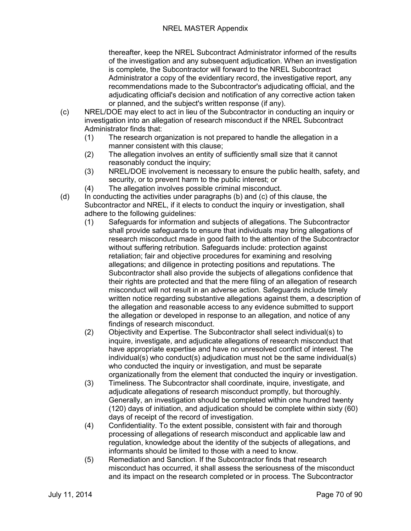thereafter, keep the NREL Subcontract Administrator informed of the results of the investigation and any subsequent adjudication. When an investigation is complete, the Subcontractor will forward to the NREL Subcontract Administrator a copy of the evidentiary record, the investigative report, any recommendations made to the Subcontractor's adjudicating official, and the adjudicating official's decision and notification of any corrective action taken or planned, and the subject's written response (if any).

- (c) NREL/DOE may elect to act in lieu of the Subcontractor in conducting an inquiry or investigation into an allegation of research misconduct if the NREL Subcontract Administrator finds that:
	- (1) The research organization is not prepared to handle the allegation in a manner consistent with this clause;
	- (2) The allegation involves an entity of sufficiently small size that it cannot reasonably conduct the inquiry;
	- (3) NREL/DOE involvement is necessary to ensure the public health, safety, and security, or to prevent harm to the public interest; or
	- (4) The allegation involves possible criminal misconduct.
- (d) In conducting the activities under paragraphs (b) and (c) of this clause, the Subcontractor and NREL, if it elects to conduct the inquiry or investigation, shall adhere to the following guidelines:
	- (1) Safeguards for information and subjects of allegations. The Subcontractor shall provide safeguards to ensure that individuals may bring allegations of research misconduct made in good faith to the attention of the Subcontractor without suffering retribution. Safeguards include: protection against retaliation; fair and objective procedures for examining and resolving allegations; and diligence in protecting positions and reputations. The Subcontractor shall also provide the subjects of allegations confidence that their rights are protected and that the mere filing of an allegation of research misconduct will not result in an adverse action. Safeguards include timely written notice regarding substantive allegations against them, a description of the allegation and reasonable access to any evidence submitted to support the allegation or developed in response to an allegation, and notice of any findings of research misconduct.
	- (2) Objectivity and Expertise. The Subcontractor shall select individual(s) to inquire, investigate, and adjudicate allegations of research misconduct that have appropriate expertise and have no unresolved conflict of interest. The individual(s) who conduct(s) adjudication must not be the same individual(s) who conducted the inquiry or investigation, and must be separate organizationally from the element that conducted the inquiry or investigation.
	- (3) Timeliness. The Subcontractor shall coordinate, inquire, investigate, and adjudicate allegations of research misconduct promptly, but thoroughly. Generally, an investigation should be completed within one hundred twenty (120) days of initiation, and adjudication should be complete within sixty (60) days of receipt of the record of investigation.
	- (4) Confidentiality. To the extent possible, consistent with fair and thorough processing of allegations of research misconduct and applicable law and regulation, knowledge about the identity of the subjects of allegations, and informants should be limited to those with a need to know.
	- (5) Remediation and Sanction. If the Subcontractor finds that research misconduct has occurred, it shall assess the seriousness of the misconduct and its impact on the research completed or in process. The Subcontractor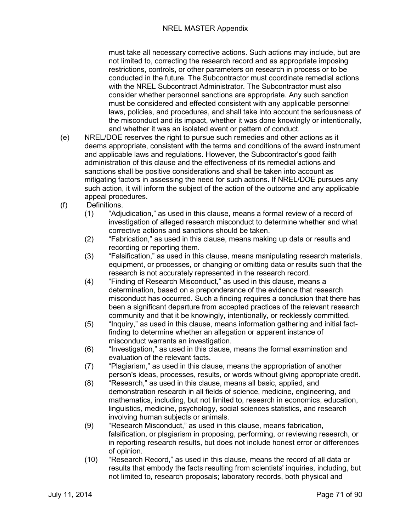must take all necessary corrective actions. Such actions may include, but are not limited to, correcting the research record and as appropriate imposing restrictions, controls, or other parameters on research in process or to be conducted in the future. The Subcontractor must coordinate remedial actions with the NREL Subcontract Administrator. The Subcontractor must also consider whether personnel sanctions are appropriate. Any such sanction must be considered and effected consistent with any applicable personnel laws, policies, and procedures, and shall take into account the seriousness of the misconduct and its impact, whether it was done knowingly or intentionally, and whether it was an isolated event or pattern of conduct.

- (e) NREL/DOE reserves the right to pursue such remedies and other actions as it deems appropriate, consistent with the terms and conditions of the award instrument and applicable laws and regulations. However, the Subcontractor's good faith administration of this clause and the effectiveness of its remedial actions and sanctions shall be positive considerations and shall be taken into account as mitigating factors in assessing the need for such actions. If NREL/DOE pursues any such action, it will inform the subject of the action of the outcome and any applicable appeal procedures.
- (f) Definitions.
	- (1) "Adjudication," as used in this clause, means a formal review of a record of investigation of alleged research misconduct to determine whether and what corrective actions and sanctions should be taken.
	- (2) "Fabrication," as used in this clause, means making up data or results and recording or reporting them.
	- (3) "Falsification," as used in this clause, means manipulating research materials, equipment, or processes, or changing or omitting data or results such that the research is not accurately represented in the research record.
	- (4) "Finding of Research Misconduct," as used in this clause, means a determination, based on a preponderance of the evidence that research misconduct has occurred. Such a finding requires a conclusion that there has been a significant departure from accepted practices of the relevant research community and that it be knowingly, intentionally, or recklessly committed.
	- (5) "Inquiry," as used in this clause, means information gathering and initial factfinding to determine whether an allegation or apparent instance of misconduct warrants an investigation.
	- (6) "Investigation," as used in this clause, means the formal examination and evaluation of the relevant facts.
	- (7) "Plagiarism," as used in this clause, means the appropriation of another person's ideas, processes, results, or words without giving appropriate credit.
	- (8) "Research," as used in this clause, means all basic, applied, and demonstration research in all fields of science, medicine, engineering, and mathematics, including, but not limited to, research in economics, education, linguistics, medicine, psychology, social sciences statistics, and research involving human subjects or animals.
	- (9) "Research Misconduct," as used in this clause, means fabrication, falsification, or plagiarism in proposing, performing, or reviewing research, or in reporting research results, but does not include honest error or differences of opinion.
	- (10) "Research Record," as used in this clause, means the record of all data or results that embody the facts resulting from scientists' inquiries, including, but not limited to, research proposals; laboratory records, both physical and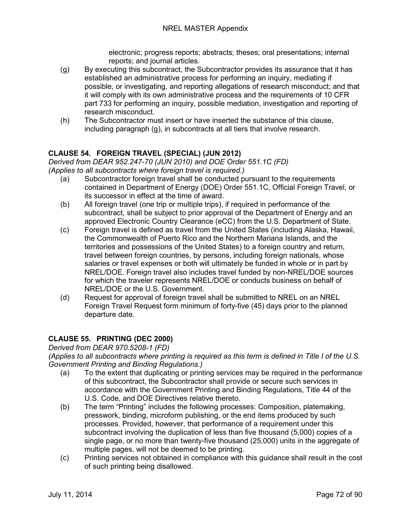electronic; progress reports; abstracts; theses; oral presentations; internal reports; and journal articles.

- (g) By executing this subcontract, the Subcontractor provides its assurance that it has established an administrative process for performing an inquiry, mediating if possible, or investigating, and reporting allegations of research misconduct; and that it will comply with its own administrative process and the requirements of 10 CFR part 733 for performing an inquiry, possible mediation, investigation and reporting of research misconduct.
- (h) The Subcontractor must insert or have inserted the substance of this clause, including paragraph (g), in subcontracts at all tiers that involve research.

# **CLAUSE 54. FOREIGN TRAVEL (SPECIAL) (JUN 2012)**

*Derived from DEAR 952.247-70 (JUN 2010) and DOE Order 551.1C (FD) (Applies to all subcontracts where foreign travel is required.)*

- (a) Subcontractor foreign travel shall be conducted pursuant to the requirements contained in Department of Energy (DOE) Order 551.1C, Official Foreign Travel, or its successor in effect at the time of award.
- (b) All foreign travel (one trip or multiple trips), if required in performance of the subcontract, shall be subject to prior approval of the Department of Energy and an approved Electronic Country Clearance (eCC) from the U.S. Department of State.
- (c) Foreign travel is defined as travel from the United States (including Alaska, Hawaii, the Commonwealth of Puerto Rico and the Northern Mariana Islands, and the territories and possessions of the United States) to a foreign country and return, travel between foreign countries, by persons, including foreign nationals, whose salaries or travel expenses or both will ultimately be funded in whole or in part by NREL/DOE. Foreign travel also includes travel funded by non-NREL/DOE sources for which the traveler represents NREL/DOE or conducts business on behalf of NREL/DOE or the U.S. Government.
- (d) Request for approval of foreign travel shall be submitted to NREL on an NREL Foreign Travel Request form minimum of forty-five (45) days prior to the planned departure date.

## **CLAUSE 55. PRINTING (DEC 2000)**

*Derived from DEAR 970.5208-1 (FD)*

*(Applies to all subcontracts where printing is required as this term is defined in Title I of the U.S. Government Printing and Binding Regulations.)*

- (a) To the extent that duplicating or printing services may be required in the performance of this subcontract, the Subcontractor shall provide or secure such services in accordance with the Government Printing and Binding Regulations, Title 44 of the U.S. Code, and DOE Directives relative thereto.
- (b) The term "Printing" includes the following processes: Composition, platemaking, presswork, binding, microform publishing, or the end items produced by such processes. Provided, however, that performance of a requirement under this subcontract involving the duplication of less than five thousand (5,000) copies of a single page, or no more than twenty-five thousand (25,000) units in the aggregate of multiple pages, will not be deemed to be printing.
- (c) Printing services not obtained in compliance with this guidance shall result in the cost of such printing being disallowed.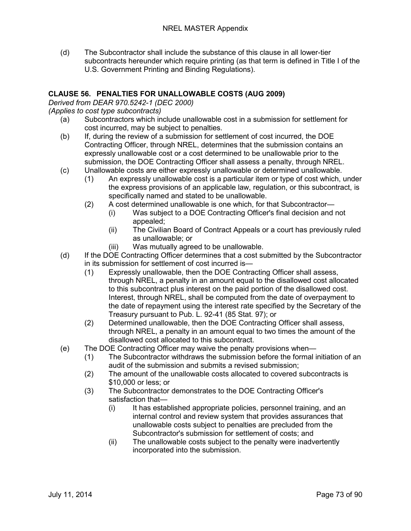(d) The Subcontractor shall include the substance of this clause in all lower-tier subcontracts hereunder which require printing (as that term is defined in Title I of the U.S. Government Printing and Binding Regulations).

#### **CLAUSE 56. PENALTIES FOR UNALLOWABLE COSTS (AUG 2009)**

*Derived from DEAR 970.5242-1 (DEC 2000)*

#### *(Applies to cost type subcontracts)*

- (a) Subcontractors which include unallowable cost in a submission for settlement for cost incurred, may be subject to penalties.
- (b) If, during the review of a submission for settlement of cost incurred, the DOE Contracting Officer, through NREL, determines that the submission contains an expressly unallowable cost or a cost determined to be unallowable prior to the submission, the DOE Contracting Officer shall assess a penalty, through NREL.
- (c) Unallowable costs are either expressly unallowable or determined unallowable.
	- (1) An expressly unallowable cost is a particular item or type of cost which, under the express provisions of an applicable law, regulation, or this subcontract, is specifically named and stated to be unallowable.
	- (2) A cost determined unallowable is one which, for that Subcontractor—
		- (i) Was subject to a DOE Contracting Officer's final decision and not appealed;
		- (ii) The Civilian Board of Contract Appeals or a court has previously ruled as unallowable; or
		- (iii) Was mutually agreed to be unallowable.
- (d) If the DOE Contracting Officer determines that a cost submitted by the Subcontractor in its submission for settlement of cost incurred is—
	- (1) Expressly unallowable, then the DOE Contracting Officer shall assess, through NREL, a penalty in an amount equal to the disallowed cost allocated to this subcontract plus interest on the paid portion of the disallowed cost. Interest, through NREL, shall be computed from the date of overpayment to the date of repayment using the interest rate specified by the Secretary of the Treasury pursuant to Pub. L. 92-41 (85 Stat. 97); or
	- (2) Determined unallowable, then the DOE Contracting Officer shall assess, through NREL, a penalty in an amount equal to two times the amount of the disallowed cost allocated to this subcontract.
- (e) The DOE Contracting Officer may waive the penalty provisions when—
	- (1) The Subcontractor withdraws the submission before the formal initiation of an audit of the submission and submits a revised submission;
	- (2) The amount of the unallowable costs allocated to covered subcontracts is \$10,000 or less; or
	- (3) The Subcontractor demonstrates to the DOE Contracting Officer's satisfaction that—
		- (i) It has established appropriate policies, personnel training, and an internal control and review system that provides assurances that unallowable costs subject to penalties are precluded from the Subcontractor's submission for settlement of costs; and
		- (ii) The unallowable costs subject to the penalty were inadvertently incorporated into the submission.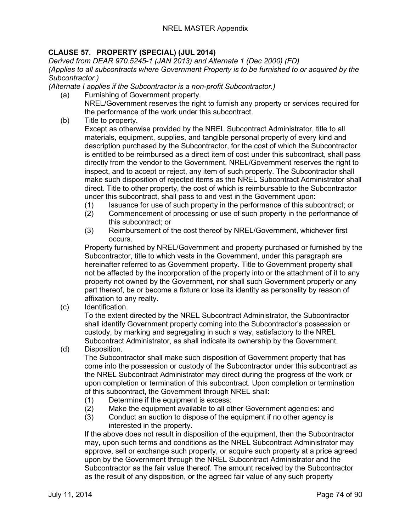# **CLAUSE 57. PROPERTY (SPECIAL) (JUL 2014)**

*Derived from DEAR 970.5245-1 (JAN 2013) and Alternate 1 (Dec 2000) (FD) (Applies to all subcontracts where Government Property is to be furnished to or acquired by the Subcontractor.)*

*(Alternate I applies if the Subcontractor is a non-profit Subcontractor.)*

- (a) Furnishing of Government property. NREL/Government reserves the right to furnish any property or services required for the performance of the work under this subcontract.
- (b) Title to property.

Except as otherwise provided by the NREL Subcontract Administrator, title to all materials, equipment, supplies, and tangible personal property of every kind and description purchased by the Subcontractor, for the cost of which the Subcontractor is entitled to be reimbursed as a direct item of cost under this subcontract, shall pass directly from the vendor to the Government. NREL/Government reserves the right to inspect, and to accept or reject, any item of such property. The Subcontractor shall make such disposition of rejected items as the NREL Subcontract Administrator shall direct. Title to other property, the cost of which is reimbursable to the Subcontractor under this subcontract, shall pass to and vest in the Government upon:

- (1) Issuance for use of such property in the performance of this subcontract; or
- (2) Commencement of processing or use of such property in the performance of this subcontract; or
- (3) Reimbursement of the cost thereof by NREL/Government, whichever first occurs.

Property furnished by NREL/Government and property purchased or furnished by the Subcontractor, title to which vests in the Government, under this paragraph are hereinafter referred to as Government property. Title to Government property shall not be affected by the incorporation of the property into or the attachment of it to any property not owned by the Government, nor shall such Government property or any part thereof, be or become a fixture or lose its identity as personality by reason of affixation to any realty.

(c) Identification.

To the extent directed by the NREL Subcontract Administrator, the Subcontractor shall identify Government property coming into the Subcontractor's possession or custody, by marking and segregating in such a way, satisfactory to the NREL Subcontract Administrator, as shall indicate its ownership by the Government.

(d) Disposition.

The Subcontractor shall make such disposition of Government property that has come into the possession or custody of the Subcontractor under this subcontract as the NREL Subcontract Administrator may direct during the progress of the work or upon completion or termination of this subcontract. Upon completion or termination of this subcontract, the Government through NREL shall:

- (1) Determine if the equipment is excess:
- (2) Make the equipment available to all other Government agencies: and
- (3) Conduct an auction to dispose of the equipment if no other agency is interested in the property.

If the above does not result in disposition of the equipment, then the Subcontractor may, upon such terms and conditions as the NREL Subcontract Administrator may approve, sell or exchange such property, or acquire such property at a price agreed upon by the Government through the NREL Subcontract Administrator and the Subcontractor as the fair value thereof. The amount received by the Subcontractor as the result of any disposition, or the agreed fair value of any such property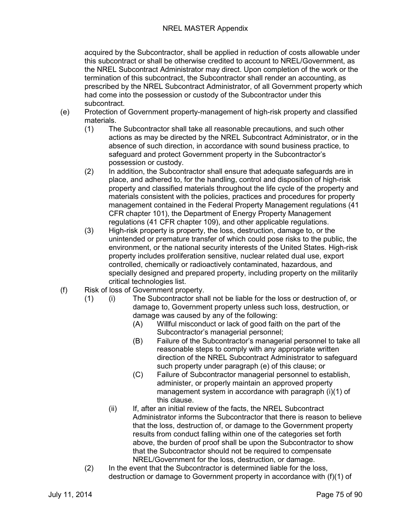#### NREL MASTER Appendix

acquired by the Subcontractor, shall be applied in reduction of costs allowable under this subcontract or shall be otherwise credited to account to NREL/Government, as the NREL Subcontract Administrator may direct. Upon completion of the work or the termination of this subcontract, the Subcontractor shall render an accounting, as prescribed by the NREL Subcontract Administrator, of all Government property which had come into the possession or custody of the Subcontractor under this subcontract.

- (e) Protection of Government property-management of high-risk property and classified materials.<br>(1) Th
	- The Subcontractor shall take all reasonable precautions, and such other actions as may be directed by the NREL Subcontract Administrator, or in the absence of such direction, in accordance with sound business practice, to safeguard and protect Government property in the Subcontractor's possession or custody.
	- (2) In addition, the Subcontractor shall ensure that adequate safeguards are in place, and adhered to, for the handling, control and disposition of high-risk property and classified materials throughout the life cycle of the property and materials consistent with the policies, practices and procedures for property management contained in the Federal Property Management regulations (41 CFR chapter 101), the Department of Energy Property Management regulations (41 CFR chapter 109), and other applicable regulations.
	- (3) High-risk property is property, the loss, destruction, damage to, or the unintended or premature transfer of which could pose risks to the public, the environment, or the national security interests of the United States. High-risk property includes proliferation sensitive, nuclear related dual use, export controlled, chemically or radioactively contaminated, hazardous, and specially designed and prepared property, including property on the militarily critical technologies list.
- (f) Risk of loss of Government property.
	- (1) (i) The Subcontractor shall not be liable for the loss or destruction of, or damage to, Government property unless such loss, destruction, or damage was caused by any of the following:
		- (A) Willful misconduct or lack of good faith on the part of the Subcontractor's managerial personnel;
		- (B) Failure of the Subcontractor's managerial personnel to take all reasonable steps to comply with any appropriate written direction of the NREL Subcontract Administrator to safeguard such property under paragraph (e) of this clause; or
		- (C) Failure of Subcontractor managerial personnel to establish, administer, or properly maintain an approved property management system in accordance with paragraph (i)(1) of this clause.
		- (ii) If, after an initial review of the facts, the NREL Subcontract Administrator informs the Subcontractor that there is reason to believe that the loss, destruction of, or damage to the Government property results from conduct falling within one of the categories set forth above, the burden of proof shall be upon the Subcontractor to show that the Subcontractor should not be required to compensate NREL/Government for the loss, destruction, or damage.
	- (2) In the event that the Subcontractor is determined liable for the loss, destruction or damage to Government property in accordance with (f)(1) of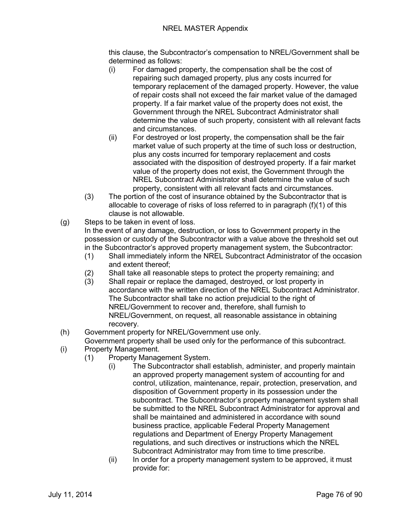this clause, the Subcontractor's compensation to NREL/Government shall be determined as follows:

- (i) For damaged property, the compensation shall be the cost of repairing such damaged property, plus any costs incurred for temporary replacement of the damaged property. However, the value of repair costs shall not exceed the fair market value of the damaged property. If a fair market value of the property does not exist, the Government through the NREL Subcontract Administrator shall determine the value of such property, consistent with all relevant facts and circumstances.
- (ii) For destroyed or lost property, the compensation shall be the fair market value of such property at the time of such loss or destruction, plus any costs incurred for temporary replacement and costs associated with the disposition of destroyed property. If a fair market value of the property does not exist, the Government through the NREL Subcontract Administrator shall determine the value of such property, consistent with all relevant facts and circumstances.
- (3) The portion of the cost of insurance obtained by the Subcontractor that is allocable to coverage of risks of loss referred to in paragraph (f)(1) of this clause is not allowable.
- (g) Steps to be taken in event of loss.

In the event of any damage, destruction, or loss to Government property in the possession or custody of the Subcontractor with a value above the threshold set out in the Subcontractor's approved property management system, the Subcontractor:

- (1) Shall immediately inform the NREL Subcontract Administrator of the occasion and extent thereof;
- (2) Shall take all reasonable steps to protect the property remaining; and
- (3) Shall repair or replace the damaged, destroyed, or lost property in accordance with the written direction of the NREL Subcontract Administrator. The Subcontractor shall take no action prejudicial to the right of NREL/Government to recover and, therefore, shall furnish to NREL/Government, on request, all reasonable assistance in obtaining recovery.
- (h) Government property for NREL/Government use only.
- Government property shall be used only for the performance of this subcontract.
- (i) Property Management.
	- (1) Property Management System.
		- (i) The Subcontractor shall establish, administer, and properly maintain an approved property management system of accounting for and control, utilization, maintenance, repair, protection, preservation, and disposition of Government property in its possession under the subcontract. The Subcontractor's property management system shall be submitted to the NREL Subcontract Administrator for approval and shall be maintained and administered in accordance with sound business practice, applicable Federal Property Management regulations and Department of Energy Property Management regulations, and such directives or instructions which the NREL Subcontract Administrator may from time to time prescribe.
		- (ii) In order for a property management system to be approved, it must provide for: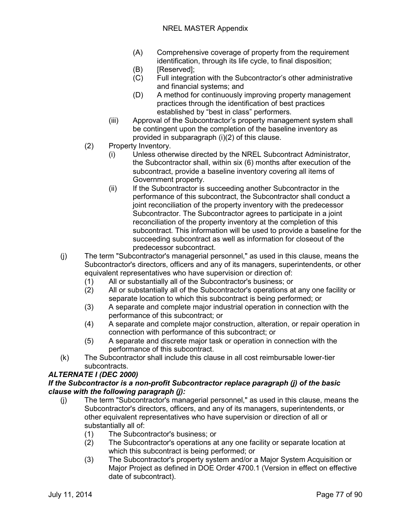- (A) Comprehensive coverage of property from the requirement identification, through its life cycle, to final disposition;
- (B) [Reserved];
- (C) Full integration with the Subcontractor's other administrative and financial systems; and
- (D) A method for continuously improving property management practices through the identification of best practices established by "best in class" performers.
- (iii) Approval of the Subcontractor's property management system shall be contingent upon the completion of the baseline inventory as provided in subparagraph (i)(2) of this clause.
- (2) Property Inventory.
	- (i) Unless otherwise directed by the NREL Subcontract Administrator, the Subcontractor shall, within six (6) months after execution of the subcontract, provide a baseline inventory covering all items of Government property.
	- (ii) If the Subcontractor is succeeding another Subcontractor in the performance of this subcontract, the Subcontractor shall conduct a joint reconciliation of the property inventory with the predecessor Subcontractor. The Subcontractor agrees to participate in a joint reconciliation of the property inventory at the completion of this subcontract. This information will be used to provide a baseline for the succeeding subcontract as well as information for closeout of the predecessor subcontract.
- (j) The term "Subcontractor's managerial personnel," as used in this clause, means the Subcontractor's directors, officers and any of its managers, superintendents, or other equivalent representatives who have supervision or direction of:
	-
	- (1) All or substantially all of the Subcontractor's business; or (2) All or substantially all of the Subcontractor's operations at All or substantially all of the Subcontractor's operations at any one facility or separate location to which this subcontract is being performed; or
	- (3) A separate and complete major industrial operation in connection with the performance of this subcontract; or
	- (4) A separate and complete major construction, alteration, or repair operation in connection with performance of this subcontract; or
	- (5) A separate and discrete major task or operation in connection with the performance of this subcontract.
- (k) The Subcontractor shall include this clause in all cost reimbursable lower-tier subcontracts.

## *ALTERNATE I (DEC 2000)*

## *If the Subcontractor is a non-profit Subcontractor replace paragraph (j) of the basic clause with the following paragraph (j):*

- (j) The term "Subcontractor's managerial personnel," as used in this clause, means the Subcontractor's directors, officers, and any of its managers, superintendents, or other equivalent representatives who have supervision or direction of all or substantially all of:
	- (1) The Subcontractor's business; or
	- (2) The Subcontractor's operations at any one facility or separate location at which this subcontract is being performed; or
	- (3) The Subcontractor's property system and/or a Major System Acquisition or Major Project as defined in DOE Order 4700.1 (Version in effect on effective date of subcontract).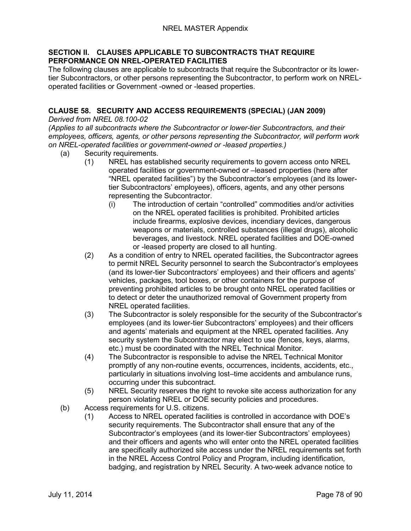#### **SECTION II. CLAUSES APPLICABLE TO SUBCONTRACTS THAT REQUIRE PERFORMANCE ON NREL-OPERATED FACILITIES**

The following clauses are applicable to subcontracts that require the Subcontractor or its lowertier Subcontractors, or other persons representing the Subcontractor, to perform work on NRELoperated facilities or Government -owned or -leased properties.

# **CLAUSE 58. SECURITY AND ACCESS REQUIREMENTS (SPECIAL) (JAN 2009)**

*Derived from NREL 08.100-02*

*(Applies to all subcontracts where the Subcontractor or lower-tier Subcontractors, and their employees, officers, agents, or other persons representing the Subcontractor, will perform work on NREL-operated facilities or government-owned or -leased properties.)*

- (a) Security requirements.
	- (1) NREL has established security requirements to govern access onto NREL operated facilities or government-owned or –leased properties (here after "NREL operated facilities") by the Subcontractor's employees (and its lowertier Subcontractors' employees), officers, agents, and any other persons representing the Subcontractor.
		- (i) The introduction of certain "controlled" commodities and/or activities on the NREL operated facilities is prohibited. Prohibited articles include firearms, explosive devices, incendiary devices, dangerous weapons or materials, controlled substances (illegal drugs), alcoholic beverages, and livestock. NREL operated facilities and DOE-owned or -leased property are closed to all hunting.
	- (2) As a condition of entry to NREL operated facilities, the Subcontractor agrees to permit NREL Security personnel to search the Subcontractor's employees (and its lower-tier Subcontractors' employees) and their officers and agents' vehicles, packages, tool boxes, or other containers for the purpose of preventing prohibited articles to be brought onto NREL operated facilities or to detect or deter the unauthorized removal of Government property from NREL operated facilities.
	- (3) The Subcontractor is solely responsible for the security of the Subcontractor's employees (and its lower-tier Subcontractors' employees) and their officers and agents' materials and equipment at the NREL operated facilities. Any security system the Subcontractor may elect to use (fences, keys, alarms, etc.) must be coordinated with the NREL Technical Monitor.
	- (4) The Subcontractor is responsible to advise the NREL Technical Monitor promptly of any non-routine events, occurrences, incidents, accidents, etc., particularly in situations involving lost–time accidents and ambulance runs, occurring under this subcontract.
	- (5) NREL Security reserves the right to revoke site access authorization for any person violating NREL or DOE security policies and procedures.
- (b) Access requirements for U.S. citizens.
	- (1) Access to NREL operated facilities is controlled in accordance with DOE's security requirements. The Subcontractor shall ensure that any of the Subcontractor's employees (and its lower-tier Subcontractors' employees) and their officers and agents who will enter onto the NREL operated facilities are specifically authorized site access under the NREL requirements set forth in the NREL Access Control Policy and Program, including identification, badging, and registration by NREL Security. A two-week advance notice to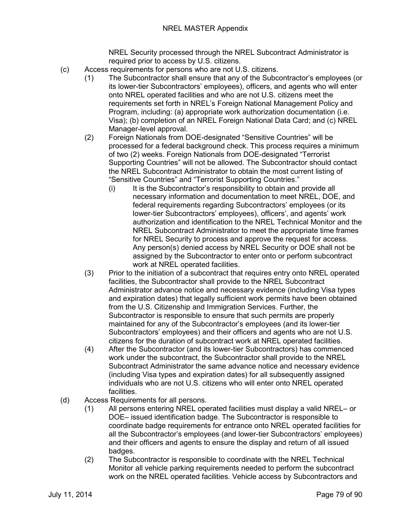NREL Security processed through the NREL Subcontract Administrator is required prior to access by U.S. citizens.

- (c) Access requirements for persons who are not U.S. citizens.
	- (1) The Subcontractor shall ensure that any of the Subcontractor's employees (or its lower-tier Subcontractors' employees), officers, and agents who will enter onto NREL operated facilities and who are not U.S. citizens meet the requirements set forth in NREL's Foreign National Management Policy and Program, including: (a) appropriate work authorization documentation (i.e. Visa); (b) completion of an NREL Foreign National Data Card; and (c) NREL Manager-level approval.
	- (2) Foreign Nationals from DOE-designated "Sensitive Countries" will be processed for a federal background check. This process requires a minimum of two (2) weeks. Foreign Nationals from DOE-designated "Terrorist Supporting Countries" will not be allowed. The Subcontractor should contact the NREL Subcontract Administrator to obtain the most current listing of "Sensitive Countries" and "Terrorist Supporting Countries."
		- (i) It is the Subcontractor's responsibility to obtain and provide all necessary information and documentation to meet NREL, DOE, and federal requirements regarding Subcontractors' employees (or its lower-tier Subcontractors' employees), officers', and agents' work authorization and identification to the NREL Technical Monitor and the NREL Subcontract Administrator to meet the appropriate time frames for NREL Security to process and approve the request for access. Any person(s) denied access by NREL Security or DOE shall not be assigned by the Subcontractor to enter onto or perform subcontract work at NREL operated facilities.
	- (3) Prior to the initiation of a subcontract that requires entry onto NREL operated facilities, the Subcontractor shall provide to the NREL Subcontract Administrator advance notice and necessary evidence (including Visa types and expiration dates) that legally sufficient work permits have been obtained from the U.S. Citizenship and Immigration Services. Further, the Subcontractor is responsible to ensure that such permits are properly maintained for any of the Subcontractor's employees (and its lower-tier Subcontractors' employees) and their officers and agents who are not U.S. citizens for the duration of subcontract work at NREL operated facilities.
	- (4) After the Subcontractor (and its lower-tier Subcontractors) has commenced work under the subcontract, the Subcontractor shall provide to the NREL Subcontract Administrator the same advance notice and necessary evidence (including Visa types and expiration dates) for all subsequently assigned individuals who are not U.S. citizens who will enter onto NREL operated facilities.
- (d) Access Requirements for all persons.
	- (1) All persons entering NREL operated facilities must display a valid NREL– or DOE– issued identification badge. The Subcontractor is responsible to coordinate badge requirements for entrance onto NREL operated facilities for all the Subcontractor's employees (and lower-tier Subcontractors' employees) and their officers and agents to ensure the display and return of all issued badges.
	- (2) The Subcontractor is responsible to coordinate with the NREL Technical Monitor all vehicle parking requirements needed to perform the subcontract work on the NREL operated facilities. Vehicle access by Subcontractors and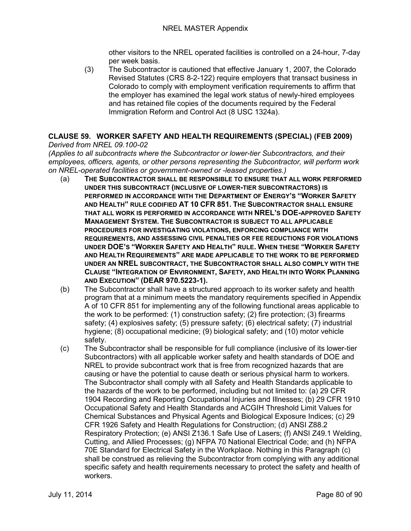other visitors to the NREL operated facilities is controlled on a 24-hour, 7-day per week basis.

(3) The Subcontractor is cautioned that effective January 1, 2007, the Colorado Revised Statutes (CRS 8-2-122) require employers that transact business in Colorado to comply with employment verification requirements to affirm that the employer has examined the legal work status of newly-hired employees and has retained file copies of the documents required by the Federal Immigration Reform and Control Act (8 USC 1324a).

# **CLAUSE 59. WORKER SAFETY AND HEALTH REQUIREMENTS (SPECIAL) (FEB 2009)**

## *Derived from NREL 09.100-02*

*(Applies to all subcontracts where the Subcontractor or lower-tier Subcontractors, and their employees, officers, agents, or other persons representing the Subcontractor, will perform work on NREL-operated facilities or government-owned or -leased properties.)*

- (a) **THE SUBCONTRACTOR SHALL BE RESPONSIBLE TO ENSURE THAT ALL WORK PERFORMED UNDER THIS SUBCONTRACT (INCLUSIVE OF LOWER-TIER SUBCONTRACTORS) IS PERFORMED IN ACCORDANCE WITH THE DEPARTMENT OF ENERGY'S "WORKER SAFETY AND HEALTH" RULE CODIFIED AT 10 CFR 851. THE SUBCONTRACTOR SHALL ENSURE THAT ALL WORK IS PERFORMED IN ACCORDANCE WITH NREL'S DOE-APPROVED SAFETY MANAGEMENT SYSTEM. THE SUBCONTRACTOR IS SUBJECT TO ALL APPLICABLE PROCEDURES FOR INVESTIGATING VIOLATIONS, ENFORCING COMPLIANCE WITH REQUIREMENTS, AND ASSESSING CIVIL PENALTIES OR FEE REDUCTIONS FOR VIOLATIONS UNDER DOE'S "WORKER SAFETY AND HEALTH" RULE. WHEN THESE "WORKER SAFETY AND HEALTH REQUIREMENTS" ARE MADE APPLICABLE TO THE WORK TO BE PERFORMED UNDER AN NREL SUBCONTRACT, THE SUBCONTRACTOR SHALL ALSO COMPLY WITH THE CLAUSE "INTEGRATION OF ENVIRONMENT, SAFETY, AND HEALTH INTO WORK PLANNING AND EXECUTION" (DEAR 970.5223-1).**
- (b) The Subcontractor shall have a structured approach to its worker safety and health program that at a minimum meets the mandatory requirements specified in Appendix A of 10 CFR 851 for implementing any of the following functional areas applicable to the work to be performed: (1) construction safety; (2) fire protection; (3) firearms safety; (4) explosives safety; (5) pressure safety; (6) electrical safety; (7) industrial hygiene; (8) occupational medicine; (9) biological safety; and (10) motor vehicle safety.
- (c) The Subcontractor shall be responsible for full compliance (inclusive of its lower-tier Subcontractors) with all applicable worker safety and health standards of DOE and NREL to provide subcontract work that is free from recognized hazards that are causing or have the potential to cause death or serious physical harm to workers. The Subcontractor shall comply with all Safety and Health Standards applicable to the hazards of the work to be performed, including but not limited to: (a) 29 CFR 1904 Recording and Reporting Occupational Injuries and Illnesses; (b) 29 CFR 1910 Occupational Safety and Health Standards and ACGIH Threshold Limit Values for Chemical Substances and Physical Agents and Biological Exposure Indices; (c) 29 CFR 1926 Safety and Health Regulations for Construction; (d) ANSI Z88.2 Respiratory Protection; (e) ANSI Z136.1 Safe Use of Lasers; (f) ANSI Z49.1 Welding, Cutting, and Allied Processes; (g) NFPA 70 National Electrical Code; and (h) NFPA 70E Standard for Electrical Safety in the Workplace. Nothing in this Paragraph (c) shall be construed as relieving the Subcontractor from complying with any additional specific safety and health requirements necessary to protect the safety and health of workers.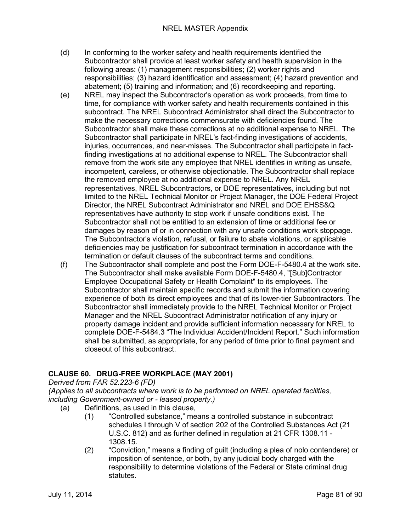- (d) In conforming to the worker safety and health requirements identified the Subcontractor shall provide at least worker safety and health supervision in the following areas: (1) management responsibilities; (2) worker rights and responsibilities; (3) hazard identification and assessment; (4) hazard prevention and abatement; (5) training and information; and (6) recordkeeping and reporting.
- (e) NREL may inspect the Subcontractor's operation as work proceeds, from time to time, for compliance with worker safety and health requirements contained in this subcontract. The NREL Subcontract Administrator shall direct the Subcontractor to make the necessary corrections commensurate with deficiencies found. The Subcontractor shall make these corrections at no additional expense to NREL. The Subcontractor shall participate in NREL's fact-finding investigations of accidents, injuries, occurrences, and near-misses. The Subcontractor shall participate in factfinding investigations at no additional expense to NREL. The Subcontractor shall remove from the work site any employee that NREL identifies in writing as unsafe, incompetent, careless, or otherwise objectionable. The Subcontractor shall replace the removed employee at no additional expense to NREL. Any NREL representatives, NREL Subcontractors, or DOE representatives, including but not limited to the NREL Technical Monitor or Project Manager, the DOE Federal Project Director, the NREL Subcontract Administrator and NREL and DOE EHSS&Q representatives have authority to stop work if unsafe conditions exist. The Subcontractor shall not be entitled to an extension of time or additional fee or damages by reason of or in connection with any unsafe conditions work stoppage. The Subcontractor's violation, refusal, or failure to abate violations, or applicable deficiencies may be justification for subcontract termination in accordance with the termination or default clauses of the subcontract terms and conditions.
- (f) The Subcontractor shall complete and post the Form DOE-F-5480.4 at the work site. The Subcontractor shall make available Form DOE-F-5480.4, "[Sub]Contractor Employee Occupational Safety or Health Complaint" to its employees. The Subcontractor shall maintain specific records and submit the information covering experience of both its direct employees and that of its lower-tier Subcontractors. The Subcontractor shall immediately provide to the NREL Technical Monitor or Project Manager and the NREL Subcontract Administrator notification of any injury or property damage incident and provide sufficient information necessary for NREL to complete DOE-F-5484.3 "The Individual Accident/Incident Report." Such information shall be submitted, as appropriate, for any period of time prior to final payment and closeout of this subcontract.

## **CLAUSE 60. DRUG-FREE WORKPLACE (MAY 2001)**

*Derived from FAR 52.223-6 (FD)*

*(Applies to all subcontracts where work is to be performed on NREL operated facilities, including Government-owned or - leased property.)*

- (a) Definitions, as used in this clause,
	- (1) "Controlled substance," means a controlled substance in subcontract schedules I through V of section 202 of the Controlled Substances Act (21 U.S.C. 812) and as further defined in regulation at 21 CFR 1308.11 - 1308.15.
		- (2) "Conviction," means a finding of guilt (including a plea of nolo contendere) or imposition of sentence, or both, by any judicial body charged with the responsibility to determine violations of the Federal or State criminal drug statutes.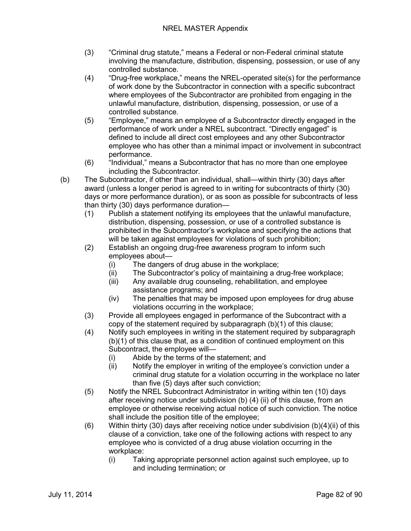- (3) "Criminal drug statute," means a Federal or non-Federal criminal statute involving the manufacture, distribution, dispensing, possession, or use of any controlled substance.
- (4) "Drug-free workplace," means the NREL-operated site(s) for the performance of work done by the Subcontractor in connection with a specific subcontract where employees of the Subcontractor are prohibited from engaging in the unlawful manufacture, distribution, dispensing, possession, or use of a controlled substance.
- (5) "Employee," means an employee of a Subcontractor directly engaged in the performance of work under a NREL subcontract. "Directly engaged" is defined to include all direct cost employees and any other Subcontractor employee who has other than a minimal impact or involvement in subcontract performance.
- (6) "Individual," means a Subcontractor that has no more than one employee including the Subcontractor.
- (b) The Subcontractor, if other than an individual, shall—within thirty (30) days after award (unless a longer period is agreed to in writing for subcontracts of thirty (30) days or more performance duration), or as soon as possible for subcontracts of less than thirty (30) days performance duration—
	- (1) Publish a statement notifying its employees that the unlawful manufacture, distribution, dispensing, possession, or use of a controlled substance is prohibited in the Subcontractor's workplace and specifying the actions that will be taken against employees for violations of such prohibition;
	- (2) Establish an ongoing drug-free awareness program to inform such employees about—
		- (i) The dangers of drug abuse in the workplace;
		- (ii) The Subcontractor's policy of maintaining a drug-free workplace;
		- (iii) Any available drug counseling, rehabilitation, and employee assistance programs; and
		- (iv) The penalties that may be imposed upon employees for drug abuse violations occurring in the workplace;
	- (3) Provide all employees engaged in performance of the Subcontract with a copy of the statement required by subparagraph (b)(1) of this clause;
	- (4) Notify such employees in writing in the statement required by subparagraph (b)(1) of this clause that, as a condition of continued employment on this Subcontract, the employee will—
		- (i) Abide by the terms of the statement; and
		- (ii) Notify the employer in writing of the employee's conviction under a criminal drug statute for a violation occurring in the workplace no later than five (5) days after such conviction;
	- (5) Notify the NREL Subcontract Administrator in writing within ten (10) days after receiving notice under subdivision (b) (4) (ii) of this clause, from an employee or otherwise receiving actual notice of such conviction. The notice shall include the position title of the employee;
	- (6) Within thirty (30) days after receiving notice under subdivision (b)(4)(ii) of this clause of a conviction, take one of the following actions with respect to any employee who is convicted of a drug abuse violation occurring in the workplace:
		- (i) Taking appropriate personnel action against such employee, up to and including termination; or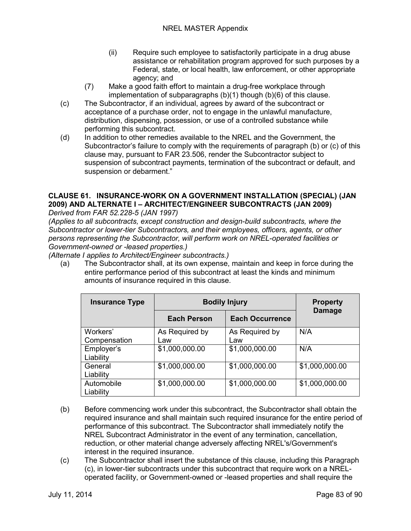- (ii) Require such employee to satisfactorily participate in a drug abuse assistance or rehabilitation program approved for such purposes by a Federal, state, or local health, law enforcement, or other appropriate agency; and
- (7) Make a good faith effort to maintain a drug-free workplace through implementation of subparagraphs (b)(1) though (b)(6) of this clause.
- (c) The Subcontractor, if an individual, agrees by award of the subcontract or acceptance of a purchase order, not to engage in the unlawful manufacture, distribution, dispensing, possession, or use of a controlled substance while performing this subcontract.
- (d) In addition to other remedies available to the NREL and the Government, the Subcontractor's failure to comply with the requirements of paragraph (b) or (c) of this clause may, pursuant to FAR 23.506, render the Subcontractor subject to suspension of subcontract payments, termination of the subcontract or default, and suspension or debarment."

## **CLAUSE 61. INSURANCE-WORK ON A GOVERNMENT INSTALLATION (SPECIAL) (JAN 2009) AND ALTERNATE I – ARCHITECT/ENGINEER SUBCONTRACTS (JAN 2009)**

*Derived from FAR 52.228-5 (JAN 1997)*

*(Applies to all subcontracts, except construction and design-build subcontracts, where the Subcontractor or lower-tier Subcontractors, and their employees, officers, agents, or other persons representing the Subcontractor, will perform work on NREL-operated facilities or Government-owned or -leased properties.)*

*(Alternate I applies to Architect/Engineer subcontracts.)*

(a) The Subcontractor shall, at its own expense, maintain and keep in force during the entire performance period of this subcontract at least the kinds and minimum amounts of insurance required in this clause.

| <b>Insurance Type</b> | <b>Bodily Injury</b> |                        | <b>Property</b><br><b>Damage</b> |
|-----------------------|----------------------|------------------------|----------------------------------|
|                       | <b>Each Person</b>   | <b>Each Occurrence</b> |                                  |
| Workers'              | As Required by       | As Required by         | N/A                              |
| Compensation          | Law                  | Law                    |                                  |
| Employer's            | \$1,000,000.00       | \$1,000,000.00         | N/A                              |
| Liability             |                      |                        |                                  |
| General               | \$1,000,000.00       | \$1,000,000.00         | \$1,000,000.00                   |
| Liability             |                      |                        |                                  |
| Automobile            | \$1,000,000.00       | \$1,000,000.00         | \$1,000,000.00                   |
| Liability             |                      |                        |                                  |

- (b) Before commencing work under this subcontract, the Subcontractor shall obtain the required insurance and shall maintain such required insurance for the entire period of performance of this subcontract. The Subcontractor shall immediately notify the NREL Subcontract Administrator in the event of any termination, cancellation, reduction, or other material change adversely affecting NREL's/Government's interest in the required insurance.
- (c) The Subcontractor shall insert the substance of this clause, including this Paragraph (c), in lower-tier subcontracts under this subcontract that require work on a NRELoperated facility, or Government-owned or -leased properties and shall require the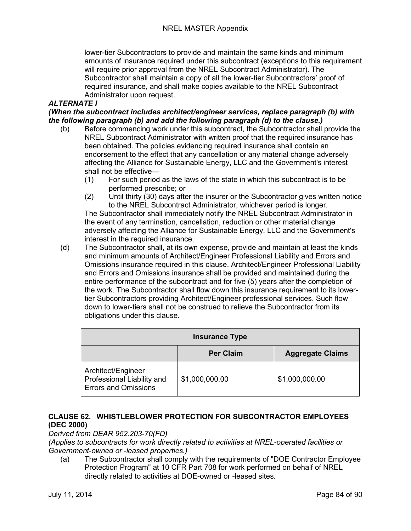lower-tier Subcontractors to provide and maintain the same kinds and minimum amounts of insurance required under this subcontract (exceptions to this requirement will require prior approval from the NREL Subcontract Administrator). The Subcontractor shall maintain a copy of all the lower-tier Subcontractors' proof of required insurance, and shall make copies available to the NREL Subcontract Administrator upon request.

#### *ALTERNATE I*

*(When the subcontract includes architect/engineer services, replace paragraph (b) with the following paragraph (b) and add the following paragraph (d) to the clause.)*

- (b) Before commencing work under this subcontract, the Subcontractor shall provide the NREL Subcontract Administrator with written proof that the required insurance has been obtained. The policies evidencing required insurance shall contain an endorsement to the effect that any cancellation or any material change adversely affecting the Alliance for Sustainable Energy, LLC and the Government's interest shall not be effective—
	- (1) For such period as the laws of the state in which this subcontract is to be performed prescribe; or
	- (2) Until thirty (30) days after the insurer or the Subcontractor gives written notice to the NREL Subcontract Administrator, whichever period is longer.

The Subcontractor shall immediately notify the NREL Subcontract Administrator in the event of any termination, cancellation, reduction or other material change adversely affecting the Alliance for Sustainable Energy, LLC and the Government's interest in the required insurance.

(d) The Subcontractor shall, at its own expense, provide and maintain at least the kinds and minimum amounts of Architect/Engineer Professional Liability and Errors and Omissions insurance required in this clause. Architect/Engineer Professional Liability and Errors and Omissions insurance shall be provided and maintained during the entire performance of the subcontract and for five (5) years after the completion of the work. The Subcontractor shall flow down this insurance requirement to its lowertier Subcontractors providing Architect/Engineer professional services. Such flow down to lower-tiers shall not be construed to relieve the Subcontractor from its obligations under this clause.

| <b>Insurance Type</b>                                                           |                  |                         |  |
|---------------------------------------------------------------------------------|------------------|-------------------------|--|
|                                                                                 | <b>Per Claim</b> | <b>Aggregate Claims</b> |  |
| Architect/Engineer<br>Professional Liability and<br><b>Errors and Omissions</b> | \$1,000,000.00   | \$1,000,000.00          |  |

## **CLAUSE 62. WHISTLEBLOWER PROTECTION FOR SUBCONTRACTOR EMPLOYEES (DEC 2000)**

*Derived from DEAR 952.203-70(FD)*

*(Applies to subcontracts for work directly related to activities at NREL-operated facilities or Government-owned or -leased properties.)*

(a) The Subcontractor shall comply with the requirements of "DOE Contractor Employee Protection Program" at 10 CFR Part 708 for work performed on behalf of NREL directly related to activities at DOE-owned or -leased sites.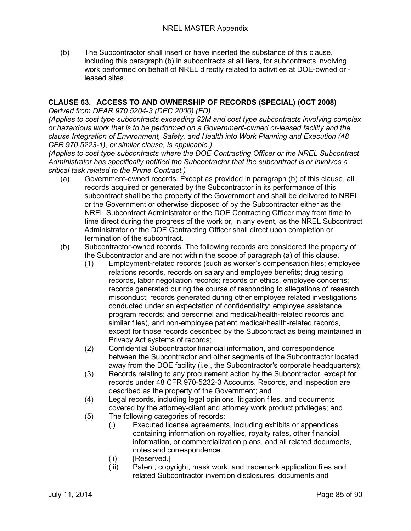(b) The Subcontractor shall insert or have inserted the substance of this clause, including this paragraph (b) in subcontracts at all tiers, for subcontracts involving work performed on behalf of NREL directly related to activities at DOE-owned or leased sites.

# **CLAUSE 63. ACCESS TO AND OWNERSHIP OF RECORDS (SPECIAL) (OCT 2008)**

*Derived from DEAR 970.5204-3 (DEC 2000) (FD)*

*(Applies to cost type subcontracts exceeding \$2M and cost type subcontracts involving complex or hazardous work that is to be performed on a Government-owned or-leased facility and the clause Integration of Environment, Safety, and Health into Work Planning and Execution (48 CFR 970.5223-1), or similar clause, is applicable.)*

*(Applies to cost type subcontracts where the DOE Contracting Officer or the NREL Subcontract Administrator has specifically notified the Subcontractor that the subcontract is or involves a critical task related to the Prime Contract.)*

- (a) Government-owned records. Except as provided in paragraph (b) of this clause, all records acquired or generated by the Subcontractor in its performance of this subcontract shall be the property of the Government and shall be delivered to NREL or the Government or otherwise disposed of by the Subcontractor either as the NREL Subcontract Administrator or the DOE Contracting Officer may from time to time direct during the progress of the work or, in any event, as the NREL Subcontract Administrator or the DOE Contracting Officer shall direct upon completion or termination of the subcontract.
- (b) Subcontractor-owned records. The following records are considered the property of the Subcontractor and are not within the scope of paragraph (a) of this clause.
	- (1) Employment-related records (such as worker's compensation files; employee relations records, records on salary and employee benefits; drug testing records, labor negotiation records; records on ethics, employee concerns; records generated during the course of responding to allegations of research misconduct; records generated during other employee related investigations conducted under an expectation of confidentiality; employee assistance program records; and personnel and medical/health-related records and similar files), and non-employee patient medical/health-related records, except for those records described by the Subcontract as being maintained in Privacy Act systems of records;
	- (2) Confidential Subcontractor financial information, and correspondence between the Subcontractor and other segments of the Subcontractor located away from the DOE facility (i.e., the Subcontractor's corporate headquarters);
	- (3) Records relating to any procurement action by the Subcontractor, except for records under 48 CFR 970-5232-3 Accounts, Records, and Inspection are described as the property of the Government; and
	- (4) Legal records, including legal opinions, litigation files, and documents covered by the attorney-client and attorney work product privileges; and
	- (5) The following categories of records:
		- (i) Executed license agreements, including exhibits or appendices containing information on royalties, royalty rates, other financial information, or commercialization plans, and all related documents, notes and correspondence.
		- (ii) [Reserved.]
		- (iii) Patent, copyright, mask work, and trademark application files and related Subcontractor invention disclosures, documents and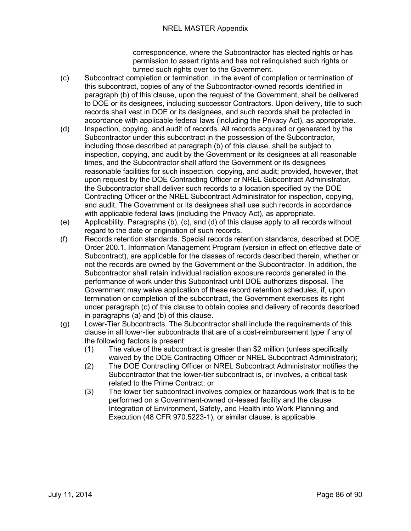correspondence, where the Subcontractor has elected rights or has permission to assert rights and has not relinquished such rights or turned such rights over to the Government.

- (c) Subcontract completion or termination. In the event of completion or termination of this subcontract, copies of any of the Subcontractor-owned records identified in paragraph (b) of this clause, upon the request of the Government, shall be delivered to DOE or its designees, including successor Contractors. Upon delivery, title to such records shall vest in DOE or its designees, and such records shall be protected in accordance with applicable federal laws (including the Privacy Act), as appropriate.
- (d) Inspection, copying, and audit of records. All records acquired or generated by the Subcontractor under this subcontract in the possession of the Subcontractor, including those described at paragraph (b) of this clause, shall be subject to inspection, copying, and audit by the Government or its designees at all reasonable times, and the Subcontractor shall afford the Government or its designees reasonable facilities for such inspection, copying, and audit; provided, however, that upon request by the DOE Contracting Officer or NREL Subcontract Administrator, the Subcontractor shall deliver such records to a location specified by the DOE Contracting Officer or the NREL Subcontract Administrator for inspection, copying, and audit. The Government or its designees shall use such records in accordance with applicable federal laws (including the Privacy Act), as appropriate.
- (e) Applicability. Paragraphs (b), (c), and (d) of this clause apply to all records without regard to the date or origination of such records.
- (f) Records retention standards. Special records retention standards, described at DOE Order 200.1, Information Management Program (version in effect on effective date of Subcontract), are applicable for the classes of records described therein, whether or not the records are owned by the Government or the Subcontractor. In addition, the Subcontractor shall retain individual radiation exposure records generated in the performance of work under this Subcontract until DOE authorizes disposal. The Government may waive application of these record retention schedules, if, upon termination or completion of the subcontract, the Government exercises its right under paragraph (c) of this clause to obtain copies and delivery of records described in paragraphs (a) and (b) of this clause.
- (g) Lower-Tier Subcontracts. The Subcontractor shall include the requirements of this clause in all lower-tier subcontracts that are of a cost-reimbursement type if any of the following factors is present:
	- (1) The value of the subcontract is greater than \$2 million (unless specifically waived by the DOE Contracting Officer or NREL Subcontract Administrator);
	- (2) The DOE Contracting Officer or NREL Subcontract Administrator notifies the Subcontractor that the lower-tier subcontract is, or involves, a critical task related to the Prime Contract; or
	- (3) The lower tier subcontract involves complex or hazardous work that is to be performed on a Government-owned or-leased facility and the clause Integration of Environment, Safety, and Health into Work Planning and Execution (48 CFR 970.5223-1), or similar clause, is applicable.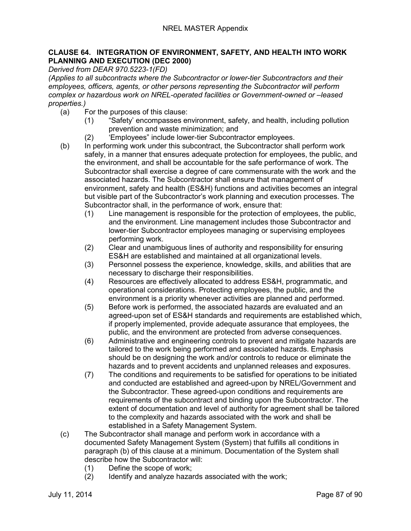#### **CLAUSE 64. INTEGRATION OF ENVIRONMENT, SAFETY, AND HEALTH INTO WORK PLANNING AND EXECUTION (DEC 2000)**

*Derived from DEAR 970.5223-1(FD)*

*(Applies to all subcontracts where the Subcontractor or lower-tier Subcontractors and their employees, officers, agents, or other persons representing the Subcontractor will perform complex or hazardous work on NREL-operated facilities or Government-owned or –leased properties.)*

- (a) For the purposes of this clause:
	- (1) "Safety' encompasses environment, safety, and health, including pollution prevention and waste minimization; and
	- (2) 'Employees" include lower-tier Subcontractor employees.
- (b) In performing work under this subcontract, the Subcontractor shall perform work safely, in a manner that ensures adequate protection for employees, the public, and the environment, and shall be accountable for the safe performance of work. The Subcontractor shall exercise a degree of care commensurate with the work and the associated hazards. The Subcontractor shall ensure that management of environment, safety and health (ES&H) functions and activities becomes an integral but visible part of the Subcontractor's work planning and execution processes. The Subcontractor shall, in the performance of work, ensure that:
	- (1) Line management is responsible for the protection of employees, the public, and the environment. Line management includes those Subcontractor and lower-tier Subcontractor employees managing or supervising employees performing work.
	- (2) Clear and unambiguous lines of authority and responsibility for ensuring ES&H are established and maintained at all organizational levels.
	- (3) Personnel possess the experience, knowledge, skills, and abilities that are necessary to discharge their responsibilities.
	- (4) Resources are effectively allocated to address ES&H, programmatic, and operational considerations. Protecting employees, the public, and the environment is a priority whenever activities are planned and performed.
	- (5) Before work is performed, the associated hazards are evaluated and an agreed-upon set of ES&H standards and requirements are established which, if properly implemented, provide adequate assurance that employees, the public, and the environment are protected from adverse consequences.
	- (6) Administrative and engineering controls to prevent and mitigate hazards are tailored to the work being performed and associated hazards. Emphasis should be on designing the work and/or controls to reduce or eliminate the hazards and to prevent accidents and unplanned releases and exposures.
	- (7) The conditions and requirements to be satisfied for operations to be initiated and conducted are established and agreed-upon by NREL/Government and the Subcontractor. These agreed-upon conditions and requirements are requirements of the subcontract and binding upon the Subcontractor. The extent of documentation and level of authority for agreement shall be tailored to the complexity and hazards associated with the work and shall be established in a Safety Management System.
- (c) The Subcontractor shall manage and perform work in accordance with a documented Safety Management System (System) that fulfills all conditions in paragraph (b) of this clause at a minimum. Documentation of the System shall describe how the Subcontractor will:
	- (1) Define the scope of work;
	- (2) Identify and analyze hazards associated with the work;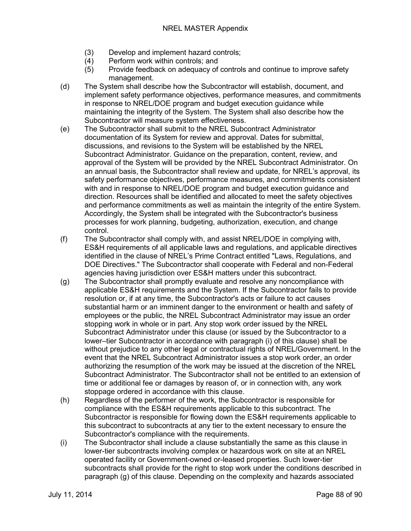- (3) Develop and implement hazard controls;<br>(4) Perform work within controls; and
- Perform work within controls; and
- (5) Provide feedback on adequacy of controls and continue to improve safety management.
- (d) The System shall describe how the Subcontractor will establish, document, and implement safety performance objectives, performance measures, and commitments in response to NREL/DOE program and budget execution guidance while maintaining the integrity of the System. The System shall also describe how the Subcontractor will measure system effectiveness.
- (e) The Subcontractor shall submit to the NREL Subcontract Administrator documentation of its System for review and approval. Dates for submittal, discussions, and revisions to the System will be established by the NREL Subcontract Administrator. Guidance on the preparation, content, review, and approval of the System will be provided by the NREL Subcontract Administrator. On an annual basis, the Subcontractor shall review and update, for NREL's approval, its safety performance objectives, performance measures, and commitments consistent with and in response to NREL/DOE program and budget execution guidance and direction. Resources shall be identified and allocated to meet the safety objectives and performance commitments as well as maintain the integrity of the entire System. Accordingly, the System shall be integrated with the Subcontractor's business processes for work planning, budgeting, authorization, execution, and change control.
- (f) The Subcontractor shall comply with, and assist NREL/DOE in complying with, ES&H requirements of all applicable laws and regulations, and applicable directives identified in the clause of NREL's Prime Contract entitled "Laws, Regulations, and DOE Directives." The Subcontractor shall cooperate with Federal and non-Federal agencies having jurisdiction over ES&H matters under this subcontract.
- (g) The Subcontractor shall promptly evaluate and resolve any noncompliance with applicable ES&H requirements and the System. If the Subcontractor fails to provide resolution or, if at any time, the Subcontractor's acts or failure to act causes substantial harm or an imminent danger to the environment or health and safety of employees or the public, the NREL Subcontract Administrator may issue an order stopping work in whole or in part. Any stop work order issued by the NREL Subcontract Administrator under this clause (or issued by the Subcontractor to a lower–tier Subcontractor in accordance with paragraph (i) of this clause) shall be without prejudice to any other legal or contractual rights of NREL/Government. In the event that the NREL Subcontract Administrator issues a stop work order, an order authorizing the resumption of the work may be issued at the discretion of the NREL Subcontract Administrator. The Subcontractor shall not be entitled to an extension of time or additional fee or damages by reason of, or in connection with, any work stoppage ordered in accordance with this clause.
- (h) Regardless of the performer of the work, the Subcontractor is responsible for compliance with the ES&H requirements applicable to this subcontract. The Subcontractor is responsible for flowing down the ES&H requirements applicable to this subcontract to subcontracts at any tier to the extent necessary to ensure the Subcontractor's compliance with the requirements.
- (i) The Subcontractor shall include a clause substantially the same as this clause in lower-tier subcontracts involving complex or hazardous work on site at an NREL operated facility or Government-owned or-leased properties. Such lower-tier subcontracts shall provide for the right to stop work under the conditions described in paragraph (g) of this clause. Depending on the complexity and hazards associated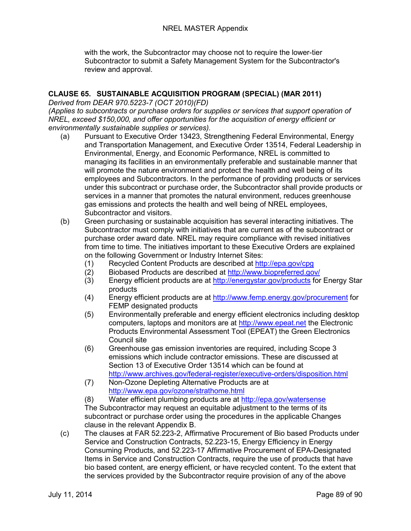with the work, the Subcontractor may choose not to require the lower-tier Subcontractor to submit a Safety Management System for the Subcontractor's review and approval.

## **CLAUSE 65. SUSTAINABLE ACQUISITION PROGRAM (SPECIAL) (MAR 2011)**

*Derived from DEAR 970.5223-7 (OCT 2010)(FD)*

*(Applies to subcontracts or purchase orders for supplies or services that support operation of NREL, exceed \$150,000, and offer opportunities for the acquisition of energy efficient or environmentally sustainable supplies or services).*

- (a) Pursuant to Executive Order 13423, Strengthening Federal Environmental, Energy and Transportation Management, and Executive Order 13514, Federal Leadership in Environmental, Energy, and Economic Performance, NREL is committed to managing its facilities in an environmentally preferable and sustainable manner that will promote the nature environment and protect the health and well being of its employees and Subcontractors. In the performance of providing products or services under this subcontract or purchase order, the Subcontractor shall provide products or services in a manner that promotes the natural environment, reduces greenhouse gas emissions and protects the health and well being of NREL employees, Subcontractor and visitors.
- (b) Green purchasing or sustainable acquisition has several interacting initiatives. The Subcontractor must comply with initiatives that are current as of the subcontract or purchase order award date. NREL may require compliance with revised initiatives from time to time. The initiatives important to these Executive Orders are explained on the following Government or Industry Internet Sites:
	- (1) Recycled Content Products are described at<http://epa.gov/cpg>
	- (2) Biobased Products are described at<http://www.biopreferred.gov/>
	- (3) Energy efficient products are at<http://energystar.gov/products> for Energy Star products
	- (4) Energy efficient products are at<http://www.femp.energy.gov/procurement> for FEMP designated products
	- (5) Environmentally preferable and energy efficient electronics including desktop computers, laptops and monitors are at [http://www.epeat.net](http://www.epeat.net/) the Electronic Products Environmental Assessment Tool (EPEAT) the Green Electronics Council site
	- (6) Greenhouse gas emission inventories are required, including Scope 3 emissions which include contractor emissions. These are discussed at Section 13 of Executive Order 13514 which can be found at <http://www.archives.gov/federal-register/executive-orders/disposition.html>
	- (7) Non-Ozone Depleting Alternative Products are at <http://www.epa.gov/ozone/strathome.html>

(8) Water efficient plumbing products are at<http://epa.gov/watersense> The Subcontractor may request an equitable adjustment to the terms of its subcontract or purchase order using the procedures in the applicable Changes clause in the relevant Appendix B.

(c) The clauses at FAR 52.223-2, Affirmative Procurement of Bio based Products under Service and Construction Contracts, 52.223-15, Energy Efficiency in Energy Consuming Products, and 52.223-17 Affirmative Procurement of EPA-Designated Items in Service and Construction Contracts, require the use of products that have bio based content, are energy efficient, or have recycled content. To the extent that the services provided by the Subcontractor require provision of any of the above